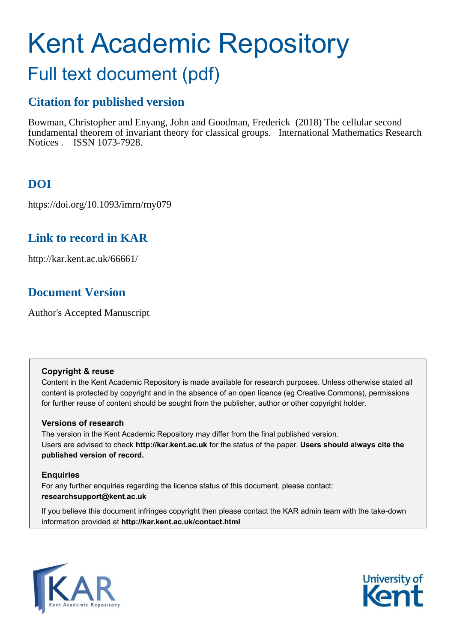# Kent Academic Repository

## Full text document (pdf)

## **Citation for published version**

Bowman, Christopher and Enyang, John and Goodman, Frederick (2018) The cellular second fundamental theorem of invariant theory for classical groups. International Mathematics Research Notices . ISSN 1073-7928.

## **DOI**

https://doi.org/10.1093/imrn/rny079

## **Link to record in KAR**

http://kar.kent.ac.uk/66661/

## **Document Version**

Author's Accepted Manuscript

#### **Copyright & reuse**

Content in the Kent Academic Repository is made available for research purposes. Unless otherwise stated all content is protected by copyright and in the absence of an open licence (eg Creative Commons), permissions for further reuse of content should be sought from the publisher, author or other copyright holder.

#### **Versions of research**

The version in the Kent Academic Repository may differ from the final published version. Users are advised to check **http://kar.kent.ac.uk** for the status of the paper. **Users should always cite the published version of record.**

#### **Enquiries**

For any further enquiries regarding the licence status of this document, please contact: **researchsupport@kent.ac.uk**

<span id="page-0-0"></span>If you believe this document infringes copyright then please contact the KAR admin team with the take-down information provided at **http://kar.kent.ac.uk/contact.html**



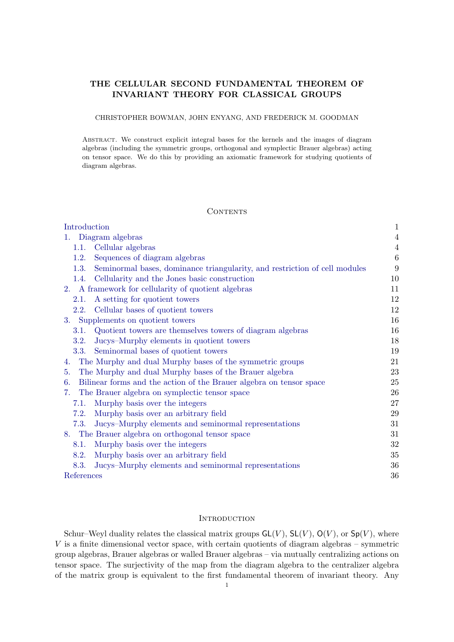#### THE CELLULAR SECOND FUNDAMENTAL THEOREM OF INVARIANT THEORY FOR CLASSICAL GROUPS

#### CHRISTOPHER BOWMAN, JOHN ENYANG, AND FREDERICK M. GOODMAN

Abstract. We construct explicit integral bases for the kernels and the images of diagram algebras (including the symmetric groups, orthogonal and symplectic Brauer algebras) acting on tensor space. We do this by providing an axiomatic framework for studying quotients of diagram algebras.

#### **CONTENTS**

| Introduction                                                                       | $\mathbf{1}$     |
|------------------------------------------------------------------------------------|------------------|
| 1. Diagram algebras                                                                | $\overline{4}$   |
| 1.1. Cellular algebras                                                             | $\overline{4}$   |
| Sequences of diagram algebras<br>1.2.                                              | $\,6\,$          |
| 1.3.<br>Seminormal bases, dominance triangularity, and restriction of cell modules | $\boldsymbol{9}$ |
| Cellularity and the Jones basic construction<br>1.4.                               | 10               |
| 2. A framework for cellularity of quotient algebras                                | 11               |
| A setting for quotient towers<br>2.1.                                              | 12               |
| Cellular bases of quotient towers<br>2.2.                                          | 12               |
| 3. Supplements on quotient towers                                                  | 16               |
| Quotient towers are themselves towers of diagram algebras<br>3.1.                  | 16               |
| Jucys–Murphy elements in quotient towers<br>3.2.                                   | 18               |
| Seminormal bases of quotient towers<br>3.3.                                        | 19               |
| The Murphy and dual Murphy bases of the symmetric groups<br>4.                     | 21               |
| The Murphy and dual Murphy bases of the Brauer algebra<br>5.                       | 23               |
| Bilinear forms and the action of the Brauer algebra on tensor space<br>6.          | 25               |
| The Brauer algebra on symplectic tensor space<br>7.                                | 26               |
| Murphy basis over the integers<br>7.1.                                             | 27               |
| Murphy basis over an arbitrary field<br>7.2.                                       | $\,29$           |
| Jucys-Murphy elements and seminormal representations<br>7.3.                       | 31               |
| 8. The Brauer algebra on orthogonal tensor space                                   | 31               |
| Murphy basis over the integers<br>8.1.                                             | 32               |
| Murphy basis over an arbitrary field<br>8.2.                                       | 35               |
| Jucys-Murphy elements and seminormal representations<br>8.3.                       | 36               |
| References                                                                         | 36               |

#### **INTRODUCTION**

<span id="page-1-0"></span>Schur–Weyl duality relates the classical matrix groups  $GL(V)$ ,  $SL(V)$ ,  $O(V)$ , or  $Sp(V)$ , where  $V$  is a finite dimensional vector space, with certain quotients of diagram algebras – symmetric group algebras, Brauer algebras or walled Brauer algebras – via mutually centralizing actions on tensor space. The surjectivity of the map from the diagram algebra to the centralizer algebra of the matrix group is equivalent to the first fundamental theorem of invariant theory. Any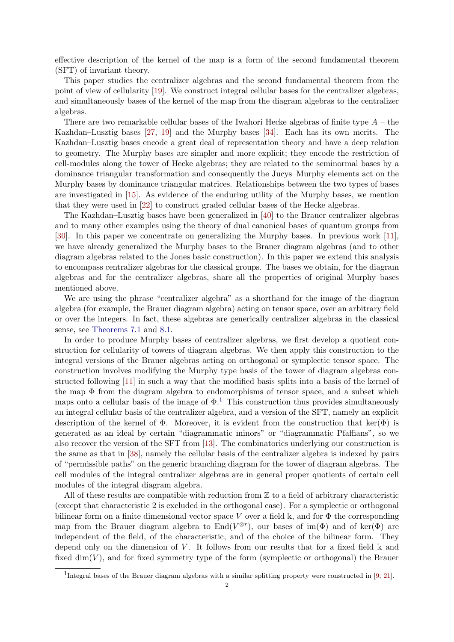effective description of the kernel of the map is a form of the second fundamental theorem (SFT) of invariant theory.

This paper studies the centralizer algebras and the second fundamental theorem from the point of view of cellularity [\[19\]](#page-35-2). We construct integral cellular bases for the centralizer algebras, and simultaneously bases of the kernel of the map from the diagram algebras to the centralizer algebras.

There are two remarkable cellular bases of the Iwahori Hecke algebras of finite type  $A$  – the Kazhdan–Lusztig bases [\[27,](#page-36-0) [19\]](#page-35-2) and the Murphy bases [\[34\]](#page-36-1). Each has its own merits. The Kazhdan–Lusztig bases encode a great deal of representation theory and have a deep relation to geometry. The Murphy bases are simpler and more explicit; they encode the restriction of cell-modules along the tower of Hecke algebras; they are related to the seminormal bases by a dominance triangular transformation and consequently the Jucys–Murphy elements act on the Murphy bases by dominance triangular matrices. Relationships between the two types of bases are investigated in [\[15\]](#page-35-3). As evidence of the enduring utility of the Murphy bases, we mention that they were used in [\[22\]](#page-36-2) to construct graded cellular bases of the Hecke algebras.

The Kazhdan–Lusztig bases have been generalized in [\[40\]](#page-36-3) to the Brauer centralizer algebras and to many other examples using the theory of dual canonical bases of quantum groups from [\[30\]](#page-36-4). In this paper we concentrate on generalizing the Murphy bases. In previous work [\[11\]](#page-35-4), we have already generalized the Murphy bases to the Brauer diagram algebras (and to other diagram algebras related to the Jones basic construction). In this paper we extend this analysis to encompass centralizer algebras for the classical groups. The bases we obtain, for the diagram algebras and for the centralizer algebras, share all the properties of original Murphy bases mentioned above.

We are using the phrase "centralizer algebra" as a shorthand for the image of the diagram algebra (for example, the Brauer diagram algebra) acting on tensor space, over an arbitrary field or over the integers. In fact, these algebras are generically centralizer algebras in the classical sense, see [Theorems 7.1](#page-25-1) and [8.1.](#page-30-2)

In order to produce Murphy bases of centralizer algebras, we first develop a quotient construction for cellularity of towers of diagram algebras. We then apply this construction to the integral versions of the Brauer algebras acting on orthogonal or symplectic tensor space. The construction involves modifying the Murphy type basis of the tower of diagram algebras constructed following [\[11\]](#page-35-4) in such a way that the modified basis splits into a basis of the kernel of the map Φ from the diagram algebra to endomorphisms of tensor space, and a subset which maps onto a cellular basis of the image of  $\Phi$ .<sup>[1](#page-1-0)</sup> This construction thus provides simultaneously an integral cellular basis of the centralizer algebra, and a version of the SFT, namely an explicit description of the kernel of  $\Phi$ . Moreover, it is evident from the construction that ker( $\Phi$ ) is generated as an ideal by certain "diagrammatic minors" or "diagrammatic Pfaffians", so we also recover the version of the SFT from [\[13\]](#page-35-5). The combinatorics underlying our construction is the same as that in [\[38\]](#page-36-5), namely the cellular basis of the centralizer algebra is indexed by pairs of "permissible paths" on the generic branching diagram for the tower of diagram algebras. The cell modules of the integral centralizer algebras are in general proper quotients of certain cell modules of the integral diagram algebra.

All of these results are compatible with reduction from  $Z$  to a field of arbitrary characteristic (except that characteristic 2 is excluded in the orthogonal case). For a symplectic or orthogonal bilinear form on a finite dimensional vector space V over a field k, and for  $\Phi$  the corresponding map from the Brauer diagram algebra to  $\text{End}(V^{\otimes r})$ , our bases of im( $\Phi$ ) and of ker( $\Phi$ ) are independent of the field, of the characteristic, and of the choice of the bilinear form. They depend only on the dimension of V. It follows from our results that for a fixed field  $\Bbbk$  and fixed  $\dim(V)$ , and for fixed symmetry type of the form (symplectic or orthogonal) the Brauer

<sup>&</sup>lt;sup>1</sup>Integral bases of the Brauer diagram algebras with a similar splitting property were constructed in [\[9,](#page-35-6) [21\]](#page-35-7).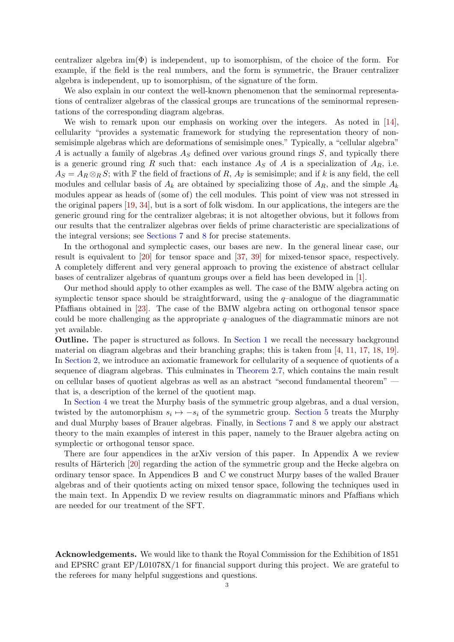<span id="page-3-0"></span>centralizer algebra  $\text{im}(\Phi)$  is independent, up to isomorphism, of the choice of the form. For example, if the field is the real numbers, and the form is symmetric, the Brauer centralizer algebra is independent, up to isomorphism, of the signature of the form.

We also explain in our context the well-known phenomenon that the seminormal representations of centralizer algebras of the classical groups are truncations of the seminormal representations of the corresponding diagram algebras.

<span id="page-3-1"></span>We wish to remark upon our emphasis on working over the integers. As noted in [\[14\]](#page-35-8), cellularity "provides a systematic framework for studying the representation theory of nonsemisimple algebras which are deformations of semisimple ones." Typically, a "cellular algebra" A is actually a family of algebras  $A<sub>S</sub>$  defined over various ground rings S, and typically there is a generic ground ring R such that: each instance  $A<sub>S</sub>$  of A is a specialization of  $A<sub>R</sub>$ , i.e.  $A_S = A_R \otimes_R S$ ; with F the field of fractions of R,  $A_F$  is semisimple; and if k is any field, the cell modules and cellular basis of  $A_k$  are obtained by specializing those of  $A_R$ , and the simple  $A_k$ modules appear as heads of (some of) the cell modules. This point of view was not stressed in the original papers [\[19,](#page-35-2) [34\]](#page-36-1), but is a sort of folk wisdom. In our applications, the integers are the generic ground ring for the centralizer algebras; it is not altogether obvious, but it follows from our results that the centralizer algebras over fields of prime characteristic are specializations of the integral versions; see [Sections 7](#page-25-0) and [8](#page-30-1) for precise statements.

In the orthogonal and symplectic cases, our bases are new. In the general linear case, our result is equivalent to [\[20\]](#page-35-9) for tensor space and [\[37,](#page-36-6) [39\]](#page-36-7) for mixed-tensor space, respectively. A completely different and very general approach to proving the existence of abstract cellular bases of centralizer algebras of quantum groups over a field has been developed in [\[1\]](#page-35-10).

<span id="page-3-2"></span>Our method should apply to other examples as well. The case of the BMW algebra acting on symplectic tensor space should be straightforward, using the  $q$ –analogue of the diagrammatic Pfaffians obtained in [\[23\]](#page-36-8). The case of the BMW algebra acting on orthogonal tensor space could be more challenging as the appropriate q–analogues of the diagrammatic minors are not yet available.

Outline. The paper is structured as follows. In [Section 1](#page-3-0) we recall the necessary background material on diagram algebras and their branching graphs; this is taken from [\[4,](#page-35-11) [11,](#page-35-4) [17,](#page-35-12) [18,](#page-35-13) [19\]](#page-35-2). In [Section 2,](#page-10-0) we introduce an axiomatic framework for cellularity of a sequence of quotients of a sequence of diagram algebras. This culminates in [Theorem 2.7,](#page-14-0) which contains the main result on cellular bases of quotient algebras as well as an abstract "second fundamental theorem" that is, a description of the kernel of the quotient map.

In [Section 4](#page-20-0) we treat the Murphy basis of the symmetric group algebras, and a dual version, twisted by the automorphism  $s_i \mapsto -s_i$  of the symmetric group. [Section 5](#page-22-0) treats the Murphy and dual Murphy bases of Brauer algebras. Finally, in [Sections 7](#page-25-0) and [8](#page-30-1) we apply our abstract theory to the main examples of interest in this paper, namely to the Brauer algebra acting on symplectic or orthogonal tensor space.

There are four appendices in the arXiv version of this paper. In Appendix A we review results of Härterich [\[20\]](#page-35-9) regarding the action of the symmetric group and the Hecke algebra on ordinary tensor space. In Appendices B and C we construct Murpy bases of the walled Brauer algebras and of their quotients acting on mixed tensor space, following the techniques used in the main text. In Appendix D we review results on diagrammatic minors and Pfaffians which are needed for our treatment of the SFT.

Acknowledgements. We would like to thank the Royal Commission for the Exhibition of 1851 and EPSRC grant EP/L01078X/1 for financial support during this project. We are grateful to the referees for many helpful suggestions and questions.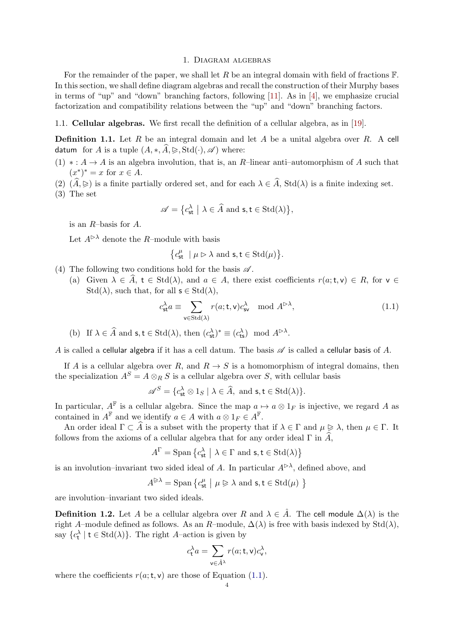#### 1. Diagram algebras

For the remainder of the paper, we shall let R be an integral domain with field of fractions  $\mathbb{F}$ . In this section, we shall define diagram algebras and recall the construction of their Murphy bases in terms of "up" and "down" branching factors, following [\[11\]](#page-35-4). As in [\[4\]](#page-35-11), we emphasize crucial factorization and compatibility relations between the "up" and "down" branching factors.

1.1. Cellular algebras. We first recall the definition of a cellular algebra, as in [\[19\]](#page-35-2).

**Definition 1.1.** Let R be an integral domain and let A be a unital algebra over R. A cell datum for A is a tuple  $(A, *, A, \geq, \text{Std}(\cdot), \mathscr{A})$  where:

- (1)  $* : A \to A$  is an algebra involution, that is, an R-linear anti-automorphism of A such that  $(x^*)^* = x$  for  $x \in A$ .
- (2)  $(\widehat{A}, \triangleright)$  is a finite partially ordered set, and for each  $\lambda \in \widehat{A}$ , Std( $\lambda$ ) is a finite indexing set.
- (3) The set

$$
\mathscr{A} = \big\{ c_{\mathsf{st}}^{\lambda} \bigm| \lambda \in \widehat{A} \text{ and } \mathsf{s}, \mathsf{t} \in \text{Std}(\lambda) \big\},
$$

is an R–basis for A.

Let  $A^{\triangleright\lambda}$  denote the R–module with basis

$$
\big\{c_\mathsf{st}^\mu \ \mid \mu \rhd \lambda \text{ and } \mathsf{s}, \mathsf{t} \in \mathrm{Std}(\mu)\big\}.
$$

- (4) The following two conditions hold for the basis  $\mathscr A$ .
	- (a) Given  $\lambda \in \widehat{A}$ ,  $t \in \text{Std}(\lambda)$ , and  $a \in A$ , there exist coefficients  $r(a; t, v) \in R$ , for  $v \in$  $Std(\lambda)$ , such that, for all  $s \in Std(\lambda)$ ,

$$
c_{\operatorname{st}}^{\lambda} a \equiv \sum_{\mathbf{v} \in \operatorname{Std}(\lambda)} r(a; \mathbf{t}, \mathbf{v}) c_{\operatorname{sv}}^{\lambda} \mod A^{\triangleright \lambda},\tag{1.1}
$$

(b) If  $\lambda \in \widehat{A}$  and  $\mathsf{s}, \mathsf{t} \in \text{Std}(\lambda)$ , then  $(c^{\lambda}_{\mathsf{st}})^* \equiv (c^{\lambda}_{\mathsf{ts}}) \mod A^{\triangleright \lambda}$ .

A is called a cellular algebra if it has a cell datum. The basis  $\mathscr A$  is called a cellular basis of A.

If A is a cellular algebra over R, and  $R \to S$  is a homomorphism of integral domains, then the specialization  $A^S = A \otimes_R S$  is a cellular algebra over S, with cellular basis

$$
\mathscr{A}^S = \{c_{\mathsf{st}}^\lambda \otimes 1_S \mid \lambda \in \widehat{A}, \text{ and } \mathsf{s}, \mathsf{t} \in \text{Std}(\lambda)\}.
$$

In particular,  $A^{\mathbb{F}}$  is a cellular algebra. Since the map  $a \mapsto a \otimes 1_F$  is injective, we regard A as contained in  $A^{\mathbb{F}}$  and we identify  $a \in A$  with  $a \otimes 1_F \in A^{\mathbb{F}}$ .

<span id="page-4-0"></span>An order ideal  $\Gamma \subset \widehat{A}$  is a subset with the property that if  $\lambda \in \Gamma$  and  $\mu \geq \lambda$ , then  $\mu \in \Gamma$ . It follows from the axioms of a cellular algebra that for any order ideal  $\Gamma$  in  $\widehat{A}$ ,

$$
A^{\Gamma} = \text{Span}\left\{c_{\mathsf{st}}^{\lambda} \mid \lambda \in \Gamma \text{ and } \mathsf{s}, \mathsf{t} \in \text{Std}(\lambda)\right\}
$$

is an involution–invariant two sided ideal of A. In particular  $A^{\triangleright\lambda}$ , defined above, and

 $A^{\triangleright\lambda} = \text{Span} \left\{ c_{\mathsf{st}}^{\mu} \middle| \mu \triangleright \lambda \text{ and } \mathsf{s}, \mathsf{t} \in \text{Std}(\mu) \right\}$ 

are involution–invariant two sided ideals.

<span id="page-4-1"></span>**Definition 1.2.** Let A be a cellular algebra over R and  $\lambda \in \hat{A}$ . The cell module  $\Delta(\lambda)$  is the right A–module defined as follows. As an R–module,  $\Delta(\lambda)$  is free with basis indexed by Std( $\lambda$ ), say  $\{c_t^{\lambda} \mid t \in \text{Std}(\lambda)\}\$ . The right A-action is given by

$$
c_{\mathsf{t}}^{\lambda} a = \sum_{\mathsf{v} \in \hat{A}^{\lambda}} r(a; \mathsf{t}, \mathsf{v}) c_{\mathsf{v}}^{\lambda},
$$

where the coefficients  $r(a; t, v)$  are those of Equation [\(1.1\)](#page-3-2).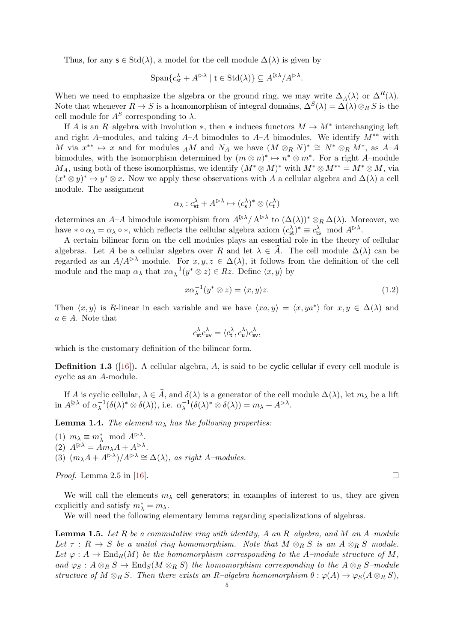Thus, for any  $s \in \text{Std}(\lambda)$ , a model for the cell module  $\Delta(\lambda)$  is given by

<span id="page-5-1"></span>
$$
\text{Span}\{c_{\mathsf{st}}^{\lambda} + A^{\rhd \lambda} \mid \mathsf{t} \in \text{Std}(\lambda)\} \subseteq A^{\rhd \lambda}/A^{\rhd \lambda}.
$$

When we need to emphasize the algebra or the ground ring, we may write  $\Delta_A(\lambda)$  or  $\Delta^R(\lambda)$ . Note that whenever  $R \to S$  is a homomorphism of integral domains,  $\Delta^{S}(\lambda) = \Delta(\lambda) \otimes_R S$  is the cell module for  $A^S$  corresponding to  $\lambda$ .

<span id="page-5-4"></span>If A is an R–algebra with involution  $*$ , then  $*$  induces functors  $M \to M^*$  interchanging left and right A–modules, and taking A–A bimodules to A–A bimodules. We identify  $M^{**}$  with M via  $x^{**} \mapsto x$  and for modules AM and  $N_A$  we have  $(M \otimes_R N)^* \cong N^* \otimes_R M^*$ , as A-A bimodules, with the isomorphism determined by  $(m \otimes n)^* \mapsto n^* \otimes m^*$ . For a right A-module  $M_A$ , using both of these isomorphisms, we identify  $(M^* \otimes M)^*$  with  $M^* \otimes M^{**} = M^* \otimes M$ , via  $(x^* \otimes y)^* \mapsto y^* \otimes x$ . Now we apply these observations with A a cellular algebra and  $\Delta(\lambda)$  a cell module. The assignment

$$
\alpha_\lambda : c^\lambda_{\mathsf{st}} + A^{\rhd \lambda} \mapsto (c^\lambda_{\mathsf{s}})^* \otimes (c^\lambda_{\mathsf{t}})
$$

<span id="page-5-0"></span>determines an A–A bimodule isomorphism from  $A^{\geqslant \lambda}/A^{\geqslant \lambda}$  to  $(\Delta(\lambda))^* \otimes_R \Delta(\lambda)$ . Moreover, we have  $*\circ \alpha_{\lambda} = \alpha_{\lambda} \circ *$ , which reflects the cellular algebra axiom  $(c_{st}^{\lambda})^* \equiv c_{ts}^{\lambda} \mod A^{\triangleright \lambda}$ .

A certain bilinear form on the cell modules plays an essential role in the theory of cellular algebras. Let A be a cellular algebra over R and let  $\lambda \in \hat{A}$ . The cell module  $\Delta(\lambda)$  can be regarded as an  $A/A^{\triangleright\lambda}$  module. For  $x, y, z \in \Delta(\lambda)$ , it follows from the definition of the cell module and the map  $\alpha_{\lambda}$  that  $x\alpha_{\lambda}^{-1}(y^* \otimes z) \in Rz$ . Define  $\langle x, y \rangle$  by

$$
x\alpha_{\lambda}^{-1}(y^* \otimes z) = \langle x, y \rangle z. \tag{1.2}
$$

Then  $\langle x, y \rangle$  is R-linear in each variable and we have  $\langle xa, y \rangle = \langle x, ya^* \rangle$  for  $x, y \in \Delta(\lambda)$  and  $a \in A$ . Note that

$$
c_{\rm st}^{\lambda}c_{\rm uv}^{\lambda}=\langle c_{\rm t}^{\lambda},c_{\rm u}^{\lambda}\rangle c_{\rm sv}^{\lambda},
$$

which is the customary definition of the bilinear form.

**Definition 1.3** ([\[16\]](#page-35-14)). A cellular algebra, A, is said to be cyclic cellular if every cell module is cyclic as an A-module.

If A is cyclic cellular,  $\lambda \in \widehat{A}$ , and  $\delta(\lambda)$  is a generator of the cell module  $\Delta(\lambda)$ , let  $m_\lambda$  be a lift in  $A^{\triangleright\lambda}$  of  $\alpha_\lambda^{-1}$  $_{\lambda}^{-1}(\delta(\lambda)^*\otimes \delta(\lambda)),$  i.e.  $\alpha_{\lambda}^{-1}$  $_{\lambda}^{-1}(\delta(\lambda)^*\otimes \delta(\lambda))=m_{\lambda}+A^{\rhd \lambda}.$ 

**Lemma 1.4.** The element  $m_{\lambda}$  has the following properties:

(1)  $m_\lambda \equiv m_\lambda^* \mod A^{\triangleright \lambda}$ . (2)  $A^{\trianglerighteq \lambda} = \hat{A} m_{\lambda} A + A^{\triangleright \lambda}.$ (3)  $(m_{\lambda}A + A^{\triangleright \lambda})/A^{\triangleright \lambda} \cong \Delta(\lambda)$ , as right A-modules.

*Proof.* Lemma 2.5 in [\[16\]](#page-35-14).

We will call the elements  $m<sub>\lambda</sub>$  cell generators; in examples of interest to us, they are given explicitly and satisfy  $m^*_{\lambda} = m_{\lambda}$ .

<span id="page-5-2"></span>We will need the following elementary lemma regarding specializations of algebras.

<span id="page-5-3"></span>**Lemma 1.5.** Let R be a commutative ring with identity, A an R-algebra, and M an A-module Let  $\tau : R \to S$  be a unital ring homomorphism. Note that  $M \otimes_R S$  is an  $A \otimes_R S$  module. Let  $\varphi: A \to \text{End}_R(M)$  be the homomorphism corresponding to the A–module structure of M, and  $\varphi_S : A \otimes_R S \to \text{End}_S(M \otimes_R S)$  the homomorphism corresponding to the  $A \otimes_R S$ -module structure of  $M \otimes_R S$ . Then there exists an R–algebra homomorphism  $\theta : \varphi(A) \to \varphi_S(A \otimes_R S)$ ,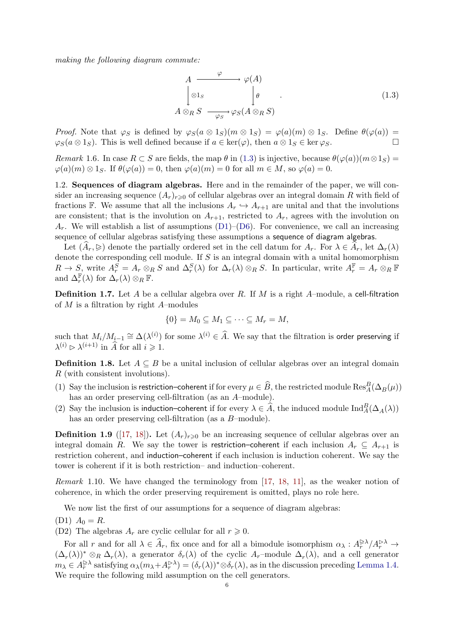<span id="page-6-5"></span><span id="page-6-4"></span><span id="page-6-1"></span>making the following diagram commute:

$$
A \xrightarrow{\varphi} \varphi(A)
$$
  
\n
$$
\downarrow \otimes 1_S \qquad \qquad \downarrow \theta
$$
  
\n
$$
A \otimes_R S \xrightarrow{\varphi_S} \varphi_S(A \otimes_R S)
$$
  
\n(1.3)

*Proof.* Note that  $\varphi_S$  is defined by  $\varphi_S(a \otimes 1_S)(m \otimes 1_S) = \varphi(a)(m) \otimes 1_S$ . Define  $\theta(\varphi(a)) =$  $\varphi_S(a \otimes 1_S)$ . This is well defined because if  $a \in \text{ker}(\varphi)$ , then  $a \otimes 1_S \in \text{ker} \varphi_S$ .

Remark 1.6. In case  $R \subset S$  are fields, the map  $\theta$  in [\(1.3\)](#page-5-1) is injective, because  $\theta(\varphi(a))(m \otimes 1_S)$  $\varphi(a)(m) \otimes 1_S$ . If  $\theta(\varphi(a)) = 0$ , then  $\varphi(a)(m) = 0$  for all  $m \in M$ , so  $\varphi(a) = 0$ .

1.2. Sequences of diagram algebras. Here and in the remainder of the paper, we will consider an increasing sequence  $(A_r)_{r\geq 0}$  of cellular algebras over an integral domain R with field of fractions F. We assume that all the inclusions  $A_r \hookrightarrow A_{r+1}$  are unital and that the involutions are consistent; that is the involution on  $A_{r+1}$ , restricted to  $A_r$ , agrees with the involution on  $A_r$ . We will establish a list of assumptions [\(D1\)](#page-5-2)–[\(D6\)](#page-6-0). For convenience, we call an increasing sequence of cellular algebras satisfying these assumptions a sequence of diagram algebras.

<span id="page-6-2"></span>Let  $(\widehat{A}_r, \geqslant)$  denote the partially ordered set in the cell datum for  $A_r$ . For  $\lambda \in \widehat{A}_r$ , let  $\Delta_r(\lambda)$ denote the corresponding cell module. If  $S$  is an integral domain with a unital homomorphism  $R \to S$ , write  $A_r^S = A_r \otimes_R S$  and  $\Delta_r^S(\lambda)$  for  $\Delta_r(\lambda) \otimes_R S$ . In particular, write  $A_r^{\mathbb{F}} = A_r \otimes_R \mathbb{F}$ and  $\Delta_r^{\mathbb{F}}(\lambda)$  for  $\Delta_r(\lambda) \otimes_R \mathbb{F}$ .

**Definition 1.7.** Let A be a cellular algebra over R. If M is a right A–module, a cell-filtration of  $M$  is a filtration by right  $A$ –modules

$$
\{0\} = M_0 \subseteq M_1 \subseteq \cdots \subseteq M_r = M,
$$

<span id="page-6-6"></span>such that  $M_i/M_{i-1} \cong \Delta(\lambda^{(i)})$  for some  $\lambda^{(i)} \in \widehat{A}$ . We say that the filtration is order preserving if  $\lambda^{(i)} \triangleright \lambda^{(i+1)}$  in  $\widehat{A}$  for all  $i \geqslant 1$ .

**Definition 1.8.** Let  $A \subseteq B$  be a unital inclusion of cellular algebras over an integral domain R (with consistent involutions).

- (1) Say the inclusion is restriction–coherent if for every  $\mu \in \widehat{B}$ , the restricted module  $\text{Res}_{A}^{B}(\Delta_{B}(\mu))$ has an order preserving cell-filtration (as an A–module).
- (2) Say the inclusion is induction–coherent if for every  $\lambda \in \hat{A}$ , the induced module  $\text{Ind}_{A}^{B}(\Delta_{A}(\lambda))$ has an order preserving cell-filtration (as a B-module).

**Definition 1.9** ([\[17,](#page-35-12) [18\]](#page-35-13)). Let  $(A_r)_{r\geqslant0}$  be an increasing sequence of cellular algebras over an integral domain R. We say the tower is restriction–coherent if each inclusion  $A_r \subseteq A_{r+1}$  is restriction coherent, and induction–coherent if each inclusion is induction coherent. We say the tower is coherent if it is both restriction– and induction–coherent.

<span id="page-6-0"></span>Remark 1.10. We have changed the terminology from [\[17,](#page-35-12) [18,](#page-35-13) [11\]](#page-35-4), as the weaker notion of coherence, in which the order preserving requirement is omitted, plays no role here.

<span id="page-6-3"></span>We now list the first of our assumptions for a sequence of diagram algebras:

(D1)  $A_0 = R$ .

(D2) The algebras  $A_r$  are cyclic cellular for all  $r \geq 0$ .

For all r and for all  $\lambda \in \hat{A}_r$ , fix once and for all a bimodule isomorphism  $\alpha_{\lambda}: A_r^{\geq \lambda}/A_r^{\geq \lambda} \to$  $(\Delta_r(\lambda))^* \otimes_R \Delta_r(\lambda)$ , a generator  $\delta_r(\lambda)$  of the cyclic  $A_r$ -module  $\Delta_r(\lambda)$ , and a cell generator  $m_{\lambda} \in A_r^{\geq \lambda}$  satisfying  $\alpha_{\lambda}(m_{\lambda}+A_r^{\geq \lambda}) = (\delta_r(\lambda))^* \otimes \delta_r(\lambda)$ , as in the discussion preceding [Lemma 1.4.](#page-4-0) We require the following mild assumption on the cell generators.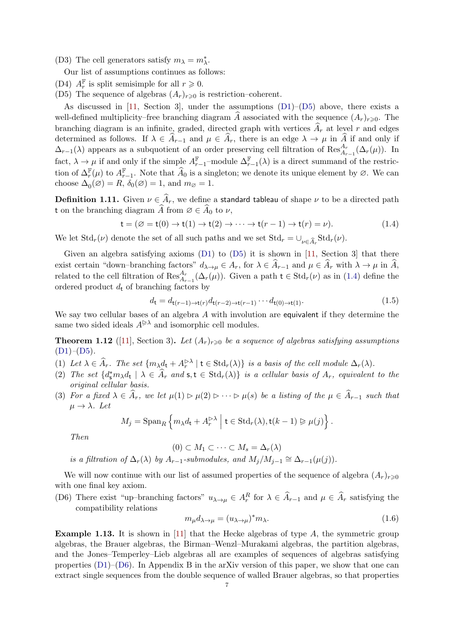(D3) The cell generators satisfy  $m_\lambda=m_\lambda^*.$ 

Our list of assumptions continues as follows:

- (D4)  $A_r^{\mathbb{F}}$  is split semisimple for all  $r \geq 0$ .
- (D5) The sequence of algebras  $(A_r)_{r\geq 0}$  is restriction–coherent.

As discussed in [\[11,](#page-35-4) Section 3], under the assumptions  $(D1)$ – $(D5)$  above, there exists a well-defined multiplicity–free branching diagram  $\widehat{A}$  associated with the sequence  $(A_r)_{r\geq 0}$ . The branching diagram is an infinite, graded, directed graph with vertices  $\widehat{A}_r$  at level r and edges determined as follows. If  $\lambda \in \widehat{A}_{r-1}$  and  $\mu \in \widehat{A}_r$ , there is an edge  $\lambda \to \mu$  in  $\widehat{A}$  if and only if  $\Delta_{r-1}(\lambda)$  appears as a subquotient of an order preserving cell filtration of  $\text{Res}_{A_{r-1}}^{A_r}(\Delta_r(\mu))$ . In fact,  $\lambda \to \mu$  if and only if the simple  $A_{r-1}^{\mathbb{F}}$ -module  $\Delta_{r-1}^{\mathbb{F}}(\lambda)$  is a direct summand of the restriction of  $\Delta_r^{\mathbb{F}}(\mu)$  to  $A_{r-1}^{\mathbb{F}}$ . Note that  $\widehat{A}_0$  is a singleton; we denote its unique element by ∅. We can choose  $\Delta_0(\emptyset) = R$ ,  $\delta_0(\emptyset) = 1$ , and  $m_{\emptyset} = 1$ .

**Definition 1.11.** Given  $\nu \in \widehat{A}_r$ , we define a standard tableau of shape  $\nu$  to be a directed path t on the branching diagram  $\widehat{A}$  from  $\emptyset \in \widehat{A}_0$  to  $\nu$ ,

$$
\mathsf{t} = (\varnothing = \mathsf{t}(0) \to \mathsf{t}(1) \to \mathsf{t}(2) \to \cdots \to \mathsf{t}(r-1) \to \mathsf{t}(r) = \nu). \tag{1.4}
$$

We let  $\text{Std}_r(\nu)$  denote the set of all such paths and we set  $\text{Std}_r = \bigcup_{\nu \in \widehat{A}_r} \text{Std}_r(\nu)$ .

Given an algebra satisfying axioms [\(D1\)](#page-5-2) to [\(D5\)](#page-6-1) it is shown in [\[11,](#page-35-4) Section 3] that there exist certain "down–branching factors"  $d_{\lambda\to\mu} \in A_r$ , for  $\lambda \in \widehat{A}_{r-1}$  and  $\mu \in \widehat{A}_r$  with  $\lambda \to \mu$  in  $\widehat{A}_r$ , related to the cell filtration of  $\text{Res}_{A_{r-1}}^{A_r}(\Delta_r(\mu))$ . Given a path  $t \in \text{Std}_r(\nu)$  as in [\(1.4\)](#page-6-2) define the ordered product  $d_t$  of branching factors by

<span id="page-7-0"></span>
$$
d_{\mathbf{t}} = d_{\mathbf{t}(r-1)\to\mathbf{t}(r)} d_{\mathbf{t}(r-2)\to\mathbf{t}(r-1)} \cdots d_{\mathbf{t}(0)\to\mathbf{t}(1)}.\tag{1.5}
$$

We say two cellular bases of an algebra A with involution are equivalent if they determine the same two sided ideals  $A^{\geqslant \lambda}$  and isomorphic cell modules.

**Theorem 1.12** ([\[11\]](#page-35-4), Section 3). Let  $(A_r)_{r\geqslant0}$  be a sequence of algebras satisfying assumptions  $(D1)–(D5)$  $(D1)–(D5)$  $(D1)–(D5)$ .

- (1) Let  $\lambda \in \widehat{A}_r$ . The set  $\{m_{\lambda}d_t + A_r^{\triangleright\lambda} \mid t \in \text{Std}_r(\lambda)\}\$ is a basis of the cell module  $\Delta_r(\lambda)$ .
- (2) The set  $\{d_s^*m_\lambda d_t \mid \lambda \in \widehat{A}_r \text{ and } s,t \in \text{Std}_r(\lambda)\}\$ is a cellular basis of  $A_r$ , equivalent to the original cellular basis.
- (3) For a fixed  $\lambda \in \widehat{A}_r$ , we let  $\mu(1) \triangleright \mu(2) \triangleright \cdots \triangleright \mu(s)$  be a listing of the  $\mu \in \widehat{A}_{r-1}$  such that  $\mu \rightarrow \lambda$ . Let

$$
M_j = \operatorname{Span}_R \left\{ m_{\lambda} d_{\mathsf{t}} + A_r^{\triangleright \lambda} \middle| \mathsf{t} \in \operatorname{Std}_r(\lambda), \mathsf{t}(k-1) \triangleright \mu(j) \right\}.
$$

Then

<span id="page-7-2"></span><span id="page-7-1"></span>
$$
(0) \subset M_1 \subset \cdots \subset M_s = \Delta_r(\lambda)
$$

is a filtration of  $\Delta_r(\lambda)$  by  $A_{r-1}$ -submodules, and  $M_j/M_{j-1} \cong \Delta_{r-1}(\mu(j)).$ 

We will now continue with our list of assumed properties of the sequence of algebra  $(A_r)_{r\geq 0}$ with one final key axiom.

(D6) There exist "up–branching factors"  $u_{\lambda \to \mu} \in A_r^R$  for  $\lambda \in \hat{A}_{r-1}$  and  $\mu \in \hat{A}_r$  satisfying the compatibility relations

$$
m_{\mu}d_{\lambda \to \mu} = (u_{\lambda \to \mu})^* m_{\lambda}.
$$
\n(1.6)

**Example 1.13.** It is shown in [\[11\]](#page-35-4) that the Hecke algebras of type  $A$ , the symmetric group algebras, the Brauer algebras, the Birman–Wenzl–Murakami algebras, the partition algebras, and the Jones–Temperley–Lieb algebras all are examples of sequences of algebras satisfying properties  $(D1)$ – $(D6)$ . In Appendix B in the arXiv version of this paper, we show that one can extract single sequences from the double sequence of walled Brauer algebras, so that properties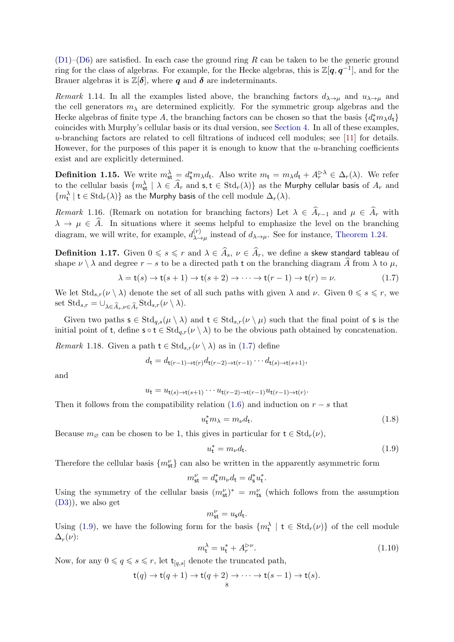<span id="page-8-1"></span> $(D1)$ – $(D6)$  are satisfied. In each case the ground ring R can be taken to be the generic ground ring for the class of algebras. For example, for the Hecke algebras, this is  $\mathbb{Z}[q, q^{-1}]$ , and for the Brauer algebras it is  $\mathbb{Z}[\delta]$ , where q and  $\delta$  are indeterminants.

<span id="page-8-2"></span>Remark 1.14. In all the examples listed above, the branching factors  $d_{\lambda\to\mu}$  and  $u_{\lambda\to\mu}$  and the cell generators  $m<sub>\lambda</sub>$  are determined explicitly. For the symmetric group algebras and the Hecke algebras of finite type A, the branching factors can be chosen so that the basis  $\{d_s^* m_\lambda d_t\}$ coincides with Murphy's cellular basis or its dual version, see [Section 4.](#page-20-0) In all of these examples,  $u$ -branching factors are related to cell filtrations of induced cell modules; see [\[11\]](#page-35-4) for details. However, for the purposes of this paper it is enough to know that the  $u$ -branching coefficients exist and are explicitly determined.

<span id="page-8-0"></span>**Definition 1.15.** We write  $m_{st}^{\lambda} = d_s^* m_{\lambda} d_t$ . Also write  $m_t = m_{\lambda} d_t + A_r^{\triangleright \lambda} \in \Delta_r(\lambda)$ . We refer to the cellular basis  $\{m_{st}^{\lambda} \mid \lambda \in \widehat{A}_r \text{ and } s, t \in \text{Std}_r(\lambda)\}\$ as the Murphy cellular basis of  $A_r$  and  ${m_t^{\lambda} \mid t \in \text{Std}_r(\lambda)}$  as the Murphy basis of the cell module  $\Delta_r(\lambda)$ .

Remark 1.16. (Remark on notation for branching factors) Let  $\lambda \in \hat{A}_{r-1}$  and  $\mu \in \hat{A}_r$  with  $\lambda \to \mu \in \hat{A}$ . In situations where it seems helpful to emphasize the level on the branching diagram, we will write, for example,  $d_{\lambda}^{(r)}$  $\lambda \rightarrow \mu$  instead of  $d_{\lambda \rightarrow \mu}$ . See for instance, [Theorem 1.24.](#page-10-1)

**Definition 1.17.** Given  $0 \le s \le r$  and  $\lambda \in \widehat{A}_s$ ,  $\nu \in \widehat{A}_r$ , we define a skew standard tableau of shape  $\nu \setminus \lambda$  and degree  $r - s$  to be a directed path t on the branching diagram  $\hat{A}$  from  $\lambda$  to  $\mu$ ,

$$
\lambda = \mathsf{t}(s) \to \mathsf{t}(s+1) \to \mathsf{t}(s+2) \to \cdots \to \mathsf{t}(r-1) \to \mathsf{t}(r) = \nu. \tag{1.7}
$$

We let  $\text{Std}_{s,r}(\nu \setminus \lambda)$  denote the set of all such paths with given  $\lambda$  and  $\nu$ . Given  $0 \leq s \leq r$ , we set  $\operatorname{Std}_{s,r} = \bigcup_{\lambda \in \widehat{A}_s, \nu \in \widehat{A}_r} \operatorname{Std}_{s,r}(\nu \setminus \lambda).$ 

Given two paths  $s \in \text{Std}_{q,s}(\mu \setminus \lambda)$  and  $t \in \text{Std}_{s,r}(\nu \setminus \mu)$  such that the final point of s is the initial point of t, define  $s \circ t \in \text{Std}_{a,r}(\nu \setminus \lambda)$  to be the obvious path obtained by concatenation.

*Remark* 1.18. Given a path  $t \in Std_{s,r}(\nu \setminus \lambda)$  as in [\(1.7\)](#page-7-0) define

$$
d_{\mathbf{t}} = d_{\mathbf{t}(r-1)\to\mathbf{t}(r)} d_{\mathbf{t}(r-2)\to\mathbf{t}(r-1)} \cdots d_{\mathbf{t}(s)\to\mathbf{t}(s+1)},
$$

and

$$
u_{\mathsf{t}} = u_{\mathsf{t}(s) \to \mathsf{t}(s+1)} \cdots u_{\mathsf{t}(r-2) \to \mathsf{t}(r-1)} u_{\mathsf{t}(r-1) \to \mathsf{t}(r)}.
$$

Then it follows from the compatibility relation [\(1.6\)](#page-6-3) and induction on  $r - s$  that

$$
u_t^* m_\lambda = m_\nu d_t. \tag{1.8}
$$

Because  $m_{\emptyset}$  can be chosen to be 1, this gives in particular for  $t \in \text{Std}_r(\nu)$ ,

$$
u_{t}^{*} = m_{\nu} d_{t}.\tag{1.9}
$$

Therefore the cellular basis  $\{m_{st}^{\nu}\}$  can also be written in the apparently asymmetric form

$$
m^\nu_{\mathsf s \mathsf t} = d_{\mathsf s}^* m_\nu d_{\mathsf t} = d_{\mathsf s}^* u_{\mathsf t}^*.
$$

Using the symmetry of the cellular basis  $(m_{st}^{\nu})^* = m_{ts}^{\nu}$  (which follows from the assumption [\(D3\)](#page-6-4)), we also get

$$
m^\nu_{\rm st} = u_{\rm s} d_{\rm t}.
$$

<span id="page-8-3"></span>Using [\(1.9\)](#page-7-1), we have the following form for the basis  $\{m_t^{\lambda} \mid t \in \text{Std}_r(\nu)\}\)$  of the cell module  $\Delta_r(\nu)$ :

$$
m_t^{\lambda} = u_t^* + A_r^{\triangleright \nu}.
$$
\n(1.10)

Now, for any  $0 \leq q \leq s \leq r$ , let  $t_{[q,s]}$  denote the truncated path,

$$
\mathsf{t}(q) \to \mathsf{t}(q+1) \to \mathsf{t}(q+2) \to \cdots \to \mathsf{t}(s-1) \to \mathsf{t}(s).
$$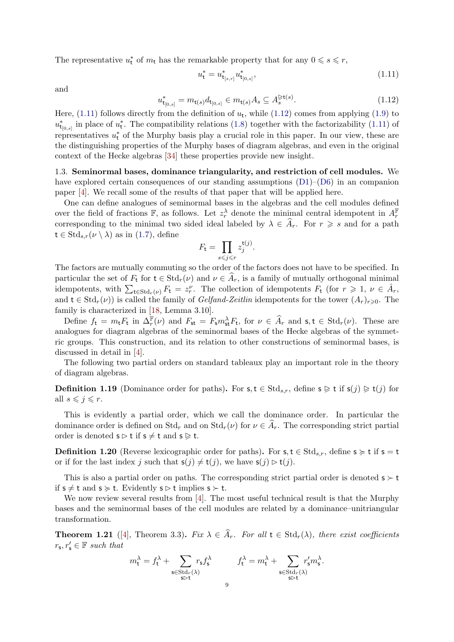The representative  $u_t^*$  of  $m_t$  has the remarkable property that for any  $0 \le s \le r$ ,

$$
u_{t}^{*} = u_{t_{[s,r]}}^{*} u_{t_{[0,s]}}, \tag{1.11}
$$

<span id="page-9-1"></span>and

$$
u_{t_{[0,s]}}^* = m_{t(s)} d_{t_{[0,s]}} \in m_{t(s)} A_s \subseteq A_s^{\triangleright t(s)}.
$$
\n(1.12)

Here,  $(1.11)$  follows directly from the definition of  $u_t$ , while  $(1.12)$  comes from applying  $(1.9)$  to  $u_{t_{[0,s]}}^*$  in place of  $u_t^*$ . The compatibility relations [\(1.8\)](#page-7-2) together with the factorizability [\(1.11\)](#page-8-1) of representatives  $u_t^*$  of the Murphy basis play a crucial role in this paper. In our view, these are the distinguishing properties of the Murphy bases of diagram algebras, and even in the original context of the Hecke algebras [\[34\]](#page-36-1) these properties provide new insight.

1.3. Seminormal bases, dominance triangularity, and restriction of cell modules. We have explored certain consequences of our standing assumptions  $(D1)$ – $(D6)$  in an companion paper [\[4\]](#page-35-11). We recall some of the results of that paper that will be applied here.

One can define analogues of seminormal bases in the algebras and the cell modules defined over the field of fractions  $\mathbb{F}$ , as follows. Let  $z_r^{\lambda}$  denote the minimal central idempotent in  $A_r^{\mathbb{F}}$ corresponding to the minimal two sided ideal labeled by  $\lambda \in \hat{A}_r$ . For  $r \geq s$  and for a path  $t \in \text{Std}_{s,r}(\nu \setminus \lambda)$  as in [\(1.7\)](#page-7-0), define

$$
F_{\mathsf{t}} = \prod_{s \leq j \leq r} z_j^{\mathsf{t}(j)}.
$$

The factors are mutually commuting so the order of the factors does not have to be specified. In particular the set of  $F_t$  for  $t \in \text{Std}_r(\nu)$  and  $\nu \in \hat{A}_r$ , is a family of mutually orthogonal minimal idempotents, with  $\sum_{t\in \text{Std}_{r}(\nu)} F_t = z_r^{\nu}$ . The collection of idempotents  $F_t$  (for  $r \geq 1$ ,  $\nu \in \hat{A}_r$ , and  $t \in \text{Std}_r(\nu)$  is called the family of *Gelfand-Zeitlin* idempotents for the tower  $(A_r)_{r\geqslant 0}$ . The family is characterized in [\[18,](#page-35-13) Lemma 3.10].

<span id="page-9-0"></span>Define  $f_t = m_t F_t$  in  $\Delta_r^{\mathbb{F}}(\nu)$  and  $F_{st} = F_s m_{st}^{\lambda} F_t$ , for  $\nu \in \widehat{A}_r$  and  $s, t \in \text{Std}_r(\nu)$ . These are analogues for diagram algebras of the seminormal bases of the Hecke algebras of the symmetric groups. This construction, and its relation to other constructions of seminormal bases, is discussed in detail in [\[4\]](#page-35-11).

The following two partial orders on standard tableaux play an important role in the theory of diagram algebras.

**Definition 1.19** (Dominance order for paths). For  $s, t \in \text{Std}_{s,r}$ , define  $s \geq t$  if  $s(j) \geq t(j)$  for all  $s \leqslant j \leqslant r$ .

<span id="page-9-2"></span>This is evidently a partial order, which we call the dominance order. In particular the dominance order is defined on  $\text{Std}_r$  and on  $\text{Std}_r(\nu)$  for  $\nu \in \widehat{A}_r$ . The corresponding strict partial order is denoted  $s \triangleright t$  if  $s \neq t$  and  $s \triangleright t$ .

**Definition 1.20** (Reverse lexicographic order for paths). For  $s, t \in Std_{s,r}$ , define  $s \geq t$  if  $s = t$ or if for the last index j such that  $s(j) \neq t(j)$ , we have  $s(j) \triangleright t(j)$ .

This is also a partial order on paths. The corresponding strict partial order is denoted  $s \succ t$ if  $s \neq t$  and  $s \geq t$ . Evidently  $s \geq t$  implies  $s \geq t$ .

<span id="page-9-3"></span>We now review several results from [\[4\]](#page-35-11). The most useful technical result is that the Murphy bases and the seminormal bases of the cell modules are related by a dominance–unitriangular transformation.

**Theorem 1.21** ([\[4\]](#page-35-11), Theorem 3.3). Fix  $\lambda \in \widehat{A}_r$ . For all  $t \in \text{Std}_r(\lambda)$ , there exist coefficients  $r_{\mathsf{s}}, r'_{\mathsf{s}} \in \mathbb{F}$  such that

$$
m^\lambda_{\mathsf{t}} = f^\lambda_{\mathsf{t}} + \sum_{\substack{\mathsf{s} \in \text{Std}_r(\lambda) \\ \mathsf{s} \rhd \mathsf{t}}} r_{\mathsf{s}} f^\lambda_{\mathsf{s}} \qquad \qquad f^\lambda_{\mathsf{t}} = m^\lambda_{\mathsf{t}} + \sum_{\substack{\mathsf{s} \in \text{Std}_r(\lambda) \\ \mathsf{s} \rhd \mathsf{t}}} r'_\mathsf{s} m^\lambda_{\mathsf{s}}.
$$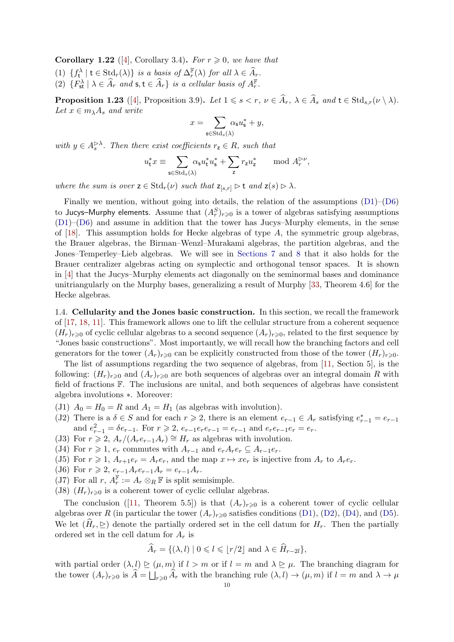**Corollary 1.22** ([\[4\]](#page-35-11), Corollary 3.4). For  $r \ge 0$ , we have that

(1)  $\{f_t^{\lambda} \mid t \in \text{Std}_r(\lambda)\}\$ is a basis of  $\Delta_r^{\mathbb{F}}(\lambda)$  for all  $\lambda \in \widehat{A}_r$ .

(2)  $\{F_{\mathsf{st}}^{\lambda} \mid \lambda \in \widehat{A}_r \text{ and } \mathsf{s}, \mathsf{t} \in \widehat{A}_r\} \text{ is a cellular basis of } A_r^{\mathbb{F}}.$ 

**Proposition 1.23** ([\[4\]](#page-35-11), Proposition 3.9). Let  $1 \le s < r$ ,  $\nu \in \widehat{A}_r$ ,  $\lambda \in \widehat{A}_s$  and  $t \in \text{Std}_{s,r}(\nu \setminus \lambda)$ . Let  $x \in m_{\lambda} A_s$  and write

$$
x = \sum_{\mathbf{s} \in \text{Std}_s(\lambda)} \alpha_{\mathbf{s}} u_{\mathbf{s}}^* + y,
$$

with  $y \in A_s^{\rhd \lambda}$ . Then there exist coefficients  $r_z \in R$ , such that

$$
u_{\mathsf{t}}^*x \equiv \sum_{\mathsf{s}\in \text{Std}_s(\lambda)}\alpha_\mathsf{s} u_{\mathsf{t}}^*u_{\mathsf{s}}^* + \sum_{\mathsf{z}} r_{\mathsf{z}} u_{\mathsf{z}}^* \quad \mod A_r^{\rhd \nu},
$$

<span id="page-10-1"></span>where the sum is over  $z \in \text{Std}_r(\nu)$  such that  $z_{[s,r]} \triangleright t$  and  $z(s) \triangleright \lambda$ .

Finally we mention, without going into details, the relation of the assumptions [\(D1\)](#page-5-2)–[\(D6\)](#page-6-0) to Jucys–Murphy elements. Assume that  $(A_r^S)_{r\geqslant 0}$  is a tower of algebras satisfying assumptions  $(D1)$ – $(D6)$  and assume in addition that the tower has Jucys–Murphy elements, in the sense of [\[18\]](#page-35-13). This assumption holds for Hecke algebras of type  $A$ , the symmetric group algebras, the Brauer algebras, the Birman–Wenzl–Murakami algebras, the partition algebras, and the Jones–Temperley–Lieb algebras. We will see in [Sections 7](#page-25-0) and [8](#page-30-1) that it also holds for the Brauer centralizer algebras acting on symplectic and orthogonal tensor spaces. It is shown in [\[4\]](#page-35-11) that the Jucys–Murphy elements act diagonally on the seminormal bases and dominance unitriangularly on the Murphy bases, generalizing a result of Murphy [\[33,](#page-36-9) Theorem 4.6] for the Hecke algebras.

<span id="page-10-2"></span>1.4. Cellularity and the Jones basic construction. In this section, we recall the framework of [\[17,](#page-35-12) [18,](#page-35-13) [11\]](#page-35-4). This framework allows one to lift the cellular structure from a coherent sequence  $(H_r)_{r\geq 0}$  of cyclic cellular algebras to a second sequence  $(A_r)_{r\geq 0}$ , related to the first sequence by "Jones basic constructions". Most importantly, we will recall how the branching factors and cell generators for the tower  $(A_r)_{r\geqslant0}$  can be explicitly constructed from those of the tower  $(H_r)_{r\geqslant0}$ .

The list of assumptions regarding the two sequence of algebras, from [\[11,](#page-35-4) Section 5], is the following:  $(H_r)_{r>0}$  and  $(A_r)_{r>0}$  are both sequences of algebras over an integral domain R with field of fractions F. The inclusions are unital, and both sequences of algebras have consistent algebra involutions ∗. Moreover:

(J1)  $A_0 = H_0 = R$  and  $A_1 = H_1$  (as algebras with involution).

- (J2) There is a  $\delta \in S$  and for each  $r \geq 2$ , there is an element  $e_{r-1} \in A_r$  satisfying  $e_{r-1}^* = e_{r-1}$ and  $e_{r-1}^2 = \delta e_{r-1}$ . For  $r \ge 2$ ,  $e_{r-1}e_re_{r-1} = e_{r-1}$  and  $e_re_{r-1}e_r = e_r$ .
- (J3) For  $r \geq 2$ ,  $A_r/(A_r e_{r-1} A_r) \cong H_r$  as algebras with involution.
- (J4) For  $r \geq 1$ ,  $e_r$  commutes with  $A_{r-1}$  and  $e_rA_re_r \subseteq A_{r-1}e_r$ .
- (J5) For  $r \geq 1$ ,  $A_{r+1}e_r = A_re_r$ , and the map  $x \mapsto xe_r$  is injective from  $A_r$  to  $A_re_r$ .
- (J6) For  $r \geq 2$ ,  $e_{r-1}A_re_{r-1}A_r = e_{r-1}A_r$ .
- (J7) For all  $r, A_r^{\mathbb{F}} := A_r \otimes_R \mathbb{F}$  is split semisimple.
- (J8)  $(H_r)_{r\geq 0}$  is a coherent tower of cyclic cellular algebras.

<span id="page-10-0"></span>Theconclusion ([\[11,](#page-35-4) Theorem 5.5]) is that  $(A_r)_{r\geqslant0}$  is a coherent tower of cyclic cellular algebras over R (in particular the tower  $(A_r)_{r\geqslant 0}$  satisfies conditions [\(D1\)](#page-5-2), [\(D2\)](#page-5-3), [\(D4\)](#page-6-5), and [\(D5\)](#page-6-1). We let  $(H_r, \geq)$  denote the partially ordered set in the cell datum for  $H_r$ . Then the partially ordered set in the cell datum for  $A_r$  is

$$
\widehat{A}_r = \{ (\lambda, l) \mid 0 \leq l \leq \lfloor r/2 \rfloor \text{ and } \lambda \in \widehat{H}_{r-2l} \},
$$

with partial order  $(\lambda, l) \triangleright (\mu, m)$  if  $l > m$  or if  $l = m$  and  $\lambda \triangleright \mu$ . The branching diagram for the tower  $(A_r)_{r\geqslant0}$  is  $\widehat{A}=\bigsqcup_{r\geqslant0}\widehat{A}_r$  with the branching rule  $(\lambda, l)\to(\mu, m)$  if  $l=m$  and  $\lambda\to\mu$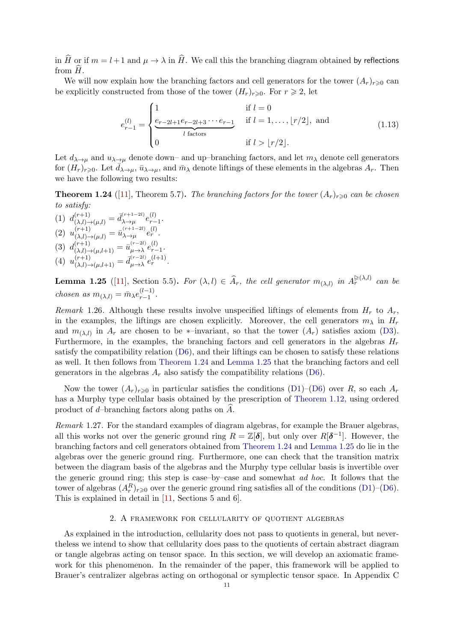in  $\hat{H}$  or if  $m = l+1$  and  $\mu \to \lambda$  in  $\hat{H}$ . We call this the branching diagram obtained by reflections from  $\hat{H}$ .

<span id="page-11-0"></span>We will now explain how the branching factors and cell generators for the tower  $(A_r)_{r>0}$  can be explicitly constructed from those of the tower  $(H_r)_{r\geqslant0}$ . For  $r\geqslant2$ , let

$$
e_{r-1}^{(l)} = \begin{cases} 1 & \text{if } l = 0 \\ \frac{e_{r-2l+1}e_{r-2l+3}\cdots e_{r-1}}{l \text{ factors}} & \text{if } l = 1,\ldots, \lfloor r/2 \rfloor, \text{ and} \\ 0 & \text{if } l > \lfloor r/2 \rfloor. \end{cases}
$$
(1.13)

Let  $d_{\lambda\to\mu}$  and  $u_{\lambda\to\mu}$  denote down– and up–branching factors, and let  $m_\lambda$  denote cell generators for  $(H_r)_{r\geqslant 0}$ . Let  $d_{\lambda\to\mu}$ ,  $\bar{u}_{\lambda\to\mu}$ , and  $\bar{m}_{\lambda}$  denote liftings of these elements in the algebras  $A_r$ . Then we have the following two results:

**Theorem 1.24** ([\[11\]](#page-35-4), Theorem 5.7). The branching factors for the tower  $(A_r)_{r\geqslant0}$  can be chosen to satisfy:

<span id="page-11-7"></span>(1)  $d^{(r+1)}_{(\lambda,l)\to(\mu,l)} = \bar{d}^{(r+1-2l)}_{\lambda\to\mu}$  $e^{(r+1-2l)}_{\lambda\to\mu}e^{(l)}_{r-1}$  $\frac{v}{r-1}$ . (2)  $u^{(r+1)}_{(\lambda,l)\to(\mu,l)} = \bar{u}^{(r+1-2l)}_{\lambda\to\mu}$  $\overset{(r+1-2l)}{\lambda \rightarrow \mu} e_r^{(l)}.$ (3)  $d_{(\lambda,l)\to(\mu,l+1)}^{(r+1)} = \bar{u}_{\mu\to\lambda}^{(r-2l)}$  $_{\mu \rightarrow \lambda}^{(r-2l)}e_{r-}^{(l)}$  $\frac{(t)}{r-1}$ . (4)  $u^{(r+1)}_{(\lambda,l)\to(\mu,l+1)} = \bar{d}^{(r-2l)}_{\mu\to\lambda}$  $e^{(r-2l)}_{\mu\to\lambda}e^{(l+1)}_{r}.$ 

<span id="page-11-2"></span>**Lemma 1.25** ([\[11\]](#page-35-4), Section 5.5). For  $(\lambda, l) \in \widehat{A}_r$ , the cell generator  $m_{(\lambda, l)}$  in  $A_r^{\geq (\lambda, l)}$  can be chosen as  $m_{(\lambda,l)} = \bar{m}_{\lambda} e_{r-1}^{(l-1)}$  $\frac{(i-1)}{r-1}$ .

<span id="page-11-5"></span>Remark 1.26. Although these results involve unspecified liftings of elements from  $H_r$  to  $A_r$ , in the examples, the liftings are chosen explicitly. Moreover, the cell generators  $m<sub>\lambda</sub>$  in  $H<sub>r</sub>$ and  $m_{(\lambda,l)}$  in  $A_r$  are chosen to be \*-invariant, so that the tower  $(A_r)$  satisfies axiom [\(D3\)](#page-6-4). Furthermore, in the examples, the branching factors and cell generators in the algebras  $H_r$ satisfy the compatibility relation  $(D6)$ , and their liftings can be chosen to satisfy these relations as well. It then follows from [Theorem 1.24](#page-10-1) and [Lemma 1.25](#page-10-2) that the branching factors and cell generators in the algebras  $A_r$  also satisfy the compatibility relations [\(D6\)](#page-6-0).

<span id="page-11-3"></span>Now the tower  $(A_r)_{r\geq 0}$  in particular satisfies the conditions [\(D1\)](#page-5-2)–[\(D6\)](#page-6-0) over R, so each  $A_r$ has a Murphy type cellular basis obtained by the prescription of [Theorem 1.12,](#page-6-6) using ordered product of  $d$ -branching factors along paths on  $A$ .

<span id="page-11-4"></span>Remark 1.27. For the standard examples of diagram algebras, for example the Brauer algebras, all this works not over the generic ground ring  $R = \mathbb{Z}[\delta]$ , but only over  $R[\delta^{-1}]$ . However, the branching factors and cell generators obtained from [Theorem 1.24](#page-10-1) and [Lemma 1.25](#page-10-2) do lie in the algebras over the generic ground ring. Furthermore, one can check that the transition matrix between the diagram basis of the algebras and the Murphy type cellular basis is invertible over the generic ground ring; this step is case–by–case and somewhat ad hoc. It follows that the tower of algebras  $(A_r^R)_{r\geqslant0}$  over the generic ground ring satisfies all of the conditions [\(D1\)](#page-5-2)–[\(D6\)](#page-6-0). This is explained in detail in [\[11,](#page-35-4) Sections 5 and 6].

#### 2. A framework for cellularity of quotient algebras

<span id="page-11-6"></span><span id="page-11-1"></span>As explained in the introduction, cellularity does not pass to quotients in general, but nevertheless we intend to show that cellularity does pass to the quotients of certain abstract diagram or tangle algebras acting on tensor space. In this section, we will develop an axiomatic framework for this phenomenon. In the remainder of the paper, this framework will be applied to Brauer's centralizer algebras acting on orthogonal or symplectic tensor space. In Appendix C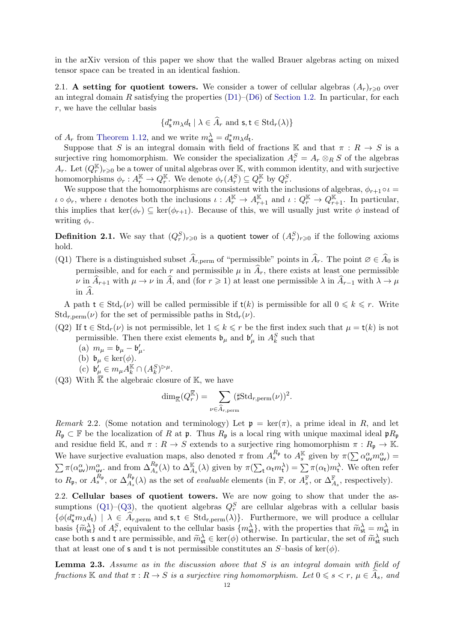in the arXiv version of this paper we show that the walled Brauer algebras acting on mixed tensor space can be treated in an identical fashion.

2.1. A setting for quotient towers. We consider a tower of cellular algebras  $(A_r)_{r\geq 0}$  over an integral domain R satisfying the properties  $(D1)$ – $(D6)$  of [Section 1.2.](#page-5-0) In particular, for each  $r$ , we have the cellular basis

$$
\{d_{\mathsf{s}}^* m_{\lambda} d_{\mathsf{t}} \mid \lambda \in \widehat{A}_r \text{ and } \mathsf{s}, \mathsf{t} \in \text{Std}_r(\lambda) \}
$$

of  $A_r$  from [Theorem 1.12,](#page-6-6) and we write  $m_{\rm st}^{\lambda} = d_{\rm s}^* m_{\lambda} d_{\rm t}$ .

Suppose that S is an integral domain with field of fractions K and that  $\pi : R \to S$  is a surjective ring homomorphism. We consider the specialization  $A_r^S = A_r \otimes_R S$  of the algebras  $A_r$ . Let  $(Q_r^{\mathbb{K}})_{r\geqslant0}$  be a tower of unital algebras over K, with common identity, and with surjective homomorphisms  $\phi_r: A_r^{\mathbb{K}} \to Q_r^{\mathbb{K}}$ . We denote  $\phi_r(A_r^S) \subseteq Q_r^{\mathbb{K}}$  by  $Q_r^S$ .

We suppose that the homomorphisms are consistent with the inclusions of algebras,  $\phi_{r+1} \circ \iota =$  $\iota \circ \phi_r$ , where  $\iota$  denotes both the inclusions  $\iota: A_r^{\mathbb{K}} \to A_{r+1}^{\mathbb{K}}$  and  $\iota: Q_r^{\mathbb{K}} \to Q_{r+1}^{\mathbb{K}}$ . In particular, this implies that  $\ker(\phi_r) \subseteq \ker(\phi_{r+1})$ . Because of this, we will usually just write  $\phi$  instead of writing  $\phi_r$ .

**Definition 2.1.** We say that  $(Q_r^S)_{r\geqslant0}$  is a quotient tower of  $(A_r^S)_{r\geqslant0}$  if the following axioms hold.

<span id="page-12-0"></span>(Q1) There is a distinguished subset  $\widehat{A}_{r,\text{perm}}$  of "permissible" points in  $\widehat{A}_r$ . The point  $\emptyset \in \widehat{A}_0$  is permissible, and for each r and permissible  $\mu$  in  $\hat{A}_r$ , there exists at least one permissible  $\nu$  in  $\widehat{A}_{r+1}$  with  $\mu \to \nu$  in  $\widehat{A}_r$ , and (for  $r \geq 1$ ) at least one permissible  $\lambda$  in  $\widehat{A}_{r-1}$  with  $\lambda \to \mu$ in  $\hat{A}$ .

A path  $t \in \text{Std}_r(\nu)$  will be called permissible if  $t(k)$  is permissible for all  $0 \leq k \leq r$ . Write  $\mathrm{Std}_{r, \mathrm{perm}}(\nu)$  for the set of permissible paths in  $\mathrm{Std}_r(\nu)$ .

- <span id="page-12-3"></span>(Q2) If  $t \in \text{Std}_r(\nu)$  is not permissible, let  $1 \leq k \leq r$  be the first index such that  $\mu = t(k)$  is not permissible. Then there exist elements  $\mathfrak{b}_{\mu}$  and  $\mathfrak{b}'_{\mu}$  in  $A_k^S$  such that
	- (a)  $m_{\mu} = \mathfrak{b}_{\mu} \mathfrak{b}'_{\mu}$ .
	- (b)  $\mathfrak{b}_{\mu} \in \text{ker}(\phi)$ .
	- (c)  $\mathfrak{b}'_{\mu} \in m_{\mu} A^{\mathbb{K}}_k \cap (A^S_k)^{\rhd \mu}$ .
- (Q3) With  $\overline{\mathbb{K}}$  the algebraic closure of  $\mathbb{K}$ , we have

<span id="page-12-2"></span>
$$
\dim_{\overline{\mathbb{K}}}(Q_r^{\overline{\mathbb{K}}}) = \sum_{\nu \in \widehat{A}_{r,\text{perm}}} (\sharp \text{Std}_{r,\text{perm}}(\nu))^2.
$$

Remark 2.2. (Some notation and terminology) Let  $\mathfrak{p} = \ker(\pi)$ , a prime ideal in R, and let  $R_{\mathfrak{p}} \subset \mathbb{F}$  be the localization of R at  $\mathfrak{p}$ . Thus  $R_{\mathfrak{p}}$  is a local ring with unique maximal ideal  $\mathfrak{p}R_{\mathfrak{p}}$ and residue field K, and  $\pi: R \to S$  extends to a surjective ring homomorphism  $\pi: R_{\mathfrak{p}} \to \mathbb{K}$ . We have surjective evaluation maps, also denoted  $\pi$  from  $A_s^{R_p}$  to  $A_s^{K_p}$  given by  $\pi(\sum \alpha_{uv}^{\alpha} m_{uv}^{\alpha}) =$  $\sum \pi(\alpha_{\text{uv}}^{\alpha}) m_{\text{uv}}^{\alpha}$  and from  $\Delta_{A_s}^{R_{\mathfrak{p}}}(\lambda)$  to  $\Delta_{A_s}^{K}(\lambda)$  given by  $\pi(\sum_{\mathsf{t}} \alpha_{\mathsf{t}} m_{\mathsf{t}}^{\lambda}) = \sum \pi(\alpha_{\mathsf{t}}) m_{\mathsf{t}}^{\lambda}$ . We often refer to  $R_{\mathfrak{p}}$ , or  $A_s^{R_{\mathfrak{p}}},$  or  $\Delta_{A_s}^{R_{\mathfrak{p}}}(\lambda)$  as the set of *evaluable* elements (in  $\mathbb{F}$ , or  $A_s^{\mathbb{F}}$ , or  $\Delta_{A_s}^{\mathbb{F}}$ , respectively).

<span id="page-12-1"></span>2.2. Cellular bases of quotient towers. We are now going to show that under the as-sumptions [\(Q1\)](#page-11-2)–[\(Q3\)](#page-11-3), the quotient algebras  $Q_r^S$  are cellular algebras with a cellular basis  $\{\phi(d_s^*m_\lambda d_t) \mid \lambda \in \widehat{A}_{r,\text{perm}} \text{ and } \mathsf{s}, \mathsf{t} \in \text{Std}_{r,\text{perm}}(\lambda)\}.$  Furthermore, we will produce a cellular basis  $\{\widetilde{m}_{\text{st}}^{\lambda}\}\$  of  $A_{\tau}^{S}$ , equivalent to the cellular basis  $\{m_{\text{st}}^{\lambda}\}\$ , with the properties that  $\widetilde{m}_{\text{st}}^{\lambda} = m_{\text{st}}^{\lambda}$  in case both s and t are permissible, and  $\widetilde{m}_{st}^{\lambda} \in \text{ker}(\phi)$  otherwise. In particular, the set of  $\widetilde{m}_{st}^{\lambda}$  such that at least one of **s** and **t** is not permissible constitutes an  $S$ -basis of ker( $\phi$ ).

<span id="page-12-4"></span>**Lemma 2.3.** Assume as in the discussion above that  $S$  is an integral domain with field of fractions K and that  $\pi: R \to S$  is a surjective ring homomorphism. Let  $0 \le s \le r$ ,  $\mu \in A_s$ , and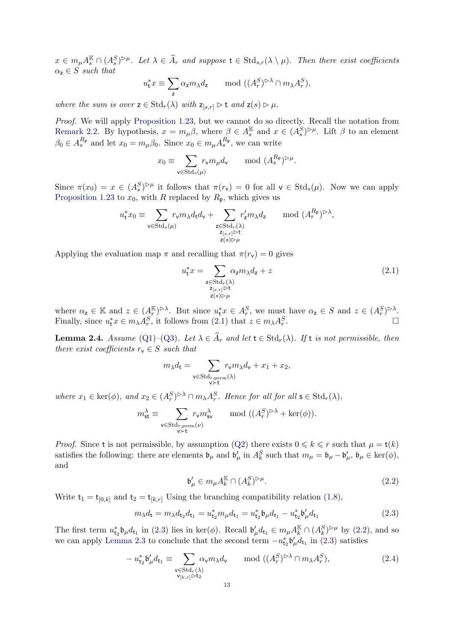$x \in m_\mu A_s^{\mathbb{K}} \cap (A_s^S)^{\rhd \mu}$ . Let  $\lambda \in \widehat{A}_r$  and suppose  $\mathsf{t} \in \text{Std}_{s,r}(\lambda \setminus \mu)$ . Then there exist coefficients  $\alpha_{z} \in S$  such that

$$
u_t^* x \equiv \sum_{\mathbf{z}} \alpha_{\mathbf{z}} m_{\lambda} d_{\mathbf{z}} \quad \mod ((A_r^S)^{\rhd \lambda} \cap m_{\lambda} A_r^S),
$$

where the sum is over  $z \in \text{Std}_r(\lambda)$  with  $z_{[s,r]} \triangleright t$  and  $z(s) \triangleright \mu$ .

Proof. We will apply [Proposition 1.23,](#page-9-1) but we cannot do so directly. Recall the notation from [Remark 2.2.](#page-11-4) By hypothesis,  $x = m_\mu \beta$ , where  $\beta \in A_s^{\mathbb{K}}$  and  $x \in (A_s^S)^{\triangleright \mu}$ . Lift  $\beta$  to an element  $\beta_0 \in A_s^{R_p}$  and let  $x_0 = m_\mu \beta_0$ . Since  $x_0 \in m_\mu A_s^{R_p}$ , we can write

$$
x_0 \equiv \sum_{\mathbf{v} \in \text{Std}_s(\mu)} r_{\mathbf{v}} m_{\mu} d_{\mathbf{v}} \quad \text{mod } (A_s^{R_{\mathfrak{p}}})^{\rhd \mu}.
$$

Since  $\pi(x_0) = x \in (A_s^S)^{\rhd \mu}$  it follows that  $\pi(r_v) = 0$  for all  $v \in \text{Std}_s(\mu)$ . Now we can apply [Proposition 1.23](#page-9-1) to  $x_0$ , with R replaced by  $R_p$ , which gives us

<span id="page-13-0"></span>
$$
u_t^* x_0 \equiv \sum_{\substack{\mathbf{v} \in \text{Std}_s(\mu) \\ \mathbf{z}_{[s,r]} \rhd t}} r_{\mathbf{v}} m_{\lambda} d_{\mathbf{t}} d_{\mathbf{v}} + \sum_{\substack{\mathbf{z} \in \text{Std}_r(\lambda) \\ \mathbf{z}_{[s,r]} \rhd t \\ \mathbf{z}(s) \rhd \mu}} r_{\mathbf{z}}' m_{\lambda} d_{\mathbf{z}} \quad \mod (A_r^{R_\mathbf{p}})^{\rhd \lambda},
$$

Applying the evaluation map  $\pi$  and recalling that  $\pi(r_{\mathsf{v}}) = 0$  gives

<span id="page-13-1"></span>
$$
u_{\mathbf{t}}^* x = \sum_{\substack{\mathbf{z} \in \text{Std}_r(\lambda) \\ \mathbf{z}_{[s,r]} \triangleright \mathbf{t} \\ \mathbf{z}(s) \triangleright \mu}} \alpha_{\mathbf{z}} m_{\lambda} d_{\mathbf{z}} + z \tag{2.1}
$$

where  $\alpha_z \in \mathbb{K}$  and  $z \in (\mathcal{A}_r^{\mathbb{K}})^{\triangleright \lambda}$ . But since  $u_t^* x \in \mathcal{A}_r^S$ , we must have  $\alpha_z \in S$  and  $z \in (\mathcal{A}_r^S)^{\triangleright \lambda}$ . Finally, since  $u_t^* x \in m_\lambda A_r^S$ , it follows from  $(2.1)$  that  $z \in m_\lambda A_r^S$ .

**Lemma 2.4.** Assume [\(Q1\)](#page-11-2)–[\(Q3\)](#page-11-3). Let  $\lambda \in \hat{A}_r$  and let  $t \in \text{Std}_r(\lambda)$ . If t is not permissible, then there exist coefficients  $r_{\mathsf{v}} \in S$  such that

<span id="page-13-2"></span>
$$
m_{\lambda}d_{\mathsf{t}} = \sum_{\substack{\mathsf{v}\in \mathrm{Std}_{r,\mathrm{perm}}(\lambda)\\ \mathsf{v}\succ \mathsf{t}}} r_{\mathsf{v}}m_{\lambda}d_{\mathsf{v}} + x_1 + x_2,
$$

where  $x_1 \in \text{ker}(\phi)$ , and  $x_2 \in (A_r^S)^{\triangleright \lambda} \cap m_{\lambda} A_r^S$ . Hence for all for all  $s \in \text{Std}_r(\lambda)$ ,

$$
m^\lambda_{\mathsf{s}\mathsf{t}} \equiv \sum_{\substack{\mathsf{v}\in \mathrm{Std}_{r,\mathrm{perm}}(\nu)\\ \mathsf{v}\succ \mathsf{t}}} r_\mathsf{v} m^\lambda_{\mathsf{s}\mathsf{v}} ~~\operatorname{mod}~((A_r^S)^{\rhd \lambda} + \ker(\phi)).
$$

<span id="page-13-3"></span>*Proof.* Since t is not permissible, by assumption [\(Q2\)](#page-11-5) there exists  $0 \leq k \leq r$  such that  $\mu = t(k)$ satisfies the following: there are elements  $\mathfrak{b}_{\mu}$  and  $\mathfrak{b}'_{\mu}$  in  $A_k^S$  such that  $m_{\mu} = \mathfrak{b}_{\mu} - \mathfrak{b}'_{\mu}$ ,  $\mathfrak{b}_{\mu} \in \text{ker}(\phi)$ , and

$$
\mathfrak{b}'_{\mu} \in m_{\mu} A_k^{\mathbb{K}} \cap (A_k^S)^{\rhd \mu}.
$$
\n
$$
(2.2)
$$

Write  $t_1 = t_{[0,k]}$  and  $t_2 = t_{[k,r]}$  Using the branching compatibility relation [\(1.8\)](#page-7-2),

$$
m_{\lambda}d_{\mathsf{t}} = m_{\lambda}d_{\mathsf{t}_2}d_{\mathsf{t}_1} = u_{\mathsf{t}_2}^*m_{\mu}d_{\mathsf{t}_1} = u_{\mathsf{t}_2}^* \mathfrak{b}_{\mu}d_{\mathsf{t}_1} - u_{\mathsf{t}_2}^* \mathfrak{b}_{\mu}'d_{\mathsf{t}_1}
$$
\n(2.3)

The first term  $u_{t_2}^*\mathfrak{b}_{\mu}d_{t_1}$  in [\(2.3\)](#page-12-1) lies in ker( $\phi$ ). Recall  $\mathfrak{b}'_{\mu}d_{t_1} \in m_{\mu}A_k^{\mathbb{K}} \cap (A_k^S)^{\rhd \mu}$  by [\(2.2\)](#page-12-2), and so we can apply [Lemma 2.3](#page-11-6) to conclude that the second term  $-u_{t_2}^* \mathfrak{b}'_{\mu} d_{t_1}$  in [\(2.3\)](#page-12-1) satisfies

$$
-u_{\mathsf{t}_2}^* \mathfrak{b}'_{\mu} d_{\mathsf{t}_1} \equiv \sum_{\substack{\mathsf{v} \in \text{Std}_r(\lambda) \\ \mathsf{v}_{[k,r]} \triangleright \mathsf{t}_2}} \alpha_{\mathsf{v}} m_{\lambda} d_{\mathsf{v}} \qquad \text{mod } ((A_r^S)^{\triangleright \lambda} \cap m_{\lambda} A_r^S),\tag{2.4}
$$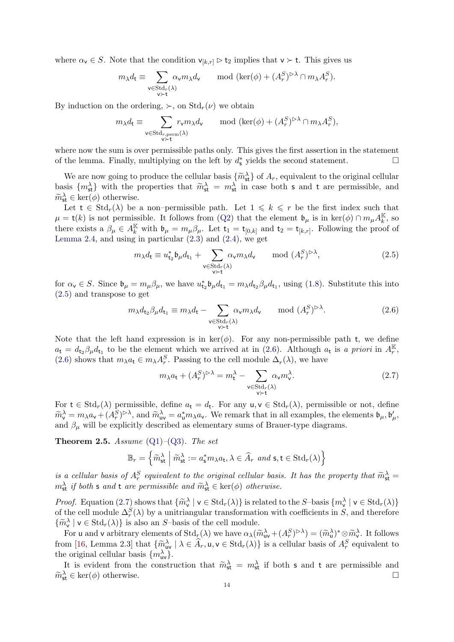<span id="page-14-0"></span>where  $\alpha_{\mathsf{v}} \in S$ . Note that the condition  $\mathsf{v}_{[k,r]} \triangleright \mathsf{t}_2$  implies that  $\mathsf{v} \succ \mathsf{t}$ . This gives us

$$
m_{\lambda}d_{\mathsf{t}} \equiv \sum_{\substack{\mathsf{v}\in \mathrm{Std}_r(\lambda)\\ \mathsf{v}\succ \mathsf{t}}} \alpha_{\mathsf{v}} m_{\lambda}d_{\mathsf{v}} \quad \mod(\ker(\phi) + (A_r^S)^{\vartriangleright \lambda} \cap m_{\lambda}A_r^S).
$$

<span id="page-14-3"></span><span id="page-14-1"></span>By induction on the ordering,  $\succ$ , on  $\text{Std}_r(\nu)$  we obtain

$$
m_\lambda d_{\mathsf t} \equiv \sum_{\substack{\mathsf v \in \mathrm{Std}_{r,\mathrm{perm}}(\lambda) \\ \mathsf v \succ \mathsf t}} r_{\mathsf v} m_\lambda d_{\mathsf v} \quad \mod(\ker(\phi) + (A_r^S)^{\vartriangleright\lambda} \cap m_\lambda A_r^S),
$$

where now the sum is over permissible paths only. This gives the first assertion in the statement of the lemma. Finally, multiplying on the left by  $d^*_{\mathsf{s}}$  yields the second statement.

<span id="page-14-2"></span>We are now going to produce the cellular basis  $\{\widetilde{m}_{\text{st}}^{\lambda}\}\$  of  $A_r$ , equivalent to the original cellular basis  $\{m_{\rm st}^{\lambda}\}\$  with the properties that  $\widetilde{m}_{\rm st}^{\lambda} = m_{\rm st}^{\lambda}$  in case both **s** and **t** are permissible, and  $\widetilde{m}_{\rm st}^{\lambda} = 1$  $\widetilde{m}_{\text{st}}^{\lambda} \in \text{ker}(\phi)$  otherwise.

<span id="page-14-4"></span>Let  $t \in \text{Std}_r(\lambda)$  be a non-permissible path. Let  $1 \leq k \leq r$  be the first index such that  $\mu = \mathsf{t}(k)$  is not permissible. It follows from [\(Q2\)](#page-11-5) that the element  $\mathfrak{b}_{\mu}$  is in ker $(\phi) \cap m_{\mu} A^{\mathbb{K}}_k$ , so there exists a  $\beta_{\mu} \in A_k^{\mathbb{K}}$  with  $\mathfrak{b}_{\mu} = m_{\mu} \beta_{\mu}$ . Let  $\mathsf{t}_1 = \mathsf{t}_{[0,k]}$  and  $\mathsf{t}_2 = \mathsf{t}_{[k,r]}$ . Following the proof of [Lemma 2.4,](#page-12-3) and using in particular  $(2.3)$  and  $(2.4)$ , we get

$$
m_{\lambda}d_{\mathsf{t}} \equiv u_{\mathsf{t}_2}^* \mathfrak{b}_{\mu} d_{\mathsf{t}_1} + \sum_{\substack{\mathsf{v} \in \text{Std}_r(\lambda) \\ \mathsf{v} \succ \mathsf{t}}} \alpha_{\mathsf{v}} m_{\lambda} d_{\mathsf{v}} \qquad \text{mod } (A_r^S)^{\rhd \lambda},\tag{2.5}
$$

for  $\alpha_{\mathsf{v}} \in S$ . Since  $\mathfrak{b}_{\mu} = m_{\mu} \beta_{\mu}$ , we have  $u_{\mathsf{t}_2}^* \mathfrak{b}_{\mu} d_{\mathsf{t}_1} = m_{\lambda} d_{\mathsf{t}_2} \beta_{\mu} d_{\mathsf{t}_1}$ , using [\(1.8\)](#page-7-2). Substitute this into [\(2.5\)](#page-13-0) and transpose to get

$$
m_{\lambda}d_{\mathsf{t}_2}\beta_{\mu}d_{\mathsf{t}_1} \equiv m_{\lambda}d_{\mathsf{t}} - \sum_{\substack{\mathsf{v}\in \text{Std}_{r}(\lambda) \\ \mathsf{v}\succ\mathsf{t}}} \alpha_{\mathsf{v}}m_{\lambda}d_{\mathsf{v}} \qquad \text{mod } (A_r^S)^{\rhd \lambda}.
$$
 (2.6)

Note that the left hand expression is in  $\text{ker}(\phi)$ . For any non-permissible path t, we define  $a_t = d_{t_2} \beta_\mu d_{t_1}$  to be the element which we arrived at in [\(2.6\)](#page-13-1). Although  $a_t$  is a priori in  $A_r^{\mathbb{K}}$ , [\(2.6\)](#page-13-1) shows that  $m_{\lambda}a_t \in m_{\lambda}A_r^S$ . Passing to the cell module  $\Delta_r(\lambda)$ , we have

$$
m_{\lambda}a_{t} + (A_{r}^{S})^{\triangleright\lambda} = m_{t}^{\lambda} - \sum_{\substack{\mathsf{v}\in\text{Std}_{r}(\lambda) \\ \mathsf{v}\succ t}} \alpha_{\mathsf{v}}m_{\mathsf{v}}^{\lambda}.
$$
\n(2.7)

For  $t \in \text{Std}_r(\lambda)$  permissible, define  $a_t = d_t$ . For any  $u, v \in \text{Std}_r(\lambda)$ , permissible or not, define  $\widetilde{m}_{\mathbf{v}}^{\lambda} = m_{\lambda} a_{\mathbf{v}} + (A_r^S)^{\triangleright \lambda}$ , and  $\widetilde{m}_{\mathbf{u}}^{\lambda} = a_{\mathbf{u}}^* m_{\lambda} a_{\mathbf{v}}$ . We remark that in all examples, the elements  $\mathfrak{b}_{\mu}, \mathfrak{b}'_{\mu}$ , and  $\beta_{\mu}$  will be explicitly described as elementary sums of Brauer-type diagrams.

**Theorem 2.5.** Assume  $(Q1)$ – $(Q3)$ . The set

$$
\mathbb{B}_r = \left\{ \widetilde{m}_{\text{st}}^{\lambda} \; \middle| \; \widetilde{m}_{\text{st}}^{\lambda} := a_{\text{s}}^* m_{\lambda} a_{\text{t}}, \lambda \in \widehat{A}_r \text{ and } \text{s}, \text{t} \in \text{Std}_r(\lambda) \right\}
$$

is a cellular basis of  $A_r^S$  equivalent to the original cellular basis. It has the property that  $\widetilde{m}_{\text{st}}^{\lambda} =$  $m_{\text{st}}^{\lambda}$  if both **s** and **t** are permissible and  $\widetilde{m}_{\text{st}}^{\lambda} \in \text{ker}(\phi)$  otherwise.

*Proof.* Equation [\(2.7\)](#page-13-2) shows that  $\{\widetilde{m}_v^\lambda \mid v \in \text{Std}_r(\lambda)\}\$  is related to the S–basis  $\{m_v^\lambda \mid v \in \text{Std}_r(\lambda)\}\$ of the cell module  $\Delta_r^S(\lambda)$  by a unitriangular transformation with coefficients in S, and therefore  $\{\widetilde{m}_{\mathbf{v}}^{\lambda} \mid \mathbf{v} \in \text{Std}_{r}(\lambda)\}\)$  is also an S-basis of the cell module.

For u and v arbitrary elements of  $\text{Std}_r(\lambda)$  we have  $\alpha_\lambda(\widetilde{m}_{uv}^\lambda + (A_r^S)^{\triangleright \lambda}) = (\widetilde{m}_u^\lambda)^* \otimes \widetilde{m}_v^\lambda$ . It follows from [\[16,](#page-35-14) Lemma 2.3] that  $\{\widetilde{m}_{\text{uv}}^{\lambda} | \lambda \in \widehat{A}_r, \mathsf{u}, \mathsf{v} \in \text{Std}_r(\lambda)\}\$ is a cellular basis of  $A_r^S$  equivalent to the original cellular basis  $\{m_{uv}^{\lambda}\}.$ 

<span id="page-14-5"></span>It is evident from the construction that  $\widetilde{m}_{\text{st}}^{\lambda} = m_{\text{st}}^{\lambda}$  if both s and t are permissible and  $\widetilde{m}_{\rm st}^{\lambda} \in \text{ker}(\phi)$  otherwise.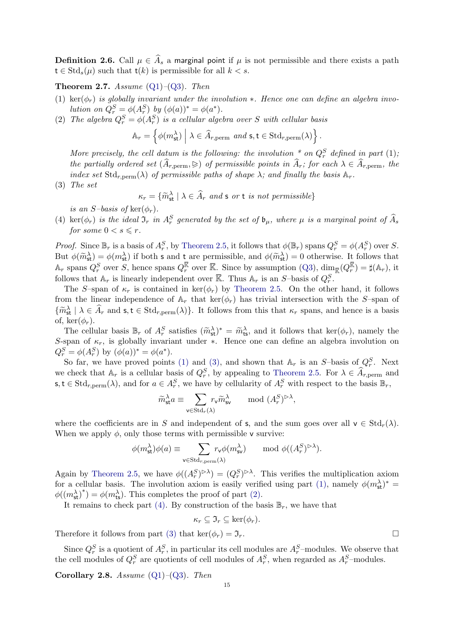**Definition 2.6.** Call  $\mu \in \widehat{A}_s$  a marginal point if  $\mu$  is not permissible and there exists a path  $t \in \text{Std}_s(\mu)$  such that  $t(k)$  is permissible for all  $k < s$ .

#### **Theorem 2.7.** Assume  $(Q1)$ – $(Q3)$ . Then

- (1) ker( $\phi_r$ ) is globally invariant under the involution  $\ast$ . Hence one can define an algebra involution on  $Q_r^S = \phi(A_r^S)$  by  $(\phi(a))^* = \phi(a^*)$ .
- (2) The algebra  $Q_r^S = \phi(A_r^S)$  is a cellular algebra over S with cellular basis

$$
\mathbb{A}_r = \left\{ \phi(m_{\text{st}}^{\lambda}) \; \middle| \; \lambda \in \widehat{A}_{r, \text{perm}} \text{ and } \text{s}, \text{t} \in \text{Std}_{r, \text{perm}}(\lambda) \right\}.
$$

More precisely, the cell datum is the following: the involution  $\gamma$  on  $Q_r^S$  defined in part (1); the partially ordered set  $(\widehat{A}_{r,\text{perm}}, \geqslant)$  of permissible points in  $\widehat{A}_r$ ; for each  $\lambda \in \widehat{A}_{r,\text{perm}}$ , the index set Std<sub>r,perm</sub>( $\lambda$ ) of permissible paths of shape  $\lambda$ ; and finally the basis  $\mathbb{A}_r$ .

(3) The set

$$
\kappa_r = \{ \widetilde{m}_{\mathsf{st}}^{\lambda} \mid \lambda \in \widehat{A}_r \text{ and } \mathsf{s} \text{ or } \mathsf{t} \text{ is not permissible} \}
$$

is an S-basis of ker $(\phi_r)$ .

(4)  $\text{ker}(\phi_r)$  is the ideal  $\mathfrak{I}_r$  in  $A_r^S$  generated by the set of  $\mathfrak{b}_{\mu}$ , where  $\mu$  is a marginal point of  $\widehat{A}_s$ for some  $0 < s \leq r$ .

*Proof.* Since  $\mathbb{B}_r$  is a basis of  $A_r^S$ , by [Theorem 2.5,](#page-13-3) it follows that  $\phi(\mathbb{B}_r)$  spans  $Q_r^S = \phi(A_r^S)$  over S. But  $\phi(\widetilde{m}_{\text{st}}^{\lambda}) = \phi(m_{\text{st}}^{\lambda})$  if both s and t are permissible, and  $\phi(\widetilde{m}_{\text{st}}^{\lambda}) = 0$  otherwise. It follows that  $\mathbb{A}_r$  spans  $Q_r^S$  over S, hence spans  $Q_r^{\mathbb{K}}$  over  $\overline{\mathbb{K}}$ . Since by assumption  $(Q_3)$ ,  $\dim_{\overline{\mathbb{K}}}(Q_r^{\mathbb{K}}) = \sharp(\mathbb{A}_r)$ , it follows that  $A_r$  is linearly independent over  $\overline{\mathbb{K}}$ . Thus  $A_r$  is an S-basis of  $Q_r^S$ .

The S-span of  $\kappa_r$  is contained in ker( $\phi_r$ ) by [Theorem 2.5.](#page-13-3) On the other hand, it follows from the linear independence of  $A_r$  that  $\ker(\phi_r)$  has trivial intersection with the S-span of  $\{\widetilde{m}_{\text{st}}^{\lambda} \mid \lambda \in \widehat{A}_r \text{ and } \mathsf{s}, \mathsf{t} \in \text{Std}_{r,\text{perm}}(\lambda)\}.$  It follows from this that  $\kappa_r$  spans, and hence is a basis of, ker $(\phi_r)$ .

The cellular basis  $\mathbb{B}_r$  of  $A_r^S$  satisfies  $(\widetilde{m}_{\rm st}^{\lambda})^* = \widetilde{m}_{\rm ts}^{\lambda}$ , and it follows that ker $(\phi_r)$ , namely the S-span of  $\kappa_r$ , is globally invariant under  $*$ . Hence one can define an algebra involution on  $Q_r^S = \phi(A_r^S)$  by  $(\phi(a))^* = \phi(a^*).$ 

<span id="page-15-0"></span>So far, we have proved points [\(1\)](#page-14-1) and [\(3\),](#page-14-2) and shown that  $A_r$  is an S-basis of  $Q_r^S$ . Next we check that  $A_r$  is a cellular basis of  $Q_r^S$ , by appealing to [Theorem 2.5.](#page-13-3) For  $\lambda \in \widehat{A}_{r,\text{perm}}$  and  $s, t \in \text{Std}_{r, \text{perm}}(\lambda)$ , and for  $a \in A_r^S$ , we have by cellularity of  $A_r^S$  with respect to the basis  $\mathbb{B}_r$ ,

$$
\widetilde{m}^{\lambda}_{\mathsf{s}\mathsf{t}} a \equiv \sum_{\mathsf{v}\in \mathrm{Std}_r(\lambda)} r_{\mathsf{v}} \widetilde{m}^{\lambda}_{\mathsf{s}\mathsf{v}} \quad \mod (A^S_r)^{\rhd \lambda},
$$

<span id="page-15-1"></span>where the coefficients are in S and independent of s, and the sum goes over all  $\mathsf{v} \in \mathrm{Std}_r(\lambda)$ . When we apply  $\phi$ , only those terms with permissible v survive:

$$
\phi(m^\lambda_{\mathsf{s}\mathsf{t}}) \phi(a) \equiv \sum_{\mathsf{v}\in \mathrm{Std}_{r,\mathrm{perm}}(\lambda)} r_\mathsf{v} \phi(m^\lambda_{\mathsf{s}\mathsf{v}}) \quad \mod \phi((A_r^S)^{\rhd \lambda}).
$$

Again by [Theorem 2.5,](#page-13-3) we have  $\phi((A_r^S)^{\rhd \lambda}) = (Q_r^S)^{\rhd \lambda}$ . This verifies the multiplication axiom for a cellular basis. The involution axiom is easily verified using part [\(1\),](#page-14-1) namely  $\phi(m_{st}^{\lambda})^*$  =  $\phi({(m_{\text{st}}^{\lambda})}^*) = \phi(m_{\text{ts}}^{\lambda})$ . This completes the proof of part [\(2\).](#page-14-3)

It remains to check part [\(4\).](#page-14-4) By construction of the basis  $\mathbb{B}_r$ , we have that

$$
\kappa_r \subseteq \mathfrak{I}_r \subseteq \ker(\phi_r).
$$

Therefore it follows from part [\(3\)](#page-14-2) that  $\ker(\phi_r) = \mathfrak{I}_r$ .

Since  $Q_r^S$  is a quotient of  $A_r^S$ , in particular its cell modules are  $A_r^S$ -modules. We observe that the cell modules of  $Q_r^S$  are quotients of cell modules of  $A_r^S$ , when regarded as  $A_r^S$ -modules.

Corollary 2.8. Assume  $(Q1)$ – $(Q3)$ . Then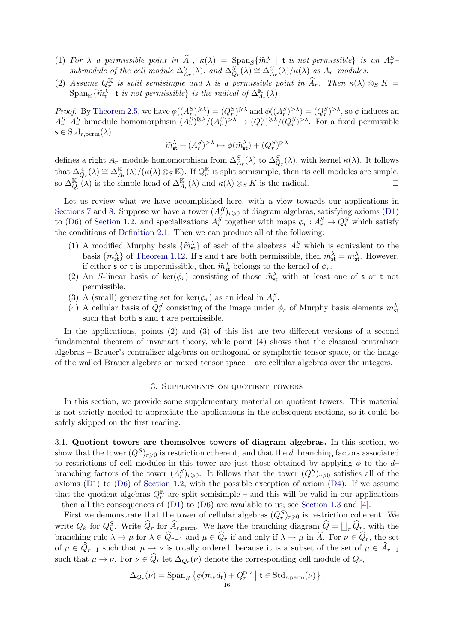- <span id="page-16-0"></span>(1) For  $\lambda$  a permissible point in  $\hat{A}_r$ ,  $\kappa(\lambda) = \text{Span}_S\{\tilde{m}_k^{\lambda} \mid \text{t is not permissible} \}$  is an  $A_r^S$ submodule of the cell module  $\Delta_{A_r}^S(\lambda)$ , and  $\Delta_{Q_r}^S(\lambda) \cong \Delta_{A_r}^S(\lambda)/\kappa(\lambda)$  as  $A_r$ -modules.
- (2) Assume  $Q_r^{\mathbb{K}}$  is split semisimple and  $\lambda$  is a permissible point in  $\widehat{A}_r$ . Then  $\kappa(\lambda) \otimes_S K =$  $\text{Span}_{\mathbb{K}}\{\widetilde{m}_t^{\lambda} \mid t \text{ is not permissible}\}$  is the radical of  $\Delta_{A_r}^{\mathbb{K}}(\lambda)$ .

Proof. By [Theorem 2.5,](#page-13-3) we have  $\phi((A_r^S)^{\triangleright\lambda}) = (Q_r^S)^{\triangleright\lambda}$  and  $\phi((A_r^S)^{\triangleright\lambda}) = (Q_r^S)^{\triangleright\lambda}$ , so  $\phi$  induces an  $A_r^S-A_r^S$  bimodule homomorphism  $(A_r^S)^{\triangleright\lambda}/(A_r^S)^{\triangleright\lambda} \to (Q_r^S)^{\triangleright\lambda}/(Q_r^S)^{\triangleright\lambda}$ . For a fixed permissible  $\mathsf{s} \in \text{Std}_{r, \text{perm}}(\lambda),$ 

$$
\widetilde{m}^{\lambda}_{\mathsf{st}} + (A^S_r)^{\triangleright\lambda} \mapsto \phi(\widetilde{m}^{\lambda}_{\mathsf{st}}) + (Q^S_r)^{\triangleright\lambda}
$$

defines a right  $A_r$ -module homomorphism from  $\Delta_{A_r}^S(\lambda)$  to  $\Delta_{Q_r}^S(\lambda)$ , with kernel  $\kappa(\lambda)$ . It follows that  $\Delta_{Q_r}^{\mathbb{K}}(\lambda) \cong \Delta_{A_r}^{\mathbb{K}}(\lambda)/(\kappa(\lambda) \otimes_S \mathbb{K})$ . If  $Q_r^{\mathbb{K}}$  is split semisimple, then its cell modules are simple, so  $\Delta_{Q_r}^{\mathbb{K}}(\lambda)$  is the simple head of  $\Delta_{A_r}^{\mathbb{K}}(\lambda)$  and  $\kappa(\lambda) \otimes_S K$  is the radical.

Let us review what we have accomplished here, with a view towards our applications in [Sections 7](#page-25-0) and [8.](#page-30-1) Suppose we have a tower  $(A_r^R)_{r\geqslant0}$  of diagram algebras, satisfying axioms [\(D1\)](#page-5-2) to [\(D6\)](#page-6-0) of [Section 1.2.](#page-5-0) and specializations  $A_r^S$  together with maps  $\phi_r : A_r^S \to Q_r^S$  which satisfy the conditions of [Definition 2.1.](#page-11-7) Then we can produce all of the following:

- (1) A modified Murphy basis  $\{\widetilde{m}_{\mathtt{st}}^{\lambda}\}\$  of each of the algebras  $A_{\tau}^{S}$  which is equivalent to the basis  $\{m_{\text{st}}^{\lambda}\}\$  of [Theorem 1.12.](#page-6-6) If **s** and **t** are both permissible, then  $\widetilde{m}_{\text{st}}^{\lambda} = m_{\text{st}}^{\lambda}$ . However, if either s or t is impermissible, then  $\widetilde{m}_{\text{st}}^{\lambda}$  belongs to the kernel of  $\phi_r$ .
- (2) An S-linear basis of ker( $\phi_r$ ) consisting of those  $\widetilde{m}_{st}^{\lambda}$  with at least one of s or t not permissible.
- <span id="page-16-1"></span>(3) A (small) generating set for  $\ker(\phi_r)$  as an ideal in  $A_r^S$ .
- (4) A cellular basis of  $Q_r^S$  consisting of the image under  $\phi_r$  of Murphy basis elements  $m_{st}^{\lambda}$ such that both s and t are permissible.

In the applications, points  $(2)$  and  $(3)$  of this list are two different versions of a second fundamental theorem of invariant theory, while point (4) shows that the classical centralizer algebras – Brauer's centralizer algebras on orthogonal or symplectic tensor space, or the image of the walled Brauer algebras on mixed tensor space – are cellular algebras over the integers.

#### 3. Supplements on quotient towers

In this section, we provide some supplementary material on quotient towers. This material is not strictly needed to appreciate the applications in the subsequent sections, so it could be safely skipped on the first reading.

<span id="page-16-2"></span>3.1. Quotient towers are themselves towers of diagram algebras. In this section, we show that the tower  $(Q_r^S)_{r\geq 0}$  is restriction coherent, and that the d-branching factors associated to restrictions of cell modules in this tower are just those obtained by applying  $\phi$  to the d– branching factors of the tower  $(A_r^S)_{r\geqslant0}$ . It follows that the tower  $(Q_r^S)_{r\geqslant0}$  satisfies all of the axioms [\(D1\)](#page-5-2) to [\(D6\)](#page-6-0) of [Section 1.2,](#page-5-0) with the possible exception of axiom [\(D4\)](#page-6-5). If we assume that the quotient algebras  $Q_{r}^{\mathbb{K}}$  are split semisimple – and this will be valid in our applications – then all the consequences of [\(D1\)](#page-5-2) to [\(D6\)](#page-6-0) are available to us; see [Section 1.3](#page-8-0) and [\[4\]](#page-35-11).

First we demonstrate that the tower of cellular algebras  $(Q_r^S)_{r\geqslant0}$  is restriction coherent. We write  $Q_k$  for  $Q_k^S$ . Write  $\widehat{Q}_r$  for  $\widehat{A}_{r,\text{perm}}$ . We have the branching diagram  $\widehat{Q} = \bigsqcup_r \widehat{Q}_r$ , with the branching rule  $\lambda \to \mu$  for  $\lambda \in \widehat{Q}_{r-1}$  and  $\mu \in \widehat{Q}_r$  if and only if  $\lambda \to \mu$  in  $\widehat{A}$ . For  $\nu \in \widehat{Q}_r$ , the set of  $\mu \in \hat{Q}_{r-1}$  such that  $\mu \to \nu$  is totally ordered, because it is a subset of the set of  $\mu \in \hat{A}_{r-1}$ such that  $\mu \to \nu$ . For  $\nu \in Q_r$  let  $\Delta_{Q_r}(\nu)$  denote the corresponding cell module of  $Q_r$ ,

$$
\Delta_{Q_r}(\nu) = \operatorname{Span}_R \left\{ \phi(m_{\nu}d_t) + Q_r^{\triangleright \nu} \mid t \in \operatorname{Std}_{r, \text{perm}}(\nu) \right\}.
$$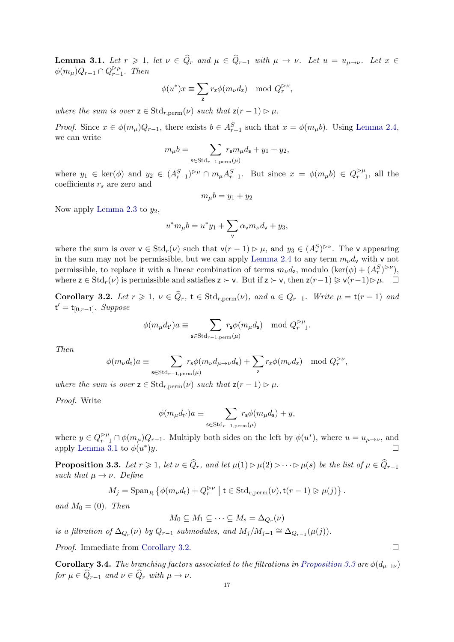**Lemma 3.1.** Let  $r \geq 1$ , let  $\nu \in \hat{Q}_r$  and  $\mu \in \hat{Q}_{r-1}$  with  $\mu \to \nu$ . Let  $u = u_{\mu \to \nu}$ . Let  $x \in \mathcal{Q}_{r-1}$  $\phi(m_\mu)Q_{r-1}\cap Q_{r-1}^{\rhd\mu}$  $\sum_{r=1}^{\infty}$ . Then

$$
\phi(u^*)x \equiv \sum_{\mathsf{z}} r_{\mathsf{z}} \phi(m_{\nu} d_{\mathsf{z}}) \mod Q_r^{\rhd \nu},
$$

where the sum is over  $z \in \text{Std}_{r, \text{perm}}(\nu)$  such that  $z(r-1) \triangleright \mu$ .

*Proof.* Since  $x \in \phi(m_\mu)Q_{r-1}$ , there exists  $b \in A_{r-1}^S$  such that  $x = \phi(m_\mu b)$ . Using [Lemma 2.4,](#page-12-3) we can write

$$
m_{\mu}b = \sum_{\mathsf{s} \in \text{Std}_{r-1, \text{perm}}(\mu)} r_{\mathsf{s}} m_{\mu}d_{\mathsf{s}} + y_1 + y_2,
$$

where  $y_1 \in \text{ker}(\phi)$  and  $y_2 \in (A_{r-1}^S)^{\rhd \mu} \cap m_\mu A_{r-1}^S$ . But since  $x = \phi(m_\mu b) \in Q_{r-1}^{\rhd \mu}$  $r-1$ <sup> $\mu$ </sup>, all the coefficients  $r_s$  are zero and

$$
m_{\mu}b = y_1 + y_2
$$

Now apply [Lemma 2.3](#page-11-6) to  $y_2$ ,

$$
u^*m_\mu b = u^*y_1 + \sum_{\mathsf{v}} \alpha_{\mathsf{v}} m_\nu d_{\mathsf{v}} + y_3,
$$

<span id="page-17-0"></span>where the sum is over  $\mathsf{v} \in \text{Std}_r(\nu)$  such that  $\mathsf{v}(r-1) \triangleright \mu$ , and  $y_3 \in (A_r^S)^{\triangleright \nu}$ . The  $\mathsf{v}$  appearing in the sum may not be permissible, but we can apply [Lemma 2.4](#page-12-3) to any term  $m_{\nu}d_{v}$  with v not permissible, to replace it with a linear combination of terms  $m_{\nu}d_z$ , modulo  $(\ker(\phi) + (A_r^S)^{\rhd \nu}),$ where  $z \in \text{Std}_r(\nu)$  is permissible and satisfies  $z \succ v$ . But if  $z \succ v$ , then  $z(r-1) \triangleright \nu(r-1) \triangleright \mu$ .  $\square$ 

<span id="page-17-4"></span><span id="page-17-1"></span>Corollary 3.2. Let  $r \geq 1$ ,  $\nu \in \widehat{Q}_r$ ,  $t \in \text{Std}_{r, \text{perm}}(\nu)$ , and  $a \in Q_{r-1}$ . Write  $\mu = t(r-1)$  and  $t' = t_{[0,r-1]}$ . Suppose

$$
\phi(m_{\mu}d_{\mathsf{t}'})a \equiv \sum_{\mathsf{s} \in \text{Std}_{r-1,\text{perm}}(\mu)} r_{\mathsf{s}}\phi(m_{\mu}d_{\mathsf{s}}) \mod Q_{r-1}^{\rhd \mu}.
$$

<span id="page-17-5"></span>Then

$$
\phi(m_{\nu}d_{\mathsf{t}})a \equiv \sum_{\mathsf{s}\in \text{Std}_{r-1,\text{perm}}(\mu)} r_{\mathsf{s}}\phi(m_{\nu}d_{\mu\rightarrow\nu}d_{\mathsf{s}}) + \sum_{\mathsf{z}} r_{\mathsf{z}}\phi(m_{\nu}d_{\mathsf{z}}) \mod Q_{r}^{\rhd \nu},
$$

where the sum is over  $z \in \text{Std}_{r, \text{perm}}(\nu)$  such that  $z(r-1) \triangleright \mu$ .

<span id="page-17-3"></span><span id="page-17-2"></span>Proof. Write

$$
\phi(m_{\mu}d_{\mathsf{t}'})a \equiv \sum_{\mathsf{s}\in \mathrm{Std}_{r-1,\mathrm{perm}}(\mu)}\!\!\!\!\!\!\!\!\!r_{\mathsf{s}}\phi(m_{\mu}d_{\mathsf{s}})+y,
$$

where  $y \in Q_{r-1}^{\rhd \mu} \cap \phi(m_\mu)Q_{r-1}$ . Multiply both sides on the left by  $\phi(u^*)$ , where  $u = u_{\mu \to \nu}$ , and apply [Lemma 3.1](#page-16-0) to  $\phi(u^*)$  $)y.$ 

**Proposition 3.3.** Let  $r \geq 1$ , let  $\nu \in \widehat{Q}_r$ , and let  $\mu(1) \triangleright \mu(2) \triangleright \cdots \triangleright \mu(s)$  be the list of  $\mu \in \widehat{Q}_{r-1}$ such that  $\mu \to \nu$ . Define

$$
M_j = \operatorname{Span}_R \left\{ \phi(m_{\nu}d_{\mathsf{t}}) + Q_r^{\rhd \nu} \mid \mathsf{t} \in \operatorname{Std}_{r, \mathrm{perm}}(\nu), \mathsf{t}(r-1) \triangleright \mu(j) \right\}.
$$

and  $M_0 = (0)$ . Then

$$
M_0 \subseteq M_1 \subseteq \cdots \subseteq M_s = \Delta_{Q_r}(\nu)
$$

is a filtration of  $\Delta_{Q_r}(\nu)$  by  $Q_{r-1}$  submodules, and  $M_j/M_{j-1} \cong \Delta_{Q_{r-1}}(\mu(j)).$ 

*Proof.* Immediate from [Corollary 3.2.](#page-16-1) □

**Corollary 3.4.** The branching factors associated to the filtrations in [Proposition 3.3](#page-16-2) are  $\phi(d_{u\rightarrow v})$ for  $\mu \in \widehat{Q}_{r-1}$  and  $\nu \in \widehat{Q}_r$  with  $\mu \to \nu$ .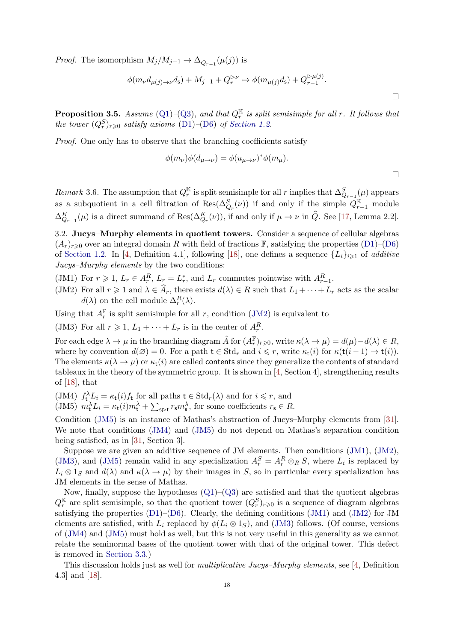<span id="page-18-0"></span>*Proof.* The isomorphism  $M_j/M_{j-1} \to \Delta_{Q_{r-1}}(\mu(j))$  is

$$
\phi(m_{\nu}d_{\mu(j)\to\nu}d_{\mathbf{s}}) + M_{j-1} + Q_r^{\rhd \nu} \mapsto \phi(m_{\mu(j)}d_{\mathbf{s}}) + Q_{r-1}^{\rhd \mu(j)}.
$$

**Proposition 3.5.** Assume [\(Q1\)](#page-11-2)–[\(Q3\)](#page-11-3), and that  $Q_r^{\mathbb{K}}$  is split semisimple for all r. It follows that the tower  $(Q_r^S)_{r\geqslant0}$  satisfy axioms [\(D1\)](#page-5-2)–[\(D6\)](#page-6-0) of [Section 1.2.](#page-5-0)

Proof. One only has to observe that the branching coefficients satisfy

$$
\phi(m_{\nu})\phi(d_{\mu\to\nu}) = \phi(u_{\mu\to\nu})^*\phi(m_{\mu}).
$$

 $\Box$ 

 $\Box$ 

<span id="page-18-1"></span>Remark 3.6. The assumption that  $Q_r^{\mathbb{K}}$  is split semisimple for all r implies that  $\Delta_{Q_{r-1}}^S(\mu)$  appears as a subquotient in a cell filtration of  $\text{Res}(\Delta_{Q_r}^S(\nu))$  if and only if the simple  $Q_{r-1}^{\mathbb{K}}$ -module  $\Delta_{Q_{r-1}}^K(\mu)$  is a direct summand of  $\text{Res}(\Delta_{Q_r}^K(\nu))$ , if and only if  $\mu \to \nu$  in  $\hat{Q}$ . See [\[17,](#page-35-12) Lemma 2.2].

3.2. Jucys–Murphy elements in quotient towers. Consider a sequence of cellular algebras  $(A_r)_{r\geq 0}$  over an integral domain R with field of fractions F, satisfying the properties [\(D1\)](#page-5-2)–[\(D6\)](#page-6-0) of [Section 1.2.](#page-5-0) In [\[4,](#page-35-11) Definition 4.1], following [\[18\]](#page-35-13), one defines a sequence  $\{L_i\}_{i\geq 1}$  of *additive* Jucys–Murphy elements by the two conditions:

- <span id="page-18-2"></span>(JM1) For  $r \geq 1$ ,  $L_r \in A_r^R$ ,  $L_r = L_r^*$ , and  $L_r$  commutes pointwise with  $A_{r-1}^R$ .
- (JM2) For all  $r \geq 1$  and  $\lambda \in \hat{A}_r$ , there exists  $d(\lambda) \in R$  such that  $L_1 + \cdots + L_r$  acts as the scalar  $d(\lambda)$  on the cell module  $\Delta_r^R(\lambda)$ .

Using that  $A_r^{\mathbb{F}}$  is split semisimple for all r, condition [\(JM2\)](#page-17-1) is equivalent to

(JM3) For all  $r \geq 1$ ,  $L_1 + \cdots + L_r$  is in the center of  $A_r^R$ .

<span id="page-18-3"></span>For each edge  $\lambda \to \mu$  in the branching diagram  $\hat{A}$  for  $(A_r^{\mathbb{F}})_{r\geqslant 0}$ , write  $\kappa(\lambda \to \mu) = d(\mu) - d(\lambda) \in R$ , where by convention  $d(\emptyset) = 0$ . For a path  $t \in \text{Std}_r$  and  $i \leq r$ , write  $\kappa_t(i)$  for  $\kappa(t(i-1) \to t(i))$ . The elements  $\kappa(\lambda \to \mu)$  or  $\kappa_t(i)$  are called contents since they generalize the contents of standard tableaux in the theory of the symmetric group. It is shown in [\[4,](#page-35-11) Section 4], strengthening results of [\[18\]](#page-35-13), that

(JM4)  $f_t^{\lambda} L_i = \kappa_t(i) f_t$  for all paths  $t \in \text{Std}_r(\lambda)$  and for  $i \leq r$ , and (JM5)  $m_t^{\lambda} L_i = \kappa_t(i) m_t^{\lambda} + \sum_{s \rhd t} r_s m_s^{\lambda}$ , for some coefficients  $r_s \in R$ .

Condition [\(JM5\)](#page-17-2) is an instance of Mathas's abstraction of Jucys–Murphy elements from [\[31\]](#page-36-10). We note that conditions [\(JM4\)](#page-17-3) and [\(JM5\)](#page-17-2) do not depend on Mathas's separation condition being satisfied, as in [\[31,](#page-36-10) Section 3].

Suppose we are given an additive sequence of JM elements. Then conditions [\(JM1\)](#page-17-4), [\(JM2\)](#page-17-1), [\(JM3\)](#page-17-5), and [\(JM5\)](#page-17-2) remain valid in any specialization  $A_r^S = A_r^R \otimes_R S$ , where  $L_i$  is replaced by  $L_i \otimes 1_S$  and  $d(\lambda)$  and  $\kappa(\lambda \to \mu)$  by their images in S, so in particular every specialization has JM elements in the sense of Mathas.

Now, finally, suppose the hypotheses  $(Q1)-(Q3)$  $(Q1)-(Q3)$  are satisfied and that the quotient algebras  $Q_r^{\mathbb{K}}$  are split semisimple, so that the quotient tower  $(Q_r^S)_{r\geqslant0}$  is a sequence of diagram algebras satisfying the properties  $(D1)$ – $(D6)$ . Clearly, the defining conditions [\(JM1\)](#page-17-4) and [\(JM2\)](#page-17-1) for JM elements are satisfied, with  $L_i$  replaced by  $\phi(L_i \otimes 1_S)$ , and [\(JM3\)](#page-17-5) follows. (Of course, versions of [\(JM4\)](#page-17-3) and [\(JM5\)](#page-17-2) must hold as well, but this is not very useful in this generality as we cannot relate the seminormal bases of the quotient tower with that of the original tower. This defect is removed in [Section 3.3.](#page-18-0))

This discussion holds just as well for multiplicative Jucys–Murphy elements, see [\[4,](#page-35-11) Definition 4.3] and [\[18\]](#page-35-13).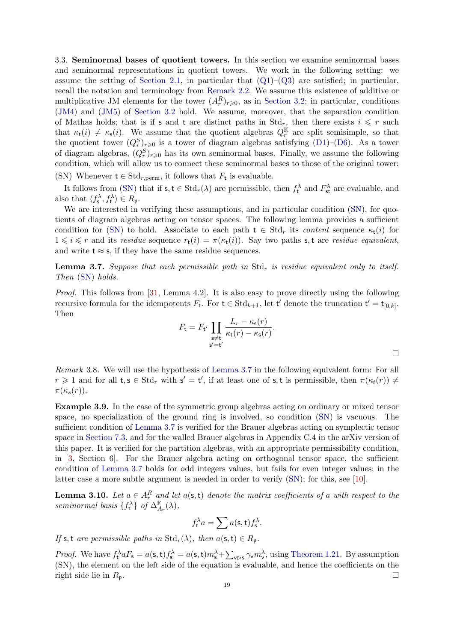3.3. Seminormal bases of quotient towers. In this section we examine seminormal bases and seminormal representations in quotient towers. We work in the following setting: we assume the setting of [Section 2.1,](#page-11-0) in particular that  $(Q1)$ – $(Q3)$  are satisfied; in particular, recall the notation and terminology from [Remark 2.2.](#page-11-4) We assume this existence of additive or multiplicative JM elements for the tower  $(A_r^R)_{r\geqslant0}$ , as in [Section 3.2;](#page-17-0) in particular, conditions [\(JM4\)](#page-17-3) and [\(JM5\)](#page-17-2) of [Section 3.2](#page-17-0) hold. We assume, moreover, that the separation condition of Mathas holds; that is if **s** and **t** are distinct paths in Std<sub>r</sub>, then there exists  $i \leq r$  such that  $\kappa_t(i) \neq \kappa_s(i)$ . We assume that the quotient algebras  $Q_t^{\mathbb{K}}$  are split semisimple, so that the quotient tower  $(Q_r^S)_{r\geqslant0}$  is a tower of diagram algebras satisfying [\(D1\)](#page-5-2)–[\(D6\)](#page-6-0). As a tower of diagram algebras,  $(Q_r^S)_{r\geq 0}$  has its own seminormal bases. Finally, we assume the following condition, which will allow us to connect these seminormal bases to those of the original tower: (SN) Whenever  $t \in \text{Std}_{r, \text{perm}}$ , it follows that  $F_t$  is evaluable.

<span id="page-19-1"></span>It follows from [\(SN\)](#page-18-1) that if  $s, t \in \text{Std}_r(\lambda)$  are permissible, then  $f_t^{\lambda}$  and  $F_{st}^{\lambda}$  are evaluable, and also that  $\langle f_s^{\lambda}, f_t^{\lambda} \rangle \in R_{\mathfrak{p}}$ .

We are interested in verifying these assumptions, and in particular condition [\(SN\)](#page-18-1), for quotients of diagram algebras acting on tensor spaces. The following lemma provides a sufficient condition for [\(SN\)](#page-18-1) to hold. Associate to each path  $t \in Std_r$  its *content* sequence  $\kappa_t(i)$  for  $1 \leq i \leq r$  and its residue sequence  $r_t(i) = \pi(\kappa_t(i))$ . Say two paths s, t are residue equivalent, and write  $t \approx s$ , if they have the same residue sequences.

**Lemma 3.7.** Suppose that each permissible path in  $Std<sub>r</sub>$  is residue equivalent only to itself. Then [\(SN\)](#page-18-1) holds.

*Proof.* This follows from [\[31,](#page-36-10) Lemma 4.2]. It is also easy to prove directly using the following recursive formula for the idempotents  $F_t$ . For  $t \in \text{Std}_{k+1}$ , let  $t'$  denote the truncation  $t' = t_{[0,k]}$ . Then

$$
F_{\mathsf{t}} = F_{\mathsf{t}'} \prod_{\substack{\mathsf{s}\neq \mathsf{t} \\ \mathsf{s}'=\mathsf{t}'}} \frac{L_r - \kappa_{\mathsf{s}}(r)}{\kappa_{\mathsf{t}}(r) - \kappa_{\mathsf{s}}(r)}.
$$

<span id="page-19-0"></span> $\Box$ 

Remark 3.8. We will use the hypothesis of [Lemma 3.7](#page-18-2) in the following equivalent form: For all  $r \geq 1$  and for all  $t,s \in \text{Std}_r$  with  $s' = t'$ , if at least one of s, t is permissible, then  $\pi(\kappa_t(r)) \neq$  $\pi(\kappa_s(r)).$ 

<span id="page-19-2"></span>Example 3.9. In the case of the symmetric group algebras acting on ordinary or mixed tensor space, no specialization of the ground ring is involved, so condition [\(SN\)](#page-18-1) is vacuous. The sufficient condition of [Lemma 3.7](#page-18-2) is verified for the Brauer algebras acting on symplectic tensor space in [Section 7.3,](#page-30-0) and for the walled Brauer algebras in Appendix C.4 in the arXiv version of this paper. It is verified for the partition algebras, with an appropriate permissibility condition, in [\[3,](#page-35-15) Section 6]. For the Brauer algebra acting on orthogonal tensor space, the sufficient condition of [Lemma 3.7](#page-18-2) holds for odd integers values, but fails for even integer values; in the latter case a more subtle argument is needed in order to verify [\(SN\)](#page-18-1); for this, see [\[10\]](#page-35-16).

**Lemma 3.10.** Let  $a \in A_r^R$  and let  $a(s, t)$  denote the matrix coefficients of a with respect to the seminormal basis  $\{f_t^{\lambda}\}\$  of  $\Delta_{A_r}^{\mathbb{F}}(\lambda)$ ,

$$
f_{\mathsf{t}}^{\lambda}a = \sum a(\mathsf{s},\mathsf{t})f_{\mathsf{s}}^{\lambda}.
$$

If s, t are permissible paths in  $\text{Std}_r(\lambda)$ , then  $a(s, t) \in R_p$ .

*Proof.* We have  $f_t^{\lambda} a F_s = a(s, t) f_s^{\lambda} = a(s, t) m_s^{\lambda} + \sum_{\nu \triangleright s} \gamma_{\nu} m_{\nu}^{\lambda}$ , using [Theorem 1.21.](#page-8-3) By assumption (SN), the element on the left side of the equation is evaluable, and hence the coefficients on the right side lie in  $R_p$ .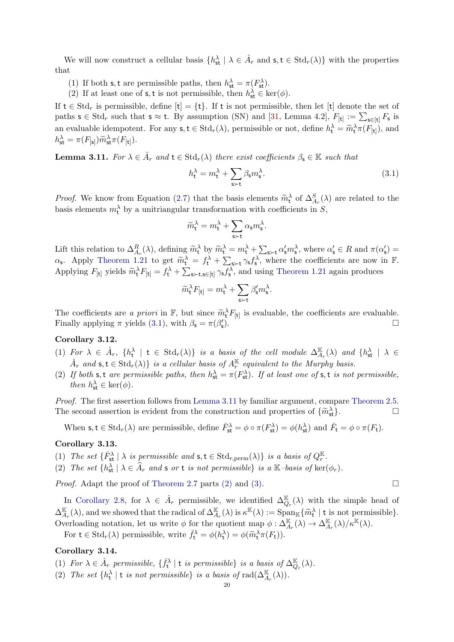We will now construct a cellular basis  $\{h_{st}^{\lambda} \mid \lambda \in \hat{A}_r \text{ and } s, t \in \text{Std}_r(\lambda)\}\$  with the properties that

- (1) If both s, t are permissible paths, then  $h_{\text{st}}^{\lambda} = \pi(F_{\text{st}}^{\lambda})$ .
- (2) If at least one of  $s, t$  is not permissible, then  $h_{st}^{\lambda} \in \text{ker}(\phi)$ .

If  $t \in Std_r$  is permissible, define  $[t] = \{t\}$ . If t is not permissible, then let  $[t]$  denote the set of paths  $\mathsf{s} \in \text{Std}_r$  such that  $\mathsf{s} \approx \mathsf{t}$ . By assumption (SN) and [\[31,](#page-36-10) Lemma 4.2],  $F_{[\mathsf{t}]} := \sum_{\mathsf{s} \in [\mathsf{t}]} F_{\mathsf{s}}$  is an evaluable idempotent. For any  $\mathsf{s}, \mathsf{t} \in \text{Std}_r(\lambda)$ , permissible or not, define  $h_{\mathsf{t}}^{\lambda} = \widetilde{m}_{\mathsf{t}}^{\lambda} \pi(F_{[\mathsf{t}]})$ , and  $h_{\mathsf{st}}^{\lambda} = \pi(F_{[\mathsf{s}]}) \widetilde{m}_{\mathsf{st}}^{\lambda} \pi(F_{[\mathsf{t}]}).$ 

<span id="page-20-5"></span>**Lemma 3.11.** For  $\lambda \in \hat{A}_r$  and  $\mathsf{t} \in \text{Std}_r(\lambda)$  there exist coefficients  $\beta_{\mathsf{s}} \in \mathbb{K}$  such that

$$
h_{\mathsf{t}}^{\lambda} = m_{\mathsf{t}}^{\lambda} + \sum_{\mathsf{s} \succ \mathsf{t}} \beta_{\mathsf{s}} m_{\mathsf{s}}^{\lambda}.
$$
 (3.1)

<span id="page-20-1"></span>*Proof.* We know from Equation [\(2.7\)](#page-13-2) that the basis elements  $\widetilde{m}_t^{\lambda}$  of  $\Delta_{A_r}^S(\lambda)$  are related to the basis elements  $m_t^{\lambda}$  by a unitriangular transformation with coefficients in S,

$$
\widetilde{m}_{\mathsf{t}}^{\lambda} = m_{\mathsf{t}}^{\lambda} + \sum_{\mathsf{s} \succ \mathsf{t}} \alpha_{\mathsf{s}} m_{\mathsf{s}}^{\lambda}.
$$

<span id="page-20-6"></span><span id="page-20-4"></span><span id="page-20-3"></span><span id="page-20-2"></span>Lift this relation to  $\Delta_{A_r}^R(\lambda)$ , defining  $\widetilde{m}_t^{\lambda}$  by  $\widetilde{m}_t^{\lambda} = m_t^{\lambda} + \sum_{s \succ t} \alpha_s' m_s^{\lambda}$ , where  $\alpha_s' \in R$  and  $\pi(\alpha_s') =$  $\alpha_s$ . Apply [Theorem 1.21](#page-8-3) to get  $\widetilde{m}_t^{\lambda} = f_t^{\lambda} + \sum_{s > t} \gamma_s f_s^{\lambda}$ , where the coefficients are now in F. Applying  $F_{[t]}$  yields  $\widetilde{m}_t^{\lambda} F_{[t]} = f_t^{\lambda} + \sum_{s \succ t, s \in [t]} \gamma_s f_s^{\lambda}$ , and using [Theorem 1.21](#page-8-3) again produces

<span id="page-20-7"></span>
$$
\widetilde{m}_{\mathbf{t}}^{\lambda}F_{[\mathbf{t}]} = m_{\mathbf{t}}^{\lambda} + \sum_{\mathbf{s}\succ\mathbf{t}} \beta_{\mathbf{s}}^{\prime}m_{\mathbf{s}}^{\lambda}.
$$

The coefficients are *a priori* in  $\mathbb{F}$ , but since  $\widetilde{m}_t^{\lambda} F_{[t]}$  is evaluable, the coefficients are evaluable. Finally applying  $\pi$  yields [\(3.1\)](#page-19-0), with  $\beta_{\mathsf{s}} = \pi(\beta'_{\mathsf{s}})$ ).  $\qquad \qquad \Box$ 

#### Corollary 3.12.

- (1) For  $\lambda \in \hat{A}_r$ ,  $\{h_t^{\lambda} \mid t \in \text{Std}_r(\lambda)\}\$  is a basis of the cell module  $\Delta_{A_r}^{\mathbb{K}}(\lambda)$  and  $\{h_{\text{st}}^{\lambda} \mid \lambda \in$  $\hat{A}_r$  and  $\mathsf{s}, \mathsf{t} \in \text{Std}_r(\lambda)$  is a cellular basis of  $A_r^{\mathbb{K}}$  equivalent to the Murphy basis.
- (2) If both s, t are permissible paths, then  $h_{st}^{\lambda} = \pi(F_{st}^{\lambda})$ . If at least one of s, t is not permissible, then  $h_{\text{st}}^{\lambda} \in \text{ker}(\phi)$ .

Proof. The first assertion follows from [Lemma 3.11](#page-19-1) by familiar argument, compare [Theorem 2.5.](#page-13-3) The second assertion is evident from the construction and properties of  $\{\tilde{m}_{st}^{\lambda}\}.$ 

When  $s, t \in \text{Std}_r(\lambda)$  are permissible, define  $\overline{F}_{st}^{\lambda} = \phi \circ \pi(F_{st}^{\lambda}) = \phi(h_{st}^{\lambda})$  and  $\overline{F}_t = \phi \circ \pi(F_t)$ .

#### Corollary 3.13.

- (1) The set  $\{ \bar{F}_{\text{st}}^{\lambda} \mid \lambda \text{ is permissible and } \text{s}, \text{t} \in \text{Std}_{r, \text{perm}}(\lambda) \}$  is a basis of  $Q_r^{\mathbb{K}}$ .
- (2) The set  $\{h_{st}^{\lambda} | \lambda \in \hat{A}_r \text{ and } s \text{ or } t \text{ is not permissible}\}\$  is a  $\mathbb{K}\text{-basis of }\text{ker}(\phi_r)$ .

*Proof.* Adapt the proof of [Theorem 2.7](#page-14-0) parts [\(2\)](#page-14-3) and [\(3\).](#page-14-2)  $\Box$ 

In [Corollary 2.8,](#page-14-5) for  $\lambda \in \hat{A}_r$  permissible, we identified  $\Delta_{Q_r}^{\mathbb{K}}(\lambda)$  with the simple head of  $\Delta_{A_r}^{\mathbb{K}}(\lambda)$ , and we showed that the radical of  $\Delta_{A_r}^{\mathbb{K}}(\lambda)$  is  $\kappa^{\mathbb{K}}(\lambda) := \text{Span}_{\mathbb{K}}\{\widetilde{m}_t^{\lambda} \mid t \text{ is not permissible}\}.$ Overloading notation, let us write  $\phi$  for the quotient map  $\phi : \Delta_{A_r}^{\mathbb{K}}(\lambda) \to \Delta_{A_r}^{\mathbb{K}}(\lambda)/\kappa^{\mathbb{K}}(\lambda)$ .

For  $t \in \text{Std}_r(\lambda)$  permissible, write  $\bar{f}_t^{\lambda} = \phi(h_t^{\lambda}) = \phi(\widetilde{m}_t^{\lambda} \pi(F_t)).$ 

#### <span id="page-20-0"></span>Corollary 3.14.

- (1) For  $\lambda \in \hat{A}_r$  permissible,  $\{\bar{f}_{\mathsf{t}}^{\lambda} \mid \mathsf{t}$  is permissible} is a basis of  $\Delta_{Q_r}^{\mathbb{K}}(\lambda)$ .
- (2) The set  $\{h_{\mathbf{t}}^{\lambda} \mid \mathbf{t} \text{ is not permissible}\}\$ is a basis of  $\text{rad}(\Delta_{A_r}^{\mathbb{K}}(\lambda)).$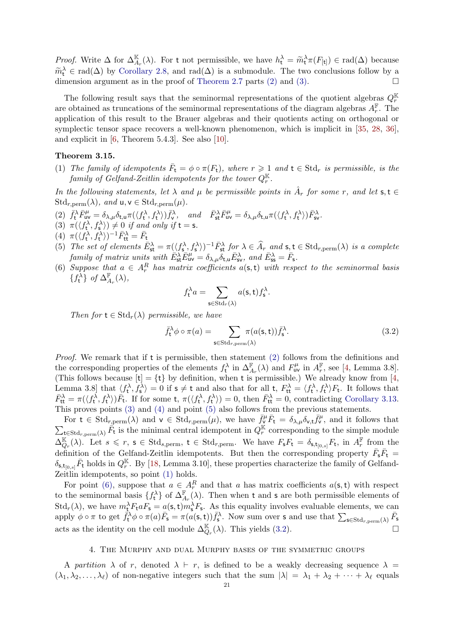*Proof.* Write  $\Delta$  for  $\Delta_{A_r}^{\mathbb{K}}(\lambda)$ . For t not permissible, we have  $h_t^{\lambda} = \widetilde{m}_t^{\lambda} \pi(F_{[t]}) \in rad(\Delta)$  because  $\widetilde{m}_t^{\lambda} \in rad(\Delta)$  by [Corollary 2.8,](#page-14-5) and  $rad(\Delta)$  is a submodule. The two conclusions follow by a dimension argument as in the proof of [Theorem 2.7](#page-14-0) parts [\(2\)](#page-14-3) and [\(3\).](#page-14-2)  $\Box$ 

The following result says that the seminormal representations of the quotient algebras  $Q_r^{\mathbb{K}}$ are obtained as truncations of the seminormal representations of the diagram algebras  $A_r^{\mathbb{F}}$ . The application of this result to the Brauer algebras and their quotients acting on orthogonal or symplectic tensor space recovers a well-known phenomenon, which is implicit in [\[35,](#page-36-11) [28,](#page-36-12) [36\]](#page-36-13), and explicit in  $[6,$  Theorem 5.4.3.]. See also  $[10]$ .

#### Theorem 3.15.

(1) The family of idempotents  $\bar{F}_t = \phi \circ \pi(F_t)$ , where  $r \geq 1$  and  $t \in \text{Std}_r$  is permissible, is the family of Gelfand-Zeitlin idempotents for the tower  $Q_r^{\mathbb{K}}.$ 

In the following statements, let  $\lambda$  and  $\mu$  be permissible points in  $\hat{A}_r$  for some r, and let  $s, t \in$  $\mathrm{Std}_{r, \mathrm{perm}}(\lambda)$ , and  $u, v \in \mathrm{Std}_{r, \mathrm{perm}}(\mu)$ .

- $(2) \ \ \bar{f}_{\mathsf{t}}^{\lambda} \bar{F}_{\mathsf{u}\mathsf{v}}^{\mu} = \delta_{\lambda,\mu} \delta_{\mathsf{t},\mathsf{u}} \pi(\langle f_{\mathsf{t}}^{\lambda}, f_{\mathsf{t}}^{\lambda} \rangle) \bar{f}_{\mathsf{v}}^{\lambda}, \quad and \quad \bar{F}_{\mathsf{st}}^{\lambda} \bar{F}_{\mathsf{u}\mathsf{v}}^{\mu} = \delta_{\lambda,\mu} \delta_{\mathsf{t},\mathsf{u}} \pi(\langle f_{\mathsf{t}}^{\lambda}, f_{\mathsf{t}}^{\lambda} \rangle) \bar{F}_{\mathsf{sv}}^{\lambda}.$
- (3)  $\pi(\langle f_t^{\lambda}, f_s^{\lambda} \rangle) \neq 0$  if and only if  $t = s$ .
- (4)  $\pi(\langle f_{\mathsf{t}}^{\lambda}, f_{\mathsf{t}}^{\lambda} \rangle)^{-1} \bar{F}_{\mathsf{t} \mathsf{t}}^{\lambda} = \bar{F}_{\mathsf{t}}$
- (5) The set of elements  $\bar{E}_{\text{st}}^{\lambda} = \pi(\langle f_{\text{s}}^{\lambda}, f_{\text{s}}^{\lambda} \rangle)^{-1} \bar{F}_{\text{st}}^{\lambda}$  for  $\lambda \in \hat{A}_{r}$  and  $\mathsf{s}, \mathsf{t} \in \text{Std}_{r, \text{perm}}(\lambda)$  is a complete family of matrix units with  $\tilde{E}_{\text{st}}^{\lambda} \tilde{E}_{\text{uv}}^{\mu} = \delta_{\lambda,\mu} \delta_{\text{t,u}} \tilde{E}_{\text{sv}}^{\lambda}$ , and  $\tilde{E}_{\text{ss}}^{\lambda} = \tilde{F}_{\text{s}}$ .
- (6) Suppose that  $a \in A_r^R$  has matrix coefficients  $a(s,t)$  with respect to the seminormal basis  $\{f_{\mathsf{t}}^{\lambda}\}\text{ of }\Delta_{A_r}^{\mathbb{F}}(\lambda),$

$$
f_{\mathsf{t}}^{\lambda} a = \sum_{\mathsf{s} \in \text{Std}_{r}(\lambda)} a(\mathsf{s}, \mathsf{t}) f_{\mathsf{s}}^{\lambda}.
$$

Then for  $t \in \text{Std}_r(\lambda)$  permissible, we have

$$
\bar{f}_{t}^{\lambda} \phi \circ \pi(a) = \sum_{\mathbf{s} \in \text{Std}_{r, \text{perm}}(\lambda)} \pi(a(\mathbf{s}, t)) \bar{f}_{\mathbf{s}}^{\lambda}.
$$
\n(3.2)

Proof. We remark that if t is permissible, then statement [\(2\)](#page-20-1) follows from the definitions and the corresponding properties of the elements  $f_t^{\lambda}$  in  $\Delta_{A_r}^{\mathbb{F}}(\lambda)$  and  $F_{uv}^{\mu}$  in  $A_r^{\mathbb{F}}$ , see [\[4,](#page-35-11) Lemma 3.8]. (This follows because  $[t] = \{t\}$  by definition, when t is permissible.) We already know from [\[4,](#page-35-11) Lemma 3.8 that  $\langle f_t^{\lambda}, f_s^{\lambda} \rangle = 0$  if  $s \neq t$  and also that for all  $t, F_t^{\lambda} = \langle f_t^{\lambda}, f_t^{\lambda} \rangle F_t$ . It follows that  $\bar{F}_{tt}^{\lambda} = \pi(\langle f_t^{\lambda}, f_t^{\lambda} \rangle) \bar{F}_t$ . If for some t,  $\pi(\langle f_t^{\lambda}, f_t^{\lambda} \rangle) = 0$ , then  $\bar{F}_{tt}^{\lambda} = 0$ , contradicting [Corollary 3.13.](#page-19-2) This proves points [\(3\)](#page-20-2) and [\(4\)](#page-20-3) and point [\(5\)](#page-20-4) also follows from the previous statements.

For  $t \in \text{Std}_{r, \text{perm}}(\lambda)$  and  $v \in \text{Std}_{r, \text{perm}}(\mu)$ , we have  $\bar{f}_{\mathbf{v}}^{\mu} \bar{F}_{\mathbf{t}} = \delta_{\lambda, \mu} \delta_{\mathbf{v}, \mathbf{t}} \bar{f}_{\mathbf{v}}^{\mu}$ , and it follows that  $\sum_{t \in \text{Std}_{r, \text{perm}}(\lambda)} \bar{F}_{\mathbf{t}}$  is the minimal central idempotent in  $\Delta_{Q_r}^{\mathbb{K}}(\lambda)$ . Let  $s \leq r$ ,  $s \in \text{Std}_{s, \text{perm}}$ ,  $t \in \text{Std}_{r, \text{perm}}$ . We have  $F_s F_t = \delta_{s, t_{[0, s]}} F_t$ , in  $A_r^{\mathbb{F}}$  from the definition of the Gelfand-Zeitlin idempotents. But then the corresponding property  $\bar{F}_s \bar{F}_t$  =  $\delta_{s,t_{[0,s]}}\bar{F}_{t}$  holds in  $Q_{r}^{\mathbb{K}}$ . By [\[18,](#page-35-13) Lemma 3.10], these properties characterize the family of Gelfand-Zeitlin idempotents, so point [\(1\)](#page-20-5) holds.

For point [\(6\),](#page-20-6) suppose that  $a \in A_r^R$  and that a has matrix coefficients  $a(s, t)$  with respect to the seminormal basis  $\{f_t^{\lambda}\}\$  of  $\Delta_{A_r}^{\mathbb{F}}(\lambda)$ . Then when t and s are both permissible elements of  $\text{Std}_r(\lambda)$ , we have  $m_t^{\lambda} F_t a F_s = a(s, t) m_s^{\lambda} F_s$ . As this equality involves evaluable elements, we can apply  $\phi \circ \pi$  to get  $\bar{f}_{\mathbf{t}}^{\lambda} \phi \circ \pi(a)\bar{F}_{\mathbf{s}} = \pi(a(\mathbf{s}, \mathbf{t}))\bar{f}_{\mathbf{s}}^{\lambda}$ . Now sum over s and use that  $\sum_{\mathbf{s} \in \text{Std}_{r, \text{perm}}(\lambda)} \bar{F}_{\mathbf{s}}$ acts as the identity on the cell module  $\Delta_{Q_r}^{\mathbb{K}}(\lambda)$ . This yields [\(3.2\)](#page-20-7).

#### 4. The Murphy and dual Murphy bases of the symmetric groups

A partition  $\lambda$  of r, denoted  $\lambda \vdash r$ , is defined to be a weakly decreasing sequence  $\lambda =$  $(\lambda_1, \lambda_2, \ldots, \lambda_\ell)$  of non-negative integers such that the sum  $|\lambda| = \lambda_1 + \lambda_2 + \cdots + \lambda_\ell$  equals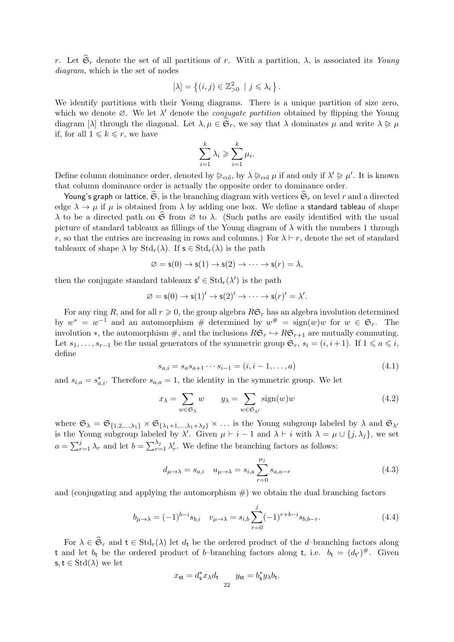r. Let  $\hat{\mathfrak{S}}_r$  denote the set of all partitions of r. With a partition,  $\lambda$ , is associated its Young diagram, which is the set of nodes

$$
[\lambda] = \left\{ (i,j) \in \mathbb{Z}_{>0}^2 \mid j \leq \lambda_i \right\}.
$$

We identify partitions with their Young diagrams. There is a unique partition of size zero, which we denote  $\varnothing$ . We let  $\lambda'$  denote the *conjugate partition* obtained by flipping the Young diagram  $[\lambda]$  through the diagonal. Let  $\lambda, \mu \in \widehat{\mathfrak{S}}_r$ , we say that  $\lambda$  dominates  $\mu$  and write  $\lambda \geq \mu$ if, for all  $1 \leq k \leq r$ , we have

$$
\sum_{i=1}^{k} \lambda_i \geqslant \sum_{i=1}^{k} \mu_i.
$$

Define column dominance order, denoted by  $\varphi_{\text{col}}$ , by  $\lambda \varphi_{\text{col}} \mu$  if and only if  $\lambda' \varphi \mu'$ . It is known that column dominance order is actually the opposite order to dominance order.

Young's graph or lattice,  $\hat{\mathfrak{S}}_n$ , is the branching diagram with vertices  $\hat{\mathfrak{S}}_r$  on level r and a directed edge  $\lambda \to \mu$  if  $\mu$  is obtained from  $\lambda$  by adding one box. We define a standard tableau of shape  $\lambda$  to be a directed path on  $\hat{\mathfrak{S}}$  from  $\varnothing$  to  $\lambda$ . (Such paths are easily identified with the usual picture of standard tableaux as fillings of the Young diagram of  $\lambda$  with the numbers 1 through r, so that the entries are increasing in rows and columns.) For  $\lambda \vdash r$ , denote the set of standard tableaux of shape  $\lambda$  by  $\text{Std}_r(\lambda)$ . If  $s \in \text{Std}_r(\lambda)$  is the path

$$
\varnothing = \mathsf{s}(0) \to \mathsf{s}(1) \to \mathsf{s}(2) \to \cdots \to \mathsf{s}(r) = \lambda,
$$

<span id="page-22-0"></span>then the conjugate standard tableaux  $\mathsf{s}' \in \text{Std}_r(\lambda')$  is the path

$$
\varnothing = \mathsf{s}(0) \to \mathsf{s}(1)' \to \mathsf{s}(2)' \to \cdots \to \mathsf{s}(r)' = \lambda'.
$$

For any ring R, and for all  $r \geq 0$ , the group algebra  $R\mathfrak{S}_r$  has an algebra involution determined by  $w^* = w^{-1}$  and an automorphism # determined by  $w^{\#} = \text{sign}(w)w$  for  $w \in \mathfrak{S}_r$ . The involution  $\ast$ , the automorphism  $\#$ , and the inclusions  $R\mathfrak{S}_r \hookrightarrow R\mathfrak{S}_{r+1}$  are mutually commuting. Let  $s_1, \ldots, s_{r-1}$  be the usual generators of the symmetric group  $\mathfrak{S}_r$ ,  $s_i = (i, i + 1)$ . If  $1 \leq a \leq i$ , define

$$
s_{a,i} = s_a s_{a+1} \cdots s_{i-1} = (i, i-1, \dots, a)
$$
\n(4.1)

and  $s_{i,a} = s_{a,i}^*$ . Therefore  $s_{a,a} = 1$ , the identity in the symmetric group. We let

$$
x_{\lambda} = \sum_{w \in \mathfrak{S}_{\lambda}} w \qquad y_{\lambda} = \sum_{w \in \mathfrak{S}_{\lambda'}} \text{sign}(w) w \tag{4.2}
$$

where  $\mathfrak{S}_{\lambda} = \mathfrak{S}_{\{1,2,\ldots,\lambda_1\}} \times \mathfrak{S}_{\{\lambda_1+1,\ldots,\lambda_1+\lambda_2\}} \times \ldots$  is the Young subgroup labeled by  $\lambda$  and  $\mathfrak{S}_{\lambda'}$ is the Young subgroup labeled by  $\lambda'$ . Given  $\mu \vdash i-1$  and  $\lambda \vdash i$  with  $\lambda = \mu \cup \{j, \lambda_j\}$ , we set  $a = \sum_{r=1}^{j} \lambda_r$  and let  $b = \sum_{r=1}^{\lambda_j} \lambda'_r$ . We define the branching factors as follows:

$$
d_{\mu \to \lambda} = s_{a,i} \quad u_{\mu \to \lambda} = s_{i,a} \sum_{r=0}^{\mu_j} s_{a,a-r}
$$
 (4.3)

and (conjugating and applying the automorphism  $#$ ) we obtain the dual branching factors

$$
b_{\mu \to \lambda} = (-1)^{b-i} s_{b,i} \quad v_{\mu \to \lambda} = s_{i,b} \sum_{r=0}^{j} (-1)^{r+b-i} s_{b,b-r}.
$$
 (4.4)

For  $\lambda \in \hat{\mathfrak{S}}_r$  and  $t \in \text{Std}_r(\lambda)$  let  $d_t$  be the ordered product of the d–branching factors along t and let  $b_t$  be the ordered product of b-branching factors along t, i.e.  $b_t = (d_{t'})^{\#}$ . Given s,  $t \in \text{Std}(\lambda)$  we let

<span id="page-22-1"></span>
$$
x_{\mathsf{st}} = d_{\mathsf{s}}^* x_{\lambda} d_{\mathsf{t}} \qquad y_{\mathsf{st}} = b_{\mathsf{s}}^* y_{\lambda} b_{\mathsf{t}}.
$$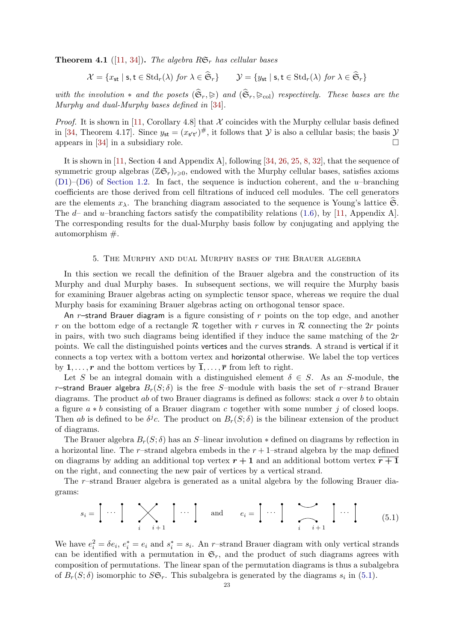**Theorem 4.1** ([\[11,](#page-35-4) [34\]](#page-36-1)). The algebra  $R\mathfrak{S}_r$  has cellular bases

$$
\mathcal{X} = \{x_{st} \mid s, t \in \text{Std}_r(\lambda) \text{ for } \lambda \in \mathfrak{S}_r\} \qquad \mathcal{Y} = \{y_{st} \mid s, t \in \text{Std}_r(\lambda) \text{ for } \lambda \in \mathfrak{S}_r\}
$$

with the involution  $*$  and the posets  $(\widehat{\mathfrak{S}}_r, \geqslant)$  and  $(\widehat{\mathfrak{S}}_r, \geqslant_{\text{col}})$  respectively. These bases are the Murphy and dual-Murphy bases defined in [\[34\]](#page-36-1).

*Proof.* It is shown in [\[11,](#page-35-4) Corollary 4.8] that  $\mathcal X$  coincides with the Murphy cellular basis defined in [\[34,](#page-36-1) Theorem 4.17]. Since  $y_{st} = (x_{s't})^{\#}$ , it follows that  $\mathcal Y$  is also a cellular basis; the basis  $\mathcal Y$ appears in [\[34\]](#page-36-1) in a subsidiary role.

It is shown in [\[11,](#page-35-4) Section 4 and Appendix A], following [\[34,](#page-36-1) [26,](#page-36-14) [25,](#page-36-15) [8,](#page-35-18) [32\]](#page-36-16), that the sequence of symmetric group algebras  $(\mathbb{Z}G_r)_{r\geq 0}$ , endowed with the Murphy cellular bases, satisfies axioms  $(D1)$ – $(D6)$  of [Section 1.2.](#page-5-0) In fact, the sequence is induction coherent, and the u–branching coefficients are those derived from cell filtrations of induced cell modules. The cell generators are the elements  $x_{\lambda}$ . The branching diagram associated to the sequence is Young's lattice  $\mathfrak{S}$ . The d– and u–branching factors satisfy the compatibility relations  $(1.6)$ , by [\[11,](#page-35-4) Appendix A]. The corresponding results for the dual-Murphy basis follow by conjugating and applying the automorphism  $\#$ .

#### <span id="page-23-2"></span>5. The Murphy and dual Murphy bases of the Brauer algebra

In this section we recall the definition of the Brauer algebra and the construction of its Murphy and dual Murphy bases. In subsequent sections, we will require the Murphy basis for examining Brauer algebras acting on symplectic tensor space, whereas we require the dual Murphy basis for examining Brauer algebras acting on orthogonal tensor space.

An r–strand Brauer diagram is a figure consisting of r points on the top edge, and another r on the bottom edge of a rectangle R together with r curves in R connecting the 2r points in pairs, with two such diagrams being identified if they induce the same matching of the  $2r$ points. We call the distinguished points vertices and the curves strands. A strand is vertical if it connects a top vertex with a bottom vertex and horizontal otherwise. We label the top vertices by 1, ..., r and the bottom vertices by  $\overline{1}, \ldots, \overline{r}$  from left to right.

<span id="page-23-3"></span>Let S be an integral domain with a distinguished element  $\delta \in S$ . As an S-module, the r–strand Brauer algebra  $B_r(S; \delta)$  is the free S–module with basis the set of r–strand Brauer diagrams. The product ab of two Brauer diagrams is defined as follows: stack a over b to obtain a figure  $a * b$  consisting of a Brauer diagram c together with some number j of closed loops. Then ab is defined to be  $\delta^j c$ . The product on  $B_r(S; \delta)$  is the bilinear extension of the product of diagrams.

The Brauer algebra  $B_r(S; \delta)$  has an S–linear involution  $*$  defined on diagrams by reflection in a horizontal line. The r–strand algebra embeds in the  $r + 1$ –strand algebra by the map defined on diagrams by adding an additional top vertex  $r + 1$  and an additional bottom vertex  $r + 1$ on the right, and connecting the new pair of vertices by a vertical strand.

The r–strand Brauer algebra is generated as a unital algebra by the following Brauer diagrams:

<span id="page-23-1"></span><span id="page-23-0"></span>
$$
s_i = \left[ \begin{array}{c} \cdots \\ \vdots \\ \vdots \\ \vdots \\ \vdots \end{array} \right] \left[ \begin{array}{c} \cdots \\ \vdots \\ \vdots \\ \vdots \end{array} \right] \quad \text{and} \quad e_i = \left[ \begin{array}{c} \cdots \\ \vdots \\ \vdots \\ \vdots \\ \vdots \end{array} \right] \left[ \begin{array}{c} \cdots \\ \vdots \\ \vdots \\ \vdots \end{array} \right] \quad (5.1)
$$

<span id="page-23-4"></span>We have  $e_i^2 = \delta e_i$ ,  $e_i^* = e_i$  and  $s_i^* = s_i$ . An r-strand Brauer diagram with only vertical strands can be identified with a permutation in  $\mathfrak{S}_r$ , and the product of such diagrams agrees with composition of permutations. The linear span of the permutation diagrams is thus a subalgebra of  $B_r(S; \delta)$  isomorphic to  $S\mathfrak{S}_r$ . This subalgebra is generated by the diagrams  $s_i$  in [\(5.1\)](#page-22-1).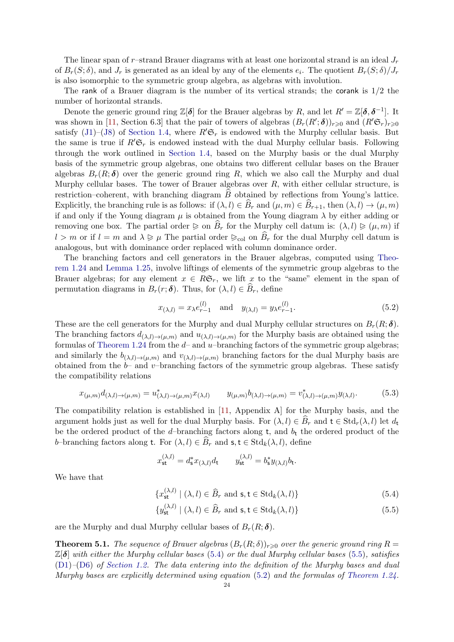The linear span of r–strand Brauer diagrams with at least one horizontal strand is an ideal  $J_r$ of  $B_r(S; \delta)$ , and  $J_r$  is generated as an ideal by any of the elements  $e_i$ . The quotient  $B_r(S; \delta)/J_r$ is also isomorphic to the symmetric group algebra, as algebras with involution.

The rank of a Brauer diagram is the number of its vertical strands; the corank is  $1/2$  the number of horizontal strands.

<span id="page-24-3"></span>Denote the generic ground ring  $\mathbb{Z}[\delta]$  for the Brauer algebras by R, and let  $R' = \mathbb{Z}[\delta, \delta^{-1}]$ . It was shown in [\[11,](#page-35-4) Section 6.3] that the pair of towers of algebras  $(B_r(R';\boldsymbol{\delta}))_{r\geqslant0}$  and  $(R'\mathfrak{S}_r)_{r\geqslant0}$ satisfy  $(J1)$ – $(J8)$  of [Section 1.4,](#page-9-0) where  $R' \mathfrak{S}_r$  is endowed with the Murphy cellular basis. But the same is true if  $R' \mathfrak{S}_r$  is endowed instead with the dual Murphy cellular basis. Following through the work outlined in [Section 1.4,](#page-9-0) based on the Murphy basis or the dual Murphy basis of the symmetric group algebras, one obtains two different cellular bases on the Brauer algebras  $B_r(R; \delta)$  over the generic ground ring R, which we also call the Murphy and dual Murphy cellular bases. The tower of Brauer algebras over  $R$ , with either cellular structure, is restriction–coherent, with branching diagram  $B$  obtained by reflections from Young's lattice. Explicitly, the branching rule is as follows: if  $(\lambda, l) \in \widehat{B}_r$  and  $(\mu, m) \in \widehat{B}_{r+1}$ , then  $(\lambda, l) \to (\mu, m)$ if and only if the Young diagram  $\mu$  is obtained from the Young diagram  $\lambda$  by either adding or removing one box. The partial order  $\geq$  on  $\widehat{B}_r$  for the Murphy cell datum is:  $(\lambda, l) \geq (\mu, m)$  if  $l > m$  or if  $l = m$  and  $\lambda \geq \mu$  The partial order  $\geq_{\text{col}}$  on  $B_r$  for the dual Murphy cell datum is analogous, but with dominance order replaced with column dominance order.

<span id="page-24-0"></span>The branching factors and cell generators in the Brauer algebras, computed using [Theo](#page-10-1)[rem 1.24](#page-10-1) and [Lemma 1.25,](#page-10-2) involve liftings of elements of the symmetric group algebras to the Brauer algebras; for any element  $x \in R\mathfrak{S}_r$ , we lift x to the "same" element in the span of permutation diagrams in  $B_r(r; \delta)$ . Thus, for  $(\lambda, l) \in \hat{B}_r$ , define

$$
x_{(\lambda,l)} = x_{\lambda} e_{r-1}^{(l)} \quad \text{and} \quad y_{(\lambda,l)} = y_{\lambda} e_{r-1}^{(l)}.
$$
 (5.2)

<span id="page-24-1"></span>These are the cell generators for the Murphy and dual Murphy cellular structures on  $B_r(R;\delta)$ . The branching factors  $d_{(\lambda,l)\to(\mu,m)}$  and  $u_{(\lambda,l)\to(\mu,m)}$  for the Murphy basis are obtained using the formulas of [Theorem 1.24](#page-10-1) from the  $d$ - and  $u$ -branching factors of the symmetric group algebras; and similarly the  $b_{(\lambda,l)\to(\mu,m)}$  and  $v_{(\lambda,l)\to(\mu,m)}$  branching factors for the dual Murphy basis are obtained from the  $b-$  and  $v$ -branching factors of the symmetric group algebras. These satisfy the compatibility relations

$$
x_{(\mu,m)}d_{(\lambda,l)\to(\mu,m)}=u^*_{(\lambda,l)\to(\mu,m)}x_{(\lambda,l)}\qquad y_{(\mu,m)}b_{(\lambda,l)\to(\mu,m)}=v^*_{(\lambda,l)\to(\mu,m)}y_{(\lambda,l)}.\tag{5.3}
$$

The compatibility relation is established in [\[11,](#page-35-4) Appendix A] for the Murphy basis, and the argument holds just as well for the dual Murphy basis. For  $(\lambda, l) \in B_r$  and  $t \in \text{Std}_r(\lambda, l)$  let  $d_t$ be the ordered product of the d–branching factors along t, and  $b_t$  the ordered product of the b–branching factors along t. For  $(\lambda, l) \in \widehat{B}_r$  and  $s, t \in \text{Std}_k(\lambda, l)$ , define

$$
x_{\text{st}}^{(\lambda,l)} = d_{\text{s}}^* x_{(\lambda,l)} d_{\text{t}} \qquad y_{\text{st}}^{(\lambda,l)} = b_{\text{s}}^* y_{(\lambda,l)} b_{\text{t}}.
$$

We have that

$$
\{x_{\text{st}}^{(\lambda,l)} \mid (\lambda,l) \in \widehat{B}_r \text{ and } \mathsf{s}, \mathsf{t} \in \text{Std}_k(\lambda,l)\}\
$$
 (5.4)

$$
\{y_{\text{st}}^{(\lambda,l)} \mid (\lambda,l) \in \widehat{B}_r \text{ and } \mathsf{s}, \mathsf{t} \in \text{Std}_k(\lambda,l)\}\
$$
 (5.5)

<span id="page-24-2"></span>are the Murphy and dual Murphy cellular bases of  $B_r(R; \delta)$ .

**Theorem 5.1.** The sequence of Brauer algebras  $(B_r(R; \delta))_{r \geq 0}$  over the generic ground ring R =  $\mathbb{Z}[\delta]$  with either the Murphy cellular bases [\(5.4\)](#page-23-0) or the dual Murphy cellular bases [\(5.5\)](#page-23-1), satisfies  $(D1)$ – $(D6)$  of [Section 1.2.](#page-5-0) The data entering into the definition of the Murphy bases and dual Murphy bases are explicitly determined using equation [\(5.2\)](#page-23-2) and the formulas of [Theorem 1.24.](#page-10-1)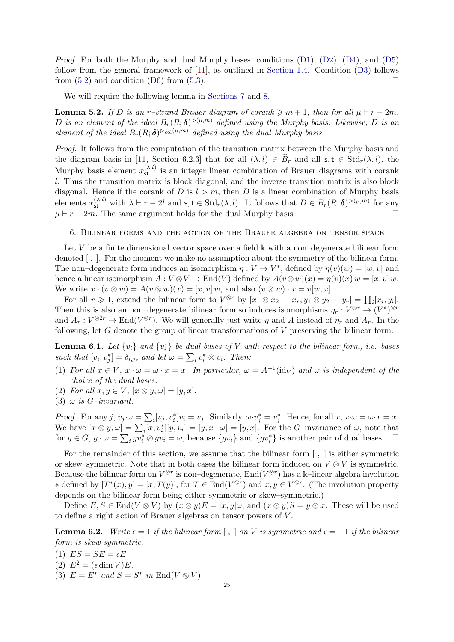*Proof.* For both the Murphy and dual Murphy bases, conditions  $(D1)$ ,  $(D2)$ ,  $(D4)$ , and  $(D5)$ follow from the general framework of [\[11\]](#page-35-4), as outlined in [Section 1.4.](#page-9-0) Condition [\(D3\)](#page-6-4) follows from  $(5.2)$  and condition  $(D6)$  from  $(5.3)$ .

We will require the following lemma in [Sections 7](#page-25-0) and [8.](#page-30-1)

**Lemma 5.2.** If D is an r–strand Brauer diagram of corank  $\geq m+1$ , then for all  $\mu \vdash r-2m$ , D is an element of the ideal  $B_r(R;\boldsymbol{\delta})^{\triangleright(\mu,m)}$  defined using the Murphy basis. Likewise, D is an element of the ideal  $B_r(R;\boldsymbol{\delta})^{\triangleright_{\text{col}}(\mu,m)}$  defined using the dual Murphy basis.

Proof. It follows from the computation of the transition matrix between the Murphy basis and the diagram basis in [\[11,](#page-35-4) Section 6.2.3] that for all  $(\lambda, l) \in \widehat{B}_r$  and all  $\mathsf{s}, \mathsf{t} \in \text{Std}_r(\lambda, l)$ , the Murphy basis element  $x_{st}^{(\lambda,l)}$  is an integer linear combination of Brauer diagrams with corank l. Thus the transition matrix is block diagonal, and the inverse transition matrix is also block diagonal. Hence if the corank of D is  $l > m$ , then D is a linear combination of Murphy basis elements  $x_{\text{st}}^{(\lambda,l)}$  with  $\lambda \vdash r-2l$  and  $\mathsf{s},\mathsf{t} \in \text{Std}_r(\lambda,l)$ . It follows that  $D \in B_r(R;\boldsymbol{\delta})^{\triangleright(\mu,m)}$  for any  $\mu \vdash r - 2m$ . The same argument holds for the dual Murphy basis.

6. Bilinear forms and the action of the Brauer algebra on tensor space

Let V be a finite dimensional vector space over a field  $\Bbbk$  with a non-degenerate bilinear form denoted [ , ]. For the moment we make no assumption about the symmetry of the bilinear form. The non–degenerate form induces an isomorphism  $\eta: V \to V^*$ , defined by  $\eta(v)(w) = [w, v]$  and hence a linear isomorphism  $A: V \otimes V \to \text{End}(V)$  defined by  $A(v \otimes w)(x) = \eta(v)(x) w = [x, v] w$ . We write  $x \cdot (v \otimes w) = A(v \otimes w)(x) = [x, v] w$ , and also  $(v \otimes w) \cdot x = v[w, x]$ .

For all  $r \geq 1$ , extend the bilinear form to  $V^{\otimes r}$  by  $[x_1 \otimes x_2 \cdots x_r, y_1 \otimes y_2 \cdots y_r] = \prod_i [x_i, y_i].$ Then this is also an non-degenerate bilinear form so induces isomorphisms  $\eta_r: V^{\otimes r} \to (V^*)^{\otimes r}$ and  $A_r: V^{\otimes 2r} \to \text{End}(V^{\otimes r})$ . We will generally just write  $\eta$  and A instead of  $\eta_r$  and  $A_r$ . In the following, let  $G$  denote the group of linear transformations of  $V$  preserving the bilinear form.

<span id="page-25-0"></span>**Lemma 6.1.** Let  $\{v_i\}$  and  $\{v_i^*\}$  be dual bases of V with respect to the bilinear form, i.e. bases such that  $[v_i, v_j^*] = \delta_{i,j}$ , and let  $\omega = \sum_i v_i^* \otimes v_i$ . Then:

- (1) For all  $x \in V$ ,  $x \cdot \omega = \omega \cdot x = x$ . In particular,  $\omega = A^{-1}(\text{id}_V)$  and  $\omega$  is independent of the choice of the dual bases.
- (2) For all  $x, y \in V$ ,  $[x \otimes y, \omega] = [y, x]$ .
- (3)  $\omega$  is *G*-invariant.

*Proof.* For any  $j, v_j \cdot \omega = \sum_i [v_j, v_i^*] v_i = v_j$ . Similarly,  $\omega \cdot v_j^* = v_j^*$ . Hence, for all  $x, x \cdot \omega = \omega \cdot x = x$ . We have  $[x \otimes y, \omega] = \sum_i [x, v_i^*][y, v_i] = [y, x \cdot \omega] = [y, x]$ . For the G-invariance of  $\omega$ , note that for  $g \in G$ ,  $g \cdot \omega = \sum_i g v_i^* \otimes g v_i = \omega$ , because  $\{gv_i\}$  and  $\{gv_i^*\}$  is another pair of dual bases.  $\Box$ 

For the remainder of this section, we assume that the bilinear form [ , ] is either symmetric or skew–symmetric. Note that in both cases the bilinear form induced on  $V \otimes V$  is symmetric. Because the bilinear form on  $V^{\otimes r}$  is non–degenerate,  $\text{End}(V^{\otimes r})$  has a k–linear algebra involution \* defined by  $[T^*(x), y] = [x, T(y)]$ , for  $T \in End(V^{\otimes r})$  and  $x, y \in V^{\otimes r}$ . (The involution property depends on the bilinear form being either symmetric or skew–symmetric.)

<span id="page-25-1"></span>Define  $E, S \in \text{End}(V \otimes V)$  by  $(x \otimes y)E = [x, y] \omega$ , and  $(x \otimes y)S = y \otimes x$ . These will be used to define a right action of Brauer algebras on tensor powers of V .

**Lemma 6.2.** Write  $\epsilon = 1$  if the bilinear form  $\lceil \cdot \rceil$  on V is symmetric and  $\epsilon = -1$  if the bilinear form is skew symmetric.

(1)  $ES = SE = \epsilon E$ (2)  $E^2 = (\epsilon \dim V)E$ . (3)  $E = E^*$  and  $S = S^*$  in  $\text{End}(V \otimes V)$ .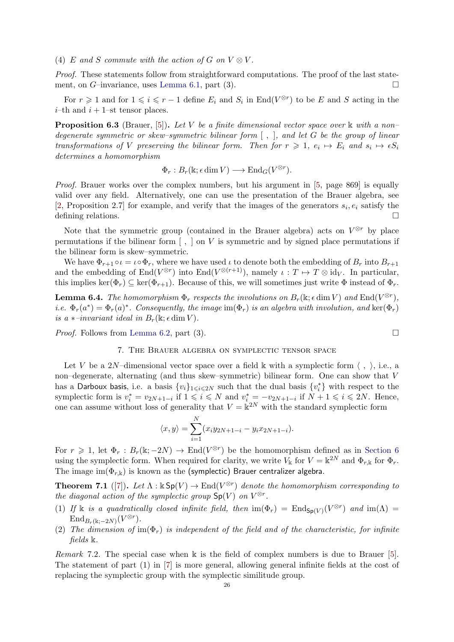(4) E and S commute with the action of G on  $V \otimes V$ .

Proof. These statements follow from straightforward computations. The proof of the last statement, on  $G$ –invariance, uses [Lemma 6.1,](#page-24-1) part (3).

For  $r \geq 1$  and for  $1 \leq i \leq r-1$  define  $E_i$  and  $S_i$  in End $(V^{\otimes r})$  to be E and S acting in the *i*–th and  $i + 1$ –st tensor places.

**Proposition 6.3** (Brauer, [\[5\]](#page-35-19)). Let V be a finite dimensional vector space over  $\mathbb{k}$  with a non– degenerate symmetric or skew–symmetric bilinear form  $\lceil$ ,  $\rceil$ , and let G be the group of linear transformations of V preserving the bilinear form. Then for  $r \geq 1$ ,  $e_i \mapsto E_i$  and  $s_i \mapsto \epsilon S_i$ determines a homomorphism

<span id="page-26-4"></span>
$$
\Phi_r : B_r(\mathbb{k}; \epsilon \dim V) \longrightarrow \text{End}_G(V^{\otimes r}).
$$

<span id="page-26-0"></span>Proof. Brauer works over the complex numbers, but his argument in [\[5,](#page-35-19) page 869] is equally valid over any field. Alternatively, one can use the presentation of the Brauer algebra, see [\[2,](#page-35-20) Proposition 2.7] for example, and verify that the images of the generators  $s_i, e_i$  satisfy the defining relations.

Note that the symmetric group (contained in the Brauer algebra) acts on  $V^{\otimes r}$  by place permutations if the bilinear form  $\lceil , \rceil$  on V is symmetric and by signed place permutations if the bilinear form is skew–symmetric.

We have  $\Phi_{r+1} \circ \iota = \iota \circ \Phi_r$ , where we have used  $\iota$  to denote both the embedding of  $B_r$  into  $B_{r+1}$ and the embedding of  $\text{End}(V^{\otimes r})$  into  $\text{End}(V^{\otimes (r+1)})$ , namely  $\iota : T \mapsto T \otimes id_V$ . In particular, this implies ker( $\Phi_r$ )  $\subseteq$  ker( $\Phi_{r+1}$ ). Because of this, we will sometimes just write  $\Phi$  instead of  $\Phi_r$ .

**Lemma 6.4.** The homomorphism  $\Phi_r$  respects the involutions on  $B_r(\mathbb{k}; \epsilon \dim V)$  and  $\text{End}(V^{\otimes r})$ , *i.e.*  $\Phi_r(a^*) = \Phi_r(a)^*$ . Consequently, the image  $\text{im}(\Phi_r)$  is an algebra with involution, and  $\text{ker}(\Phi_r)$ is a ∗–invariant ideal in  $B_r(\mathbb{k}; \epsilon \dim V)$ .

*Proof.* Follows from [Lemma 6.2,](#page-24-2) part (3).

#### 7. The Brauer algebra on symplectic tensor space

Let V be a 2N–dimensional vector space over a field k with a symplectic form  $\langle , \rangle$ , i.e., a non–degenerate, alternating (and thus skew–symmetric) bilinear form. One can show that V has a Darboux basis, i.e. a basis  $\{v_i\}_{1\leq i\leq 2N}$  such that the dual basis  $\{v_i^*\}$  with respect to the symplectic form is  $v_i^* = v_{2N+1-i}$  if  $1 \leq i \leq N$  and  $v_i^* = -v_{2N+1-i}$  if  $N+1 \leq i \leq 2N$ . Hence, one can assume without loss of generality that  $V = \mathbb{k}^{2N}$  with the standard symplectic form

<span id="page-26-3"></span><span id="page-26-2"></span>
$$
\langle x, y \rangle = \sum_{i=1}^{N} (x_i y_{2N+1-i} - y_i x_{2N+1-i}).
$$

For  $r \geq 1$ , let  $\Phi_r : B_r(\mathbb{k}; -2N) \to \text{End}(V^{\otimes r})$  be the homomorphism defined as in [Section 6](#page-24-0) using the symplectic form. When required for clarity, we write  $V_{\mathbb{k}}$  for  $V = \mathbb{k}^{2N}$  and  $\Phi_{r,\mathbb{k}}$  for  $\Phi_r$ . The image  $\text{im}(\Phi_{r,k})$  is known as the (symplectic) Brauer centralizer algebra.

**Theorem 7.1** ([\[7\]](#page-35-21)). Let  $\Lambda : \mathbb{k}$  Sp(V)  $\to$  End(V<sup>\\seqteration</sup>) denote the homomorphism corresponding to the diagonal action of the symplectic group  $\mathsf{Sp}(V)$  on  $V^{\otimes r}$ .

- (1) If k is a quadratically closed infinite field, then  $\text{im}(\Phi_r) = \text{End}_{\text{Sp}(V)}(V^{\otimes r})$  and  $\text{im}(\Lambda) =$  $\text{End}_{B_r(\mathbb{k};-2N)}(V^{\otimes r})$ .
- (2) The dimension of  $\text{im}(\Phi_r)$  is independent of the field and of the characteristic, for infinite fields  $\Bbbk$ .

<span id="page-26-1"></span>*Remark* 7.2. The special case when  $\Bbbk$  is the field of complex numbers is due to Brauer [\[5\]](#page-35-19). The statement of part (1) in [\[7\]](#page-35-21) is more general, allowing general infinite fields at the cost of replacing the symplectic group with the symplectic similitude group.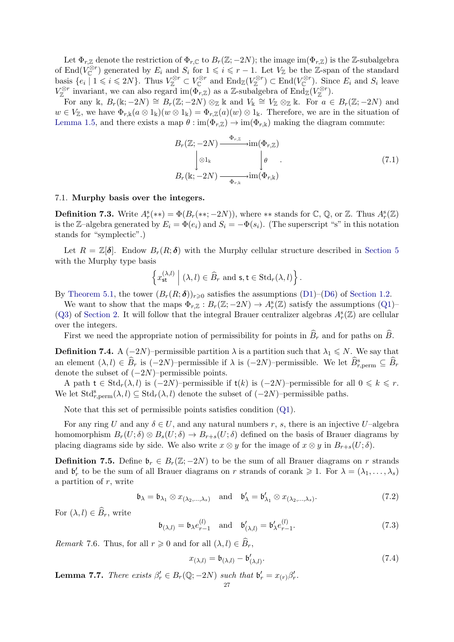Let  $\Phi_{r,\mathbb{Z}}$  denote the restriction of  $\Phi_{r,\mathbb{C}}$  to  $B_r(\mathbb{Z}; -2N)$ ; the image im $(\Phi_{r,\mathbb{Z}})$  is the Z-subalgebra of End( $V_{\mathbb{C}}^{\otimes r}$ ) generated by  $E_i$  and  $S_i$  for  $1 \leq i \leq r-1$ . Let  $V_{\mathbb{Z}}$  be the Z-span of the standard basis  $\{e_i \mid 1 \leq i \leq 2N\}$ . Thus  $V^{\otimes r}_{\mathbb{Z}} \subset V^{\otimes r}_{\mathbb{C}}$  and  $\text{End}_{\mathbb{Z}}(V^{\otimes r}_{\mathbb{Z}}) \subset \text{End}(V^{\otimes r}_{\mathbb{C}})$ . Since  $E_i$  and  $S_i$  leave  $V_Z^{\otimes r}$  invariant, we can also regard  $\text{im}(\Phi_{r,\mathbb{Z}})$  as a Z-subalgebra of  $\text{End}_{\mathbb{Z}}(V_{\mathbb{Z}}^{\otimes r})$ .

For any k,  $B_r(\mathbb{k}; -2N) \cong B_r(\mathbb{Z}; -2N) \otimes_{\mathbb{Z}} \mathbb{k}$  and  $V_{\mathbb{k}} \cong V_{\mathbb{Z}} \otimes_{\mathbb{Z}} \mathbb{k}$ . For  $a \in B_r(\mathbb{Z}; -2N)$  and  $w \in V_{\mathbb{Z}}$ , we have  $\Phi_{r,\mathbb{K}}(a \otimes 1_{\mathbb{K}})(w \otimes 1_{\mathbb{K}}) = \Phi_{r,\mathbb{Z}}(a)(w) \otimes 1_{\mathbb{K}}$ . Therefore, we are in the situation of [Lemma 1.5,](#page-4-1) and there exists a map  $\theta : im(\Phi_{r,\mathbb{Z}}) \to im(\Phi_{r,\mathbb{K}})$  making the diagram commute:

<span id="page-27-1"></span>
$$
B_r(\mathbb{Z}; -2N) \xrightarrow{\Phi_{r,\mathbb{Z}}} \operatorname{im}(\Phi_{r,\mathbb{Z}})
$$
  
\n
$$
\downarrow \otimes 1_k \qquad \qquad \downarrow \theta \qquad . \tag{7.1}
$$
  
\n
$$
B_r(\mathbb{k}; -2N) \xrightarrow{\Phi_{r,\mathbb{k}}} \operatorname{im}(\Phi_{r,\mathbb{k}})
$$

#### 7.1. Murphy basis over the integers.

**Definition 7.3.** Write  $A_r^s(**) = \Phi(B_r(*; -2N))$ , where \*\* stands for  $\mathbb{C}, \mathbb{Q}$ , or  $\mathbb{Z}$ . Thus  $A_r^s(\mathbb{Z})$ is the Z–algebra generated by  $E_i = \Phi(e_i)$  and  $S_i = -\Phi(s_i)$ . (The superscript "s" in this notation stands for "symplectic".)

<span id="page-27-0"></span>Let  $R = \mathbb{Z}[\delta]$ . Endow  $B_r(R; \delta)$  with the Murphy cellular structure described in [Section 5](#page-22-0) with the Murphy type basis

$$
\left\{ x_{\text{st}}^{(\lambda,l)} \; \middle| \; (\lambda,l) \in \widehat{B}_r \text{ and } \text{s}, \text{t} \in \text{Std}_r(\lambda,l) \right\}.
$$

By [Theorem 5.1,](#page-23-4) the tower  $(B_r(R; \delta))_{r \geq 0}$  satisfies the assumptions [\(D1\)](#page-5-2)–[\(D6\)](#page-6-0) of [Section 1.2.](#page-5-0)

We want to show that the maps  $\Phi_{r,\mathbb{Z}} : B_r(\mathbb{Z}; -2N) \to A_r^s(\mathbb{Z})$  satisfy the assumptions [\(Q1\)](#page-11-2)-[\(Q3\)](#page-11-3) of [Section 2.](#page-10-0) It will follow that the integral Brauer centralizer algebras  $A_r^s(\mathbb{Z})$  are cellular over the integers.

First we need the appropriate notion of permissibility for points in  $\widehat{B}_r$  and for paths on  $\widehat{B}_r$ .

**Definition 7.4.** A  $(-2N)$ –permissible partition  $\lambda$  is a partition such that  $\lambda_1 \leq N$ . We say that an element  $(\lambda, l) \in \hat{B}_r$  is  $(-2N)$ -permissible if  $\lambda$  is  $(-2N)$ -permissible. We let  $\hat{B}_{r, \text{perm}}^s \subseteq \hat{B}_r$ denote the subset of  $(-2N)$ –permissible points.

A path  $t \in \text{Std}_r(\lambda, l)$  is  $(-2N)$ –permissible if  $t(k)$  is  $(-2N)$ –permissible for all  $0 \leq k \leq r$ . We let  $\text{Std}_{r, \text{perm}}^s(\lambda, l) \subseteq \text{Std}_r(\lambda, l)$  denote the subset of  $(-2N)$ –permissible paths.

Note that this set of permissible points satisfies condition [\(Q1\)](#page-11-2).

For any ring U and any  $\delta \in U$ , and any natural numbers r, s, there is an injective U–algebra homomorphism  $B_r(U; \delta) \otimes B_s(U; \delta) \to B_{r+s}(U; \delta)$  defined on the basis of Brauer diagrams by placing diagrams side by side. We also write  $x \otimes y$  for the image of  $x \otimes y$  in  $B_{r+s}(U; \delta)$ .

**Definition 7.5.** Define  $\mathfrak{b}_r \in B_r(\mathbb{Z}; -2N)$  to be the sum of all Brauer diagrams on r strands and  $\mathfrak{b}'_r$  to be the sum of all Brauer diagrams on r strands of corank  $\geq 1$ . For  $\lambda = (\lambda_1, \ldots, \lambda_s)$ a partition of  $r$ , write

<span id="page-27-2"></span>
$$
\mathfrak{b}_{\lambda} = \mathfrak{b}_{\lambda_1} \otimes x_{(\lambda_2, \dots, \lambda_s)} \quad \text{and} \quad \mathfrak{b}'_{\lambda} = \mathfrak{b}'_{\lambda_1} \otimes x_{(\lambda_2, \dots, \lambda_s)}.
$$
 (7.2)

For  $(\lambda, l) \in \widehat{B}_r$ , write

$$
\mathfrak{b}_{(\lambda,l)} = \mathfrak{b}_{\lambda} e_{r-1}^{(l)} \quad \text{and} \quad \mathfrak{b}'_{(\lambda,l)} = \mathfrak{b}'_{\lambda} e_{r-1}^{(l)}.
$$
 (7.3)

*Remark* 7.6. Thus, for all  $r \geq 0$  and for all  $(\lambda, l) \in \widehat{B}_r$ ,

$$
x_{(\lambda,l)} = \mathfrak{b}_{(\lambda,l)} - \mathfrak{b}'_{(\lambda,l)}.
$$
\n(7.4)

**Lemma 7.7.** There exists  $\beta'_r \in B_r(\mathbb{Q}; -2N)$  such that  $\mathfrak{b}'_r = x_{(r)}\beta'_r$ .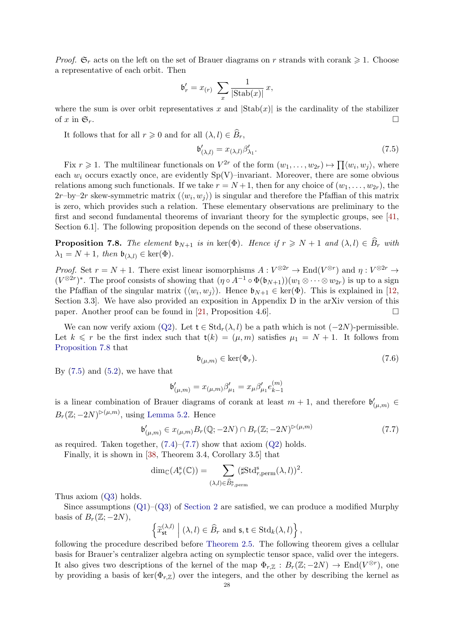<span id="page-28-1"></span>*Proof.*  $\mathfrak{S}_r$  acts on the left on the set of Brauer diagrams on r strands with corank  $\geq 1$ . Choose a representative of each orbit. Then

$$
\mathfrak{b}'_r = x_{(r)}\ \sum_x \frac{1}{|\mathrm{Stab}(x)|}\,x,
$$

where the sum is over orbit representatives x and  $|\text{Stab}(x)|$  is the cardinality of the stabilizer of x in  $\mathfrak{S}_r$ .

It follows that for all  $r \geq 0$  and for all  $(\lambda, l) \in \widehat{B}_r$ ,

$$
\mathfrak{b}'_{(\lambda,l)} = x_{(\lambda,l)} \beta'_{\lambda_1}.
$$
\n<sup>(7.5)</sup>

Fix  $r \geq 1$ . The multilinear functionals on  $V^{2r}$  of the form  $(w_1, \ldots, w_{2r}) \mapsto \prod \langle w_i, w_j \rangle$ , where each  $w_i$  occurs exactly once, are evidently  $Sp(V)$ –invariant. Moreover, there are some obvious relations among such functionals. If we take  $r = N + 1$ , then for any choice of  $(w_1, \ldots, w_{2r})$ , the  $2r$ -by-2r skew-symmetric matrix  $(\langle w_i, w_j \rangle)$  is singular and therefore the Pfaffian of this matrix is zero, which provides such a relation. These elementary observations are preliminary to the first and second fundamental theorems of invariant theory for the symplectic groups, see [\[41,](#page-36-17) Section 6.1]. The following proposition depends on the second of these observations.

**Proposition 7.8.** The element  $\mathfrak{b}_{N+1}$  is in ker( $\Phi$ ). Hence if  $r \ge N+1$  and  $(\lambda, l) \in \widehat{B}_r$  with  $\lambda_1 = N + 1$ , then  $\mathfrak{b}_{(\lambda, l)} \in \text{ker}(\Phi)$ .

Proof. Set  $r = N + 1$ . There exist linear isomorphisms  $A: V^{\otimes 2r} \to \text{End}(V^{\otimes r})$  and  $\eta: V^{\otimes 2r} \to$  $(V^{\otimes 2r})^*$ . The proof consists of showing that  $(\eta \circ A^{-1} \circ \Phi(\mathfrak{b}_{N+1}))(w_1 \otimes \cdots \otimes w_{2r})$  is up to a sign the Pfaffian of the singular matrix  $(\langle w_i, w_j \rangle)$ . Hence  $\mathfrak{b}_{N+1} \in \text{ker}(\Phi)$ . This is explained in [\[12,](#page-35-22) Section 3.3]. We have also provided an exposition in Appendix D in the arXiv version of this paper. Another proof can be found in [\[21,](#page-35-7) Proposition 4.6].

<span id="page-28-3"></span>We can now verify axiom [\(Q2\)](#page-11-5). Let  $t \in \text{Std}_r(\lambda, l)$  be a path which is not  $(-2N)$ -permissible. Let  $k \leq r$  be the first index such that  $t(k) = (\mu, m)$  satisfies  $\mu_1 = N + 1$ . It follows from [Proposition 7.8](#page-27-0) that

$$
\mathfrak{b}_{(\mu,m)} \in \ker(\Phi_r). \tag{7.6}
$$

<span id="page-28-0"></span>By  $(7.5)$  and  $(5.2)$ , we have that

$$
\mathfrak{b}'_{(\mu,m)} = x_{(\mu,m)}\beta'_{\mu_1} = x_{\mu}\beta'_{\mu_1}e^{(m)}_{k-1}
$$

is a linear combination of Brauer diagrams of corank at least  $m + 1$ , and therefore  $\mathfrak{b}'_{(\mu,m)} \in$  $B_r(\mathbb{Z}; -2N)^{\triangleright(\mu, m)}$ , using [Lemma 5.2.](#page-24-3) Hence

$$
\mathfrak{b}'_{(\mu,m)} \in x_{(\mu,m)} B_r(\mathbb{Q}; -2N) \cap B_r(\mathbb{Z}; -2N)^{\triangleright(\mu,m)} \tag{7.7}
$$

<span id="page-28-2"></span>as required. Taken together,  $(7.4)$ – $(7.7)$  show that axiom  $(Q2)$  holds.

Finally, it is shown in [\[38,](#page-36-5) Theorem 3.4, Corollary 3.5] that

$$
\dim_{\mathbb{C}}(A_r^s(\mathbb{C})) = \sum_{(\lambda,l) \in \widehat{B}_{r,\mathrm{perm}}^s} (\sharp \mathrm{Std}_{r,\mathrm{perm}}^s(\lambda, l))^2.
$$

Thus axiom [\(Q3\)](#page-11-3) holds.

Since assumptions  $(Q1)$ – $(Q3)$  of [Section 2](#page-10-0) are satisfied, we can produce a modified Murphy basis of  $B_r(\mathbb{Z}; -2N)$ ,

$$
\left\{ \widetilde{x}_{\text{st}}^{(\lambda,l)} \; \middle| \; (\lambda, l) \in \widehat{B}_r \text{ and } \text{s}, \text{t} \in \text{Std}_k(\lambda, l) \right\},\
$$

following the procedure described before [Theorem 2.5.](#page-13-3) The following theorem gives a cellular basis for Brauer's centralizer algebra acting on symplectic tensor space, valid over the integers. It also gives two descriptions of the kernel of the map  $\Phi_{r,\mathbb{Z}} : B_r(\mathbb{Z}; -2N) \to \text{End}(V^{\otimes r})$ , one by providing a basis of ker( $\Phi_{r,\mathbb{Z}}$ ) over the integers, and the other by describing the kernel as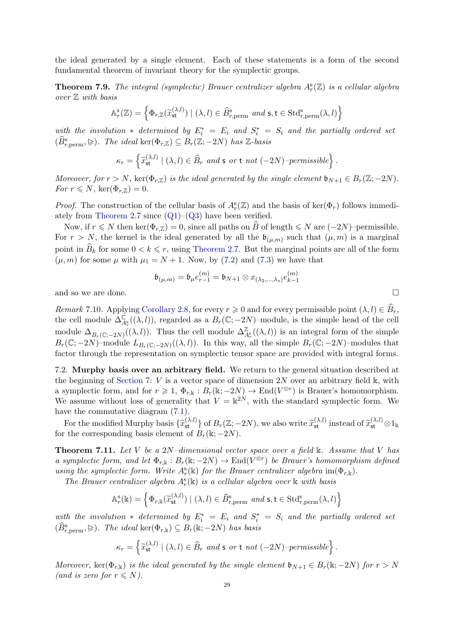the ideal generated by a single element. Each of these statements is a form of the second fundamental theorem of invariant theory for the symplectic groups.

**Theorem 7.9.** The integral (symplectic) Brauer centralizer algebra  $A_r^s(\mathbb{Z})$  is a cellular algebra over Z with basis

$$
\mathbb{A}_r^s(\mathbb{Z}) = \left\{ \Phi_{r,\mathbb{Z}}(\widetilde{x}_{st}^{(\lambda,l)}) \mid (\lambda,l) \in \widehat{B}_{r,\mathrm{perm}}^s \ and \ s,t \in \mathrm{Std}_{r,\mathrm{perm}}^s(\lambda,l) \right\}
$$

with the involution  $*$  determined by  $E_i^* = E_i$  and  $S_i^* = S_i$  and the partially ordered set  $(\widehat{B}_{r,\text{perm}}^s, \triangleright)$ . The ideal ker $(\Phi_{r,\mathbb{Z}}) \subseteq B_r(\mathbb{Z}; -2N)$  has  $\mathbb{Z}$ -basis

$$
\kappa_r = \left\{ \widetilde{x}_{\text{st}}^{(\lambda,l)} \mid (\lambda,l) \in \widehat{B}_r \text{ and } \text{s or } \text{t not } (-2N)\text{-permissible} \right\}.
$$

Moreover, for  $r > N$ , ker $(\Phi_{r,\mathbb{Z}})$  is the ideal generated by the single element  $\mathfrak{b}_{N+1} \in B_r(\mathbb{Z}; -2N)$ . For  $r \leq N$ , ker $(\Phi_{r,\mathbb{Z}})=0$ .

*Proof.* The construction of the cellular basis of  $A_r^s(\mathbb{Z})$  and the basis of ker( $\Phi_r$ ) follows immedi-ately from [Theorem 2.7](#page-14-0) since  $(Q1)$ – $(Q3)$  have been verified.

Now, if  $r \le N$  then ker( $\Phi_{r,\mathbb{Z}}$ ) = 0, since all paths on  $\widehat{B}$  of length  $\le N$  are (−2N)–permissible. For  $r > N$ , the kernel is the ideal generated by all the  $\mathfrak{b}_{(\mu,m)}$  such that  $(\mu,m)$  is a marginal point in  $\widehat{B}_k$  for some  $0 < k \leq r$ , using [Theorem 2.7.](#page-14-0) But the marginal points are all of the form  $(\mu, m)$  for some  $\mu$  with  $\mu_1 = N + 1$ . Now, by [\(7.2\)](#page-26-2) and [\(7.3\)](#page-26-3) we have that

$$
\mathfrak{b}_{(\mu,m)} = \mathfrak{b}_{\mu} e_{r-1}^{(m)} = \mathfrak{b}_{N+1} \otimes x_{(\lambda_2,\dots,\lambda_s)} e_{k-1}^{(m)}
$$

and so we are done.

<span id="page-29-0"></span>Remark 7.10. Applying [Corollary 2.8,](#page-14-5) for every  $r \geq 0$  and for every permissible point  $(\lambda, l) \in B_r$ , the cell module  $\Delta_{A_r^s}^{\mathbb{C}}(\lambda, l)$ , regarded as a  $B_r(\mathbb{C}; -2N)$ -module, is the simple head of the cell module  $\Delta_{B_r(\mathbb{C};-2N)}((\lambda,l))$ . Thus the cell module  $\Delta_{A_r^s}^{\mathbb{Z}}((\lambda,l))$  is an integral form of the simple  $B_r(\mathbb{C}; -2N)$ -module  $L_{B_r(\mathbb{C}; -2N)}((\lambda, l))$ . In this way, all the simple  $B_r(\mathbb{C}; -2N)$ -modules that factor through the representation on symplectic tensor space are provided with integral forms.

7.2. Murphy basis over an arbitrary field. We return to the general situation described at the beginning of [Section 7:](#page-25-0)  $V$  is a vector space of dimension 2N over an arbitrary field  $\Bbbk$ , with a symplectic form, and for  $r \geq 1$ ,  $\Phi_{r,\mathbb{k}} : B_r(\mathbb{k}; -2N) \to \text{End}(V^{\otimes r})$  is Brauer's homomorphism. We assume without loss of generality that  $V = \mathbb{k}^{2N}$ , with the standard symplectic form. We have the commutative diagram  $(7.1)$ .

For the modified Murphy basis  $\{\tilde{x}_{st}^{(\lambda,l)}\}$  of  $B_r(\mathbb{Z}; -2N)$ , we also write  $\tilde{x}_{st}^{(\lambda,l)}$  instead of  $\tilde{x}_{st}^{(\lambda,l)} \otimes 1_k$ for the corresponding basis element of  $B_r(\mathbb{k}; -2N)$ .

**Theorem 7.11.** Let V be a 2N-dimensional vector space over a field k. Assume that V has a symplectic form, and let  $\Phi_{r,k}: B_r(\mathbb{k}; -2N) \to \text{End}(V^{\otimes r})$  be Brauer's homomorphism defined using the symplectic form. Write  $A_r^s(\mathbb{k})$  for the Brauer centralizer algebra im $(\Phi_{r,\mathbb{k}})$ .

The Brauer centralizer algebra  $A_r^s(\mathbb{k})$  is a cellular algebra over  $\mathbb k$  with basis

$$
\mathbb{A}_r^s(\Bbbk) = \left\{ \Phi_{r,\Bbbk}(\widetilde{x}_{\text{st}}^{(\lambda,l)}) \mid (\lambda,l) \in \widehat{B}_{r,\text{perm}}^s \ and \ \mathsf{s}, \mathsf{t} \in \text{Std}_{r,\text{perm}}^s(\lambda,l) \right\}
$$

with the involution  $*$  determined by  $E_i^* = E_i$  and  $S_i^* = S_i$  and the partially ordered set  $(\widehat{B}_{r,\text{perm}}^s, \geqslant)$ . The ideal ker $(\Phi_{r,\mathbb{k}}) \subseteq B_r(\mathbb{k}; -2N)$  has basis

$$
\kappa_r = \left\{ \widetilde{x}_{\text{st}}^{(\lambda,l)} \mid (\lambda, l) \in \widehat{B}_r \text{ and } \text{s or } t \text{ not } (-2N)\text{-}\text{permissible} \right\}.
$$

Moreover, ker( $\Phi_{r,k}$ ) is the ideal generated by the single element  $\mathfrak{b}_{N+1} \in B_r(\mathbb{k}; -2N)$  for  $r > N$ (and is zero for  $r \leq N$ ).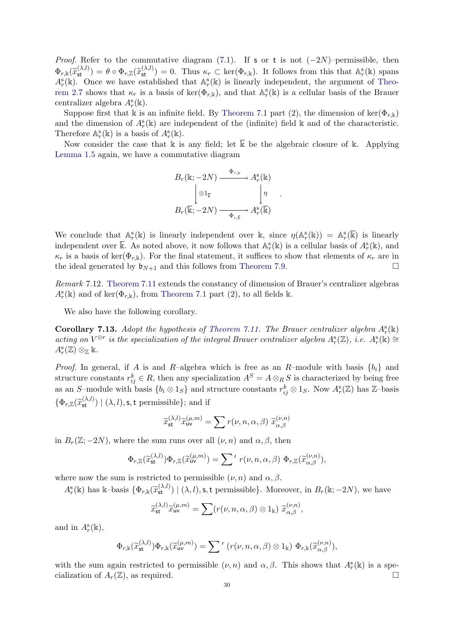<span id="page-30-0"></span>*Proof.* Refer to the commutative diagram [\(7.1\)](#page-26-4). If s or t is not  $(-2N)$ –permissible, then  $\Phi_{r,\mathbb{k}}(\widetilde{x}_{\text{st}}^{(\lambda,l)}) = \theta \circ \Phi_{r,\mathbb{Z}}(\widetilde{x}_{\text{st}}^{(\lambda,l)}) = 0.$  Thus  $\kappa_r \subset \ker(\Phi_{r,\mathbb{k}})$ . It follows from this that  $\mathbb{A}_r^s(\mathbb{k})$  spans  $A_r^s(\mathbb{k})$ . Once we have established that  $\mathbb{A}_r^s(\mathbb{k})$  is linearly independent, the argument of [Theo](#page-14-0)[rem 2.7](#page-14-0) shows that  $\kappa_r$  is a basis of ker $(\Phi_{r,\mathbf{k}})$ , and that  $\mathbb{A}_r^s(\mathbf{k})$  is a cellular basis of the Brauer centralizer algebra  $A_r^s(\mathbf{k})$ .

Suppose first that k is an infinite field. By [Theorem 7.1](#page-25-1) part (2), the dimension of ker( $\Phi_{r,k}$ ) and the dimension of  $A_r^s(\mathbb{k})$  are independent of the (infinite) field  $\mathbb{k}$  and of the characteristic. Therefore  $\mathbb{A}_r^s(\mathbb{k})$  is a basis of  $A_r^s(\mathbb{k})$ .

Now consider the case that k is any field; let  $\overline{k}$  be the algebraic closure of k. Applying [Lemma 1.5](#page-4-1) again, we have a commutative diagram

$$
B_r(\mathbb{k}; -2N) \xrightarrow{\Phi_{r,\mathbb{k}}} A_r^{\mathbb{s}}(\mathbb{k})
$$

$$
\downarrow \otimes 1_{\mathbb{k}} \qquad \qquad \downarrow \eta
$$

$$
B_r(\overline{\mathbb{k}}; -2N) \xrightarrow{\Phi_{r,\overline{\mathbb{k}}}} A_r^{\mathbb{s}}(\overline{\mathbb{k}})
$$

.

<span id="page-30-3"></span>We conclude that  $\mathbb{A}_r^s(\mathbb{k})$  is linearly independent over  $\mathbb{k}$ , since  $\eta(\mathbb{A}_r^s(\mathbb{k})) = \mathbb{A}_r^s(\overline{\mathbb{k}})$  is linearly independent over  $\overline{\mathbb{k}}$ . As noted above, it now follows that  $\mathbb{A}_r^s(\mathbb{k})$  is a cellular basis of  $A_r^s(\mathbb{k})$ , and  $\kappa_r$  is a basis of ker( $\Phi_{r,k}$ ). For the final statement, it suffices to show that elements of  $\kappa_r$  are in the ideal generated by  $\mathfrak{b}_{N+1}$  and this follows from [Theorem 7.9.](#page-28-1)

Remark 7.12. [Theorem 7.11](#page-28-2) extends the constancy of dimension of Brauer's centralizer algebras  $A_r^s(\mathbb{k})$  and of ker $(\Phi_{r,\mathbb{k}})$ , from [Theorem 7.1](#page-25-1) part (2), to all fields  $\mathbb{k}$ .

We also have the following corollary.

<span id="page-30-1"></span>**Corollary 7.13.** Adopt the hypothesis of [Theorem 7.11.](#page-28-2) The Brauer centralizer algebra  $A_r^s(\mathbf{k})$ acting on  $V^{\otimes r}$  is the specialization of the integral Brauer centralizer algebra  $A_r^s(\mathbb{Z})$ , i.e.  $A_r^s(\mathbb{K}) \cong$  $A_r^s(\mathbb{Z}) \otimes_{\mathbb{Z}} \mathbb{k}$ .

*Proof.* In general, if A is and R-algebra which is free as an R-module with basis  $\{b_i\}$  and structure constants  $r_{ij}^k \in R$ , then any specialization  $A^S = A \otimes_R S$  is characterized by being free as an S-module with basis  $\{b_i \otimes 1_S\}$  and structure constants  $r_{ij}^k \otimes 1_S$ . Now  $A_r^s(\mathbb{Z})$  has  $\mathbb{Z}$ -basis  $\{\Phi_{r,\mathbb{Z}}(\widetilde{x}_{\text{st}}^{(\lambda,l)}) \mid (\lambda, l), \text{s}, \text{t permissible}\};$  and if

$$
\widetilde{x}_{\text{st}}^{(\lambda,l)}\widetilde{x}_{\text{uv}}^{(\mu,m)} = \sum r(\nu,n,\alpha,\beta) \ \widetilde{x}_{\alpha,\beta}^{(\nu,n)}
$$

in  $B_r(\mathbb{Z}; -2N)$ , where the sum runs over all  $(\nu, n)$  and  $\alpha, \beta$ , then

$$
\Phi_{r,\mathbb{Z}}(\widetilde{x}_{\text{st}}^{(\lambda,l)})\Phi_{r,\mathbb{Z}}(\widetilde{x}_{\text{uv}}^{(\mu,m)})=\sum' r(\nu,n,\alpha,\beta) \ \Phi_{r,\mathbb{Z}}(\widetilde{x}_{\alpha,\beta}^{(\nu,n)}),
$$

<span id="page-30-2"></span>where now the sum is restricted to permissible  $(\nu, n)$  and  $\alpha, \beta$ .

 $A_r^{\rm s}(\mathbb{k})$  has k–basis  $\{\Phi_{r,\mathbb{k}}(\widetilde{x}_{\rm st}^{(\lambda,l)}) \mid (\lambda, l), \mathsf{s}, \mathsf{t}$  permissible}. Moreover, in  $B_r(\mathbb{k}; -2N)$ , we have

$$
\widetilde{x}_{\text{st}}^{(\lambda,l)}\widetilde{x}_{\text{uv}}^{(\mu,m)} = \sum (r(\nu,n,\alpha,\beta) \otimes 1_{\text{k}}) \ \widetilde{x}_{\alpha,\beta}^{(\nu,n)},
$$

and in  $A_r^s(\mathbb{k}),$ 

$$
\Phi_{r,\Bbbk}(\widetilde{x}_{\textup{st}}^{(\lambda,l)})\Phi_{r,\Bbbk}(\widetilde{x}_{\textup{uv}}^{(\mu,m)})=\sum\nolimits' \big(r(\nu,n,\alpha,\beta)\otimes 1_\Bbbk\big)\ \Phi_{r,\Bbbk}(\widetilde{x}_{\alpha,\beta}^{(\nu,n)}),
$$

with the sum again restricted to permissible  $(\nu, n)$  and  $\alpha, \beta$ . This shows that  $A_r^s(\mathbb{k})$  is a specialization of  $A_r(\mathbb{Z})$ , as required.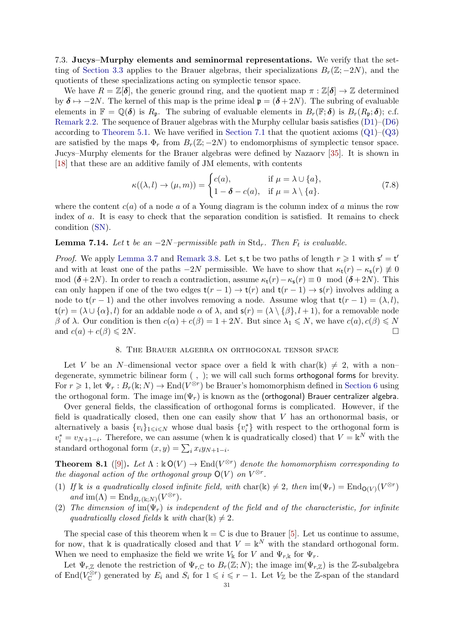7.3. Jucys–Murphy elements and seminormal representations. We verify that the set-ting of [Section 3.3](#page-18-0) applies to the Brauer algebras, their specializations  $B_r(\mathbb{Z}; -2N)$ , and the quotients of these specializations acting on symplectic tensor space.

We have  $R = \mathbb{Z}[\delta]$ , the generic ground ring, and the quotient map  $\pi : \mathbb{Z}[\delta] \to \mathbb{Z}$  determined by  $\delta \mapsto -2N$ . The kernel of this map is the prime ideal  $\mathfrak{p} = (\delta + 2N)$ . The subring of evaluable elements in  $\mathbb{F} = \mathbb{Q}(\delta)$  is  $R_{p}$ . The subring of evaluable elements in  $B_{r}(\mathbb{F};\delta)$  is  $B_{r}(R_{p};\delta)$ ; c.f. [Remark 2.2.](#page-11-4) The sequence of Brauer algebras with the Murphy cellular basis satisfies [\(D1\)](#page-5-2)–[\(D6\)](#page-6-0) according to [Theorem 5.1.](#page-23-4) We have verified in [Section 7.1](#page-26-0) that the quotient axioms  $(Q1)$ – $(Q3)$ are satisfied by the maps  $\Phi_r$  from  $B_r(\mathbb{Z}; -2N)$  to endomorphisms of symplectic tensor space. Jucys–Murphy elements for the Brauer algebras were defined by Nazaorv [\[35\]](#page-36-11). It is shown in [\[18\]](#page-35-13) that these are an additive family of JM elements, with contents

<span id="page-31-1"></span>
$$
\kappa((\lambda, l) \to (\mu, m)) = \begin{cases} c(a), & \text{if } \mu = \lambda \cup \{a\}, \\ 1 - \delta - c(a), & \text{if } \mu = \lambda \setminus \{a\}. \end{cases}
$$
(7.8)

<span id="page-31-0"></span>where the content  $c(a)$  of a node a of a Young diagram is the column index of a minus the row index of a. It is easy to check that the separation condition is satisfied. It remains to check condition [\(SN\)](#page-18-1).

#### **Lemma 7.14.** Let t be an  $-2N$ -permissible path in Std<sub>r</sub>. Then  $F_t$  is evaluable.

*Proof.* We apply [Lemma 3.7](#page-18-2) and [Remark 3.8.](#page-18-3) Let s, t be two paths of length  $r \geq 1$  with  $s' = t'$ and with at least one of the paths  $-2N$  permissible. We have to show that  $\kappa_t(r) - \kappa_s(r) \neq 0$ mod  $(\delta + 2N)$ . In order to reach a contradiction, assume  $\kappa_t(r) - \kappa_s(r) \equiv 0 \mod (\delta + 2N)$ . This can only happen if one of the two edges  $t(r - 1) \rightarrow t(r)$  and  $t(r - 1) \rightarrow s(r)$  involves adding a node to  $t(r-1)$  and the other involves removing a node. Assume wlog that  $t(r-1) = (\lambda, l)$ ,  $t(r) = (\lambda \cup {\alpha}, l)$  for an addable node  $\alpha$  of  $\lambda$ , and  $s(r) = (\lambda \setminus {\beta}, l + 1)$ , for a removable node β of  $\lambda$ . Our condition is then  $c(\alpha) + c(\beta) = 1 + 2N$ . But since  $\lambda_1 \leq N$ , we have  $c(a), c(\beta) \leq N$ and  $c(a) + c(\beta) \leq 2N$ .

#### 8. The Brauer algebra on orthogonal tensor space

Let V be an N–dimensional vector space over a field k with char(k)  $\neq$  2, with a non– degenerate, symmetric bilinear form ( , ); we will call such forms orthogonal forms for brevity. For  $r \geq 1$ , let  $\Psi_r : B_r(\mathbb{k}; N) \to \text{End}(V^{\otimes r})$  be Brauer's homomorphism defined in [Section 6](#page-24-0) using the orthogonal form. The image  $\text{im}(\Psi_r)$  is known as the (orthogonal) Brauer centralizer algebra.

Over general fields, the classification of orthogonal forms is complicated. However, if the field is quadratically closed, then one can easily show that V has an orthonormal basis, or alternatively a basis  $\{v_i\}_{1\leq i\leq N}$  whose dual basis  $\{v_i^*\}$  with respect to the orthogonal form is  $v_i^* = v_{N+1-i}$ . Therefore, we can assume (when k is quadratically closed) that  $V = \mathbb{k}^N$  with the standard orthogonal form  $(x, y) = \sum_i x_i y_{N+1-i}$ .

**Theorem 8.1** ([\[9\]](#page-35-6)). Let  $\Lambda : \mathbb{R} \mathsf{O}(V) \to \text{End}(V^{\otimes r})$  denote the homomorphism corresponding to the diagonal action of the orthogonal group  $O(V)$  on  $V^{\otimes r}$ .

- (1) If  $\Bbbk$  is a quadratically closed infinite field, with char( $\Bbbk$ )  $\neq 2$ , then  $\text{im}(\Psi_r) = \text{End}_{\mathsf{O}(V)}(V^{\otimes r})$ and  $\text{im}(\Lambda) = \text{End}_{B_r(\mathbb{k};N)}(V^{\otimes r})$ .
- (2) The dimension of  $\text{im}(\Psi_r)$  is independent of the field and of the characteristic, for infinite quadratically closed fields  $\Bbbk$  with char( $\Bbbk$ )  $\neq$  2.

The special case of this theorem when  $\mathbb{k} = \mathbb{C}$  is due to Brauer [\[5\]](#page-35-19). Let us continue to assume, for now, that k is quadratically closed and that  $V = \mathbb{k}^N$  with the standard orthogonal form. When we need to emphasize the field we write  $V_{\mathbf{k}}$  for  $V$  and  $\Psi_{r,\mathbf{k}}$  for  $\Psi_r$ .

Let  $\Psi_{r,\mathbb{Z}}$  denote the restriction of  $\Psi_{r,\mathbb{C}}$  to  $B_r(\mathbb{Z};N)$ ; the image im $(\Psi_{r,\mathbb{Z}})$  is the Z-subalgebra of End $(V_{\mathbb{C}}^{\otimes r})$  generated by  $E_i$  and  $S_i$  for  $1 \leq i \leq r-1$ . Let  $V_{\mathbb{Z}}$  be the Z-span of the standard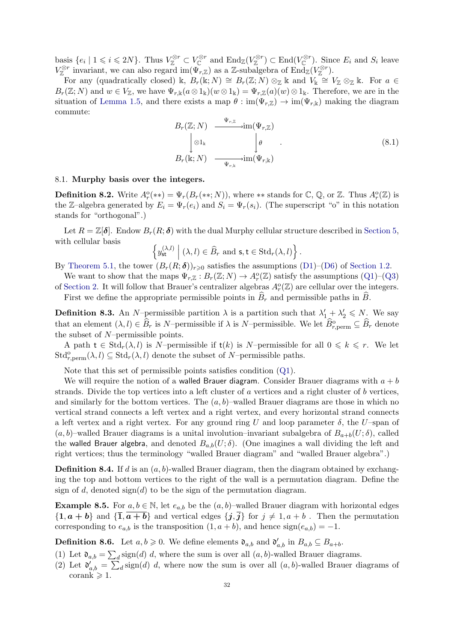basis  $\{e_i \mid 1 \leq i \leq 2N\}$ . Thus  $V^{\otimes r}_{\mathbb{Z}} \subset V^{\otimes r}_{\mathbb{C}}$  and  $\text{End}_{\mathbb{Z}}(V^{\otimes r}_{\mathbb{Z}}) \subset \text{End}(V^{\otimes r}_{\mathbb{C}})$ . Since  $E_i$  and  $S_i$  leave  $V^{\otimes r}_{\mathbb{Z}}$  invariant, we can also regard  $\text{im}(\Psi_{r,\mathbb{Z}})$  as a  $\mathbb{Z}\text{-subalgebra of } \text{End}_{\mathbb{Z}}(V^{\otimes r}_{\mathbb{Z}})$ .

<span id="page-32-0"></span>For any (quadratically closed) k,  $B_r(\mathbb{k};N) \cong B_r(\mathbb{Z};N) \otimes_{\mathbb{Z}} \mathbb{k}$  and  $V_{\mathbb{k}} \cong V_{\mathbb{Z}} \otimes_{\mathbb{Z}} \mathbb{k}$ . For  $a \in$  $B_r(\mathbb{Z}; N)$  and  $w \in V_{\mathbb{Z}}$ , we have  $\Psi_{r,k}(a \otimes 1_k)(w \otimes 1_k) = \Psi_{r,\mathbb{Z}}(a)(w) \otimes 1_k$ . Therefore, we are in the situation of [Lemma 1.5,](#page-4-1) and there exists a map  $\theta : im(\Psi_{r,\mathbb{Z}}) \to im(\Psi_{r,\mathbb{K}})$  making the diagram commute:

$$
B_r(\mathbb{Z}; N) \xrightarrow{\Psi_{r,\mathbb{Z}}} \operatorname{im}(\Psi_{r,\mathbb{Z}}) \n\downarrow \otimes 1_k \qquad \qquad \downarrow \theta \nB_r(\mathbb{k}; N) \xrightarrow{\Psi_{r,\mathbb{k}}} \operatorname{im}(\Psi_{r,\mathbb{k}})
$$
\n(8.1)

#### 8.1. Murphy basis over the integers.

**Definition 8.2.** Write  $A_r^{\circ}(**) = \Psi_r(B_r(*;N))$ , where \*\* stands for  $\mathbb{C}, \mathbb{Q}$ , or  $\mathbb{Z}$ . Thus  $A_r^{\circ}(\mathbb{Z})$  is the Z–algebra generated by  $E_i = \Psi_r(e_i)$  and  $S_i = \Psi_r(s_i)$ . (The superscript "o" in this notation stands for "orthogonal".)

Let  $R = \mathbb{Z}[\delta]$ . Endow  $B_r(R; \delta)$  with the dual Murphy cellular structure described in [Section 5,](#page-22-0) with cellular basis  $\int$ 

<span id="page-32-5"></span><span id="page-32-4"></span><span id="page-32-3"></span>
$$
\left[y_{\text{st}}^{(\lambda,l)}\middle|\ (\lambda,l)\in\widehat{B}_r \text{ and } \mathsf{s}, \mathsf{t}\in \text{Std}_r(\lambda,l)\right\}.
$$

By [Theorem 5.1,](#page-23-4) the tower  $(B_r(R; \delta))_{r\geq 0}$  satisfies the assumptions [\(D1\)](#page-5-2)–[\(D6\)](#page-6-0) of [Section 1.2.](#page-5-0)

We want to show that the maps  $\Psi_{r,\mathbb{Z}} : B_r(\mathbb{Z}; N) \to A_r^{\circ}(\mathbb{Z})$  satisfy the assumptions  $(Q_1)$ – $(Q_3)$ of [Section 2.](#page-10-0) It will follow that Brauer's centralizer algebras  $A_r^{\circ}(\mathbb{Z})$  are cellular over the integers.

First we define the appropriate permissible points in  $\widehat{B}_r$  and permissible paths in  $\widehat{B}_r$ .

**Definition 8.3.** An N-permissible partition  $\lambda$  is a partition such that  $\lambda'_1 + \lambda'_2 \leq N$ . We say that an element  $(\lambda, l) \in \widehat{B}_r$  is N–permissible if  $\lambda$  is N–permissible. We let  $\widehat{B}_{r,\text{perm}}^{\text{o}} \subseteq \widehat{B}_r$  denote the subset of  $N$ –permissible points.

A path  $t \in \text{Std}_r(\lambda, l)$  is N–permissible if  $t(k)$  is N–permissible for all  $0 \leq k \leq r$ . We let  $\mathrm{Std}_{r,\mathrm{perm}}^{\mathrm{o}}(\lambda, l) \subseteq \mathrm{Std}_r(\lambda, l)$  denote the subset of N–permissible paths.

<span id="page-32-2"></span>Note that this set of permissible points satisfies condition [\(Q1\)](#page-11-2).

We will require the notion of a walled Brauer diagram. Consider Brauer diagrams with  $a + b$ strands. Divide the top vertices into a left cluster of a vertices and a right cluster of b vertices, and similarly for the bottom vertices. The  $(a, b)$ –walled Brauer diagrams are those in which no vertical strand connects a left vertex and a right vertex, and every horizontal strand connects a left vertex and a right vertex. For any ground ring U and loop parameter  $\delta$ , the U–span of  $(a, b)$ –walled Brauer diagrams is a unital involution–invariant subalgebra of  $B_{a+b}(U; \delta)$ , called the walled Brauer algebra, and denoted  $B_{a,b}(U;\delta)$ . (One imagines a wall dividing the left and right vertices; thus the terminology "walled Brauer diagram" and "walled Brauer algebra".)

**Definition 8.4.** If d is an  $(a, b)$ -walled Brauer diagram, then the diagram obtained by exchanging the top and bottom vertices to the right of the wall is a permutation diagram. Define the sign of d, denoted  $sign(d)$  to be the sign of the permutation diagram.

<span id="page-32-1"></span>**Example 8.5.** For  $a, b \in \mathbb{N}$ , let  $e_{a,b}$  be the  $(a, b)$ –walled Brauer diagram with horizontal edges  $\{1, a + b\}$  and  $\{\overline{1}, \overline{a+b}\}$  and vertical edges  $\{j, \overline{j}\}$  for  $j \neq 1, a + b$ . Then the permutation corresponding to  $e_{a,b}$  is the transposition  $(1, a + b)$ , and hence  $sign(e_{a,b}) = -1$ .

**Definition 8.6.** Let  $a, b \ge 0$ . We define elements  $\mathfrak{d}_{a,b}$  and  $\mathfrak{d}'_{a,b}$  in  $B_{a,b} \subseteq B_{a+b}$ .

- (1) Let  $\mathfrak{d}_{a,b} = \sum_d \text{sign}(d) d$ , where the sum is over all  $(a, b)$ -walled Brauer diagrams.
- (2) Let  $\mathfrak{d}'_{a,b} = \sum_{d} sign(d) d$ , where now the sum is over all  $(a, b)$ -walled Brauer diagrams of corank  $\geqslant$  1.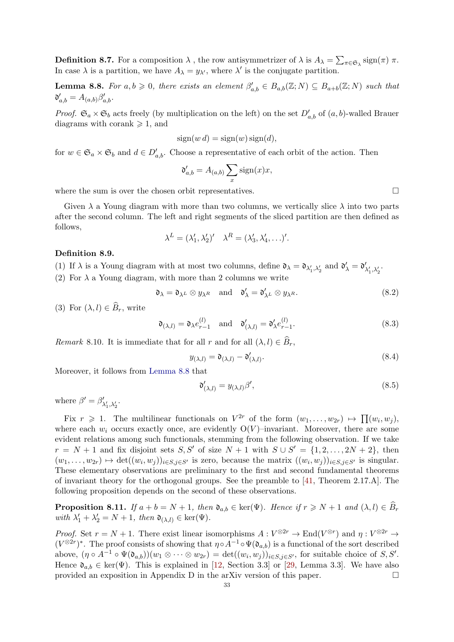**Definition 8.7.** For a composition  $\lambda$ , the row antisymmetrizer of  $\lambda$  is  $A_{\lambda} = \sum_{\pi \in \mathfrak{S}_{\lambda}} sign(\pi) \pi$ . In case  $\lambda$  is a partition, we have  $A_{\lambda} = y_{\lambda'}$ , where  $\lambda'$  is the conjugate partition.

**Lemma 8.8.** For  $a, b \ge 0$ , there exists an element  $\beta'_{a,b} \in B_{a,b}(\mathbb{Z};N) \subseteq B_{a+b}(\mathbb{Z};N)$  such that  $\mathfrak{d}'_{a,b} = A_{(a,b)} \beta'_{a,b}.$ 

*Proof.*  $\mathfrak{S}_a \times \mathfrak{S}_b$  acts freely (by multiplication on the left) on the set  $D'_{a,b}$  of  $(a, b)$ -walled Brauer diagrams with corank  $\geq 1$ , and

$$
sign(w d) = sign(w) sign(d),
$$

for  $w \in \mathfrak{S}_a \times \mathfrak{S}_b$  and  $d \in D'_{a,b}$ . Choose a representative of each orbit of the action. Then

<span id="page-33-0"></span>
$$
\mathfrak{d}'_{a,b} = A_{(a,b)} \sum_{x} sign(x)x,
$$

where the sum is over the chosen orbit representatives.  $\Box$ 

Given  $\lambda$  a Young diagram with more than two columns, we vertically slice  $\lambda$  into two parts after the second column. The left and right segments of the sliced partition are then defined as follows,

$$
\lambda^{L} = (\lambda'_1, \lambda'_2)' \quad \lambda^{R} = (\lambda'_3, \lambda'_4, \ldots)'
$$

#### Definition 8.9.

(1) If  $\lambda$  is a Young diagram with at most two columns, define  $\mathfrak{d}_{\lambda} = \mathfrak{d}_{\lambda'_1, \lambda'_2}$  and  $\mathfrak{d}'_{\lambda} = \mathfrak{d}'_{\lambda'_1, \lambda'_2}$ .

(2) For  $\lambda$  a Young diagram, with more than 2 columns we write

$$
\mathfrak{d}_{\lambda} = \mathfrak{d}_{\lambda^L} \otimes y_{\lambda^R} \quad \text{and} \quad \mathfrak{d}'_{\lambda} = \mathfrak{d}'_{\lambda^L} \otimes y_{\lambda^R}.
$$
 (8.2)

(3) For  $(\lambda, l) \in \widehat{B}_r$ , write

$$
\mathfrak{d}_{(\lambda,l)} = \mathfrak{d}_{\lambda} e_{r-1}^{(l)} \quad \text{and} \quad \mathfrak{d}'_{(\lambda,l)} = \mathfrak{d}'_{\lambda} e_{r-1}^{(l)}.
$$
 (8.3)

<span id="page-33-1"></span>Remark 8.10. It is immediate that for all r and for all  $(\lambda, l) \in \widehat{B}_r$ ,

$$
y_{(\lambda,l)} = \mathfrak{d}_{(\lambda,l)} - \mathfrak{d}'_{(\lambda,l)}.
$$
\n(8.4)

Moreover, it follows from [Lemma 8.8](#page-32-0) that

$$
\mathfrak{d}'_{(\lambda,l)} = y_{(\lambda,l)}\beta',\tag{8.5}
$$

where  $\beta' = \beta'_{\lambda'_1, \lambda'_2}$ .

Fix  $r \geq 1$ . The multilinear functionals on  $V^{2r}$  of the form  $(w_1, \ldots, w_{2r}) \mapsto \prod(w_i, w_j)$ , where each  $w_i$  occurs exactly once, are evidently  $O(V)$ –invariant. Moreover, there are some evident relations among such functionals, stemming from the following observation. If we take  $r = N + 1$  and fix disjoint sets  $S, S'$  of size  $N + 1$  with  $S \cup S' = \{1, 2, ..., 2N + 2\}$ , then  $(w_1,\ldots,w_{2r})\mapsto \det((w_i,w_j))_{i\in S,j\in S'}$  is zero, because the matrix  $((w_i,w_j))_{i\in S,j\in S'}$  is singular. These elementary observations are preliminary to the first and second fundamental theorems of invariant theory for the orthogonal groups. See the preamble to [\[41,](#page-36-17) Theorem 2.17.A]. The following proposition depends on the second of these observations.

**Proposition 8.11.** If  $a + b = N + 1$ , then  $\mathfrak{d}_{a,b} \in \text{ker}(\Psi)$ . Hence if  $r \ge N + 1$  and  $(\lambda, l) \in \widehat{B}_r$ with  $\lambda'_1 + \lambda'_2 = N + 1$ , then  $\mathfrak{d}_{(\lambda, l)} \in \text{ker}(\Psi)$ .

*Proof.* Set  $r = N + 1$ . There exist linear isomorphisms  $A: V^{\otimes 2r} \to \text{End}(V^{\otimes r})$  and  $\eta: V^{\otimes 2r} \to$  $(V^{\otimes 2r})^*$ . The proof consists of showing that  $\eta \circ A^{-1} \circ \Psi(\mathfrak{d}_{a,b})$  is a functional of the sort described above,  $(\eta \circ A^{-1} \circ \Psi(\mathfrak{d}_{a,b})) (w_1 \otimes \cdots \otimes w_{2r}) = \det((w_i, w_j))_{i \in S, j \in S'}$ , for suitable choice of  $S, S'$ . Hence  $\mathfrak{d}_{a,b} \in \text{ker}(\Psi)$ . This is explained in [\[12,](#page-35-22) Section 3.3] or [\[29,](#page-36-18) Lemma 3.3]. We have also provided an exposition in Appendix D in the arXiv version of this paper.  $\Box$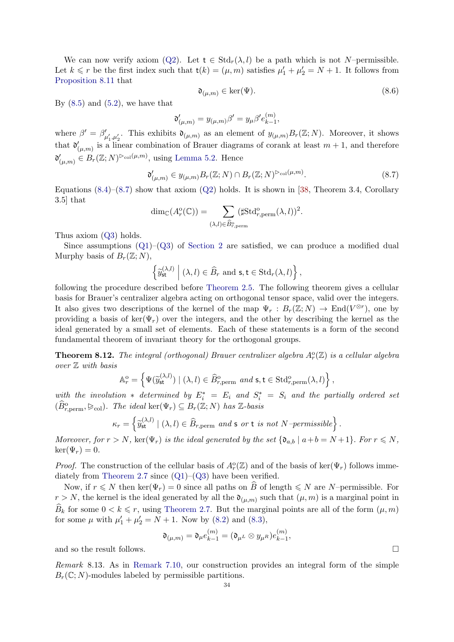<span id="page-34-0"></span>We can now verify axiom [\(Q2\)](#page-11-5). Let  $t \in \text{Std}_r(\lambda, l)$  be a path which is not N–permissible. Let  $k \leq r$  be the first index such that  $\mathsf{t}(k) = (\mu, m)$  satisfies  $\mu'_1 + \mu'_2 = N + 1$ . It follows from [Proposition 8.11](#page-32-1) that

$$
\mathfrak{d}_{(\mu,m)} \in \ker(\Psi). \tag{8.6}
$$

By  $(8.5)$  and  $(5.2)$ , we have that

$$
\mathfrak{d}'_{(\mu,m)} = y_{(\mu,m)}\beta' = y_{\mu}\beta' e_{k-1}^{(m)},
$$

<span id="page-34-2"></span>where  $\beta' = \beta'_{\mu'_1,\mu'_2}$ . This exhibits  $\mathfrak{d}_{(\mu,m)}$  as an element of  $y_{(\mu,m)}B_r(\mathbb{Z};N)$ . Moreover, it shows that  $\mathfrak{d}'_{(\mu,m)}$  is a linear combination of Brauer diagrams of corank at least  $m+1$ , and therefore  $\mathfrak{d}'_{(\mu,m)} \in B_r(\mathbb{Z};N)^{\rhd_{\text{col}}(\mu,m)},$  using [Lemma 5.2.](#page-24-3) Hence

$$
\mathfrak{d}'_{(\mu,m)} \in y_{(\mu,m)} B_r(\mathbb{Z};N) \cap B_r(\mathbb{Z};N)^{\rhd_{\text{col}}(\mu,m)}.
$$
\n(8.7)

Equations  $(8.4)$ – $(8.7)$  show that axiom  $(Q2)$  holds. It is shown in [\[38,](#page-36-5) Theorem 3.4, Corollary 3.5] that

$$
\dim_{\mathbb{C}}(A_r^{\circ}(\mathbb{C})) = \sum_{(\lambda,l) \in \widehat{B}_{r,\mathrm{perm}}^{\circ}} (\sharp \mathrm{Std}_{r,\mathrm{perm}}^{\circ}(\lambda, l))^2.
$$

Thus axiom [\(Q3\)](#page-11-3) holds.

Since assumptions  $(Q1)$ – $(Q3)$  of [Section 2](#page-10-0) are satisfied, we can produce a modified dual Murphy basis of  $B_r(\mathbb{Z}; N)$ ,

$$
\left\{ \widetilde{y}_{\text{st}}^{(\lambda,l)} \; \middle| \; (\lambda, l) \in \widehat{B}_r \text{ and } \text{s}, \text{t} \in \text{Std}_r(\lambda, l) \right\},\
$$

following the procedure described before [Theorem 2.5.](#page-13-3) The following theorem gives a cellular basis for Brauer's centralizer algebra acting on orthogonal tensor space, valid over the integers. It also gives two descriptions of the kernel of the map  $\Psi_r : B_r(\mathbb{Z}; N) \to \text{End}(V^{\otimes r})$ , one by providing a basis of ker( $\Psi_r$ ) over the integers, and the other by describing the kernel as the ideal generated by a small set of elements. Each of these statements is a form of the second fundamental theorem of invariant theory for the orthogonal groups.

**Theorem 8.12.** The integral (orthogonal) Brauer centralizer algebra  $A_r^{\circ}(\mathbb{Z})$  is a cellular algebra over Z with basis

<span id="page-34-1"></span>
$$
\mathbb{A}_r^{\text{o}} = \left\{ \Psi(\widetilde{y}_{\text{st}}^{(\lambda,l)}) \mid (\lambda, l) \in \widehat{B}_{r, \text{perm}}^{\text{o}} \text{ and } \mathsf{s}, \mathsf{t} \in \text{Std}_{r, \text{perm}}^{\text{o}}(\lambda, l) \right\},
$$

with the involution  $*$  determined by  $E_i^* = E_i$  and  $S_i^* = S_i$  and the partially ordered set  $(\widehat{B}_{r,\text{perm}}^{\text{o}}, \triangleright_{\text{col}})$ . The ideal ker $(\Psi_r) \subseteq B_r(\mathbb{Z}; N)$  has  $\mathbb{Z}$ -basis

$$
\kappa_r = \left\{ \widetilde{y}_{\text{st}}^{(\lambda,l)} \mid (\lambda, l) \in \widehat{B}_{r, \text{perm}} \text{ and } \text{s or } \text{t is not } N \text{-permissible} \right\}.
$$

Moreover, for  $r > N$ , ker( $\Psi_r$ ) is the ideal generated by the set  $\{\mathfrak{d}_{a,b} \mid a+b=N+1\}$ . For  $r \leq N$ ,  $\ker(\Psi_r)=0.$ 

*Proof.* The construction of the cellular basis of  $A_r^{\circ}(\mathbb{Z})$  and of the basis of ker $(\Psi_r)$  follows imme-diately from [Theorem 2.7](#page-14-0) since  $(Q1)$ – $(Q3)$  have been verified.

Now, if  $r \le N$  then ker( $\Psi_r$ ) = 0 since all paths on  $\widehat{B}$  of length  $\le N$  are N–permissible. For  $r > N$ , the kernel is the ideal generated by all the  $\mathfrak{d}_{(\mu,m)}$  such that  $(\mu, m)$  is a marginal point in  $\widehat{B}_k$  for some  $0 < k \leq r$ , using [Theorem 2.7.](#page-14-0) But the marginal points are all of the form  $(\mu, m)$ for some  $\mu$  with  $\mu'_1 + \mu'_2 = N + 1$ . Now by [\(8.2\)](#page-32-4) and [\(8.3\)](#page-32-5),

$$
\mathfrak{d}_{(\mu,m)}=\mathfrak{d}_{\mu}e^{(m)}_{k-1}=(\mathfrak{d}_{\mu^L}\otimes y_{\mu^R})e^{(m)}_{k-1},
$$

and so the result follows.

Remark 8.13. As in [Remark 7.10,](#page-28-3) our construction provides an integral form of the simple  $B_r(\mathbb{C}; N)$ -modules labeled by permissible partitions.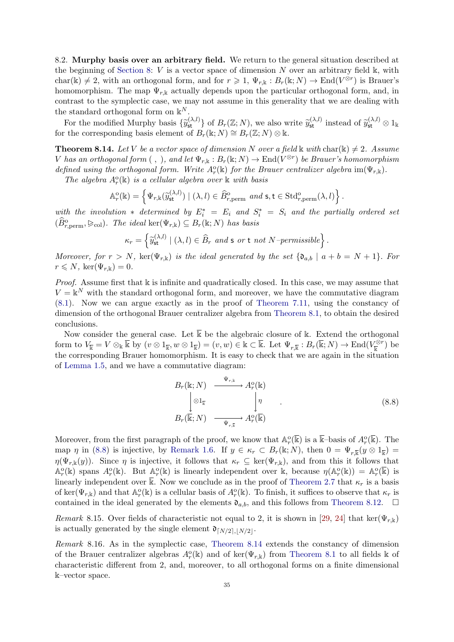8.2. Murphy basis over an arbitrary field. We return to the general situation described at the beginning of [Section 8:](#page-30-1)  $V$  is a vector space of dimension  $N$  over an arbitrary field  $\mathbb{k}$ , with char(k)  $\neq 2$ , with an orthogonal form, and for  $r \geq 1$ ,  $\Psi_{r,k}: B_r(\mathbb{k};N) \to \text{End}(V^{\otimes r})$  is Brauer's homomorphism. The map  $\Psi_{r,k}$  actually depends upon the particular orthogonal form, and, in contrast to the symplectic case, we may not assume in this generality that we are dealing with the standard orthogonal form on  $\mathbb{k}^N$ .

For the modified Murphy basis  $\{\widetilde{y}_{st}^{(\lambda,l)}\}$  of  $B_r(\mathbb{Z}; N)$ , we also write  $\widetilde{y}_{st}^{(\lambda,l)}$  instead of  $\widetilde{y}_{st}^{(\lambda,l)} \otimes 1_k$ for the corresponding basis element of  $B_r(\mathbb{k}; N) \cong B_r(\mathbb{Z}; N) \otimes \mathbb{k}$ .

**Theorem 8.14.** Let V be a vector space of dimension N over a field  $\bf{k}$  with char( $\bf{k}$ )  $\neq$  2. Assume V has an orthogonal form  $( , ),$  and let  $\Psi_{r,k}: B_r(\Bbbk;N) \to \text{End}(V^{\otimes r})$  be Brauer's homomorphism defined using the orthogonal form. Write  $A_r^{\circ}(\mathbb{k})$  for the Brauer centralizer algebra im $(\Psi_{r,\mathbb{k}})$ .

<span id="page-35-0"></span>The algebra  $A_r^o(\mathbb{k})$  is a cellular algebra over  $\mathbb k$  with basis

$$
\mathbb{A}_r^{\mathrm{o}}(\Bbbk) = \left\{ \Psi_{r,\Bbbk}(\widetilde{y}_{\mathsf{st}}^{(\lambda,l)}) \mid (\lambda,l) \in \widehat{B}_{r,\mathrm{perm}}^{\mathrm{o}} \text{ and } \mathsf{s}, \mathsf{t} \in \mathrm{Std}_{r,\mathrm{perm}}^{\mathrm{o}}(\lambda,l) \right\}.
$$

with the involution  $*$  determined by  $E_i^* = E_i$  and  $S_i^* = S_i$  and the partially ordered set  $(\widehat{B}_{r,\text{perm}}^{\text{o}}, \trianglerighteq_{\text{col}})$ . The ideal ker $(\Psi_{r,\mathbb{k}}) \subseteq B_r(\mathbb{k};N)$  has basis

<span id="page-35-1"></span>
$$
\kappa_r = \left\{ \widetilde{y}_{\text{st}}^{(\lambda,l)} \mid (\lambda, l) \in \widehat{B}_r \text{ and } \text{s or } t \text{ not } N \text{-}\text{permissible} \right\}.
$$

<span id="page-35-10"></span>Moreover, for  $r > N$ , ker $(\Psi_{r,k})$  is the ideal generated by the set  $\{\mathfrak{d}_{a,b} \mid a+b=N+1\}$ . For  $r \leqslant N$ , ker $(\Psi_{r,k}) = 0$ .

<span id="page-35-20"></span><span id="page-35-15"></span>Proof. Assume first that k is infinite and quadratically closed. In this case, we may assume that  $V = \mathbb{k}^N$  with the standard orthogonal form, and moreover, we have the commutative diagram [\(8.1\)](#page-31-1). Now we can argue exactly as in the proof of [Theorem 7.11,](#page-28-2) using the constancy of dimension of the orthogonal Brauer centralizer algebra from [Theorem 8.1,](#page-30-2) to obtain the desired conclusions.

<span id="page-35-21"></span><span id="page-35-19"></span><span id="page-35-18"></span><span id="page-35-17"></span><span id="page-35-11"></span>Now consider the general case. Let  $\overline{\mathbb{k}}$  be the algebraic closure of  $\mathbb{k}$ . Extend the orthogonal form to  $V_{\overline{\Bbbk}} = V \otimes_{\Bbbk} \overline{\Bbbk}$  by  $(v \otimes 1_{\overline{\Bbbk}}, w \otimes 1_{\overline{\Bbbk}}) = (v, w) \in \Bbbk \subset \overline{\Bbbk}$ . Let  $\Psi_{r, \overline{\Bbbk}} : B_r(\overline{\Bbbk}; N) \to \text{End}(V_{\overline{\Bbbk}}^{\otimes r})$  $(\frac{\mathbb{Z}}{\mathbb{R}}^r)$  be the corresponding Brauer homomorphism. It is easy to check that we are again in the situation of [Lemma 1.5,](#page-4-1) and we have a commutative diagram:

$$
B_r(\mathbb{k}; N) \xrightarrow{\Psi_{r,\mathbb{k}}} A_r^{\text{o}}(\mathbb{k})
$$
  

$$
\downarrow \otimes 1_{\mathbb{k}} \qquad \qquad \downarrow \eta
$$
  

$$
B_r(\overline{\mathbb{k}}; N) \xrightarrow{\Psi_{r,\overline{\mathbb{k}}}} A_r^{\text{o}}(\overline{\mathbb{k}})
$$
 (8.8)

<span id="page-35-22"></span><span id="page-35-16"></span><span id="page-35-8"></span><span id="page-35-6"></span><span id="page-35-5"></span><span id="page-35-4"></span><span id="page-35-3"></span>Moreover, from the first paragraph of the proof, we know that  $\mathbb{A}_r^{\circ}(\overline{\mathbb{k}})$  is a  $\overline{\mathbb{k}}$ -basis of  $A_r^{\circ}(\overline{\mathbb{k}})$ . The map  $\eta$  in [\(8.8\)](#page-34-1) is injective, by [Remark 1.6.](#page-5-4) If  $y \in \kappa_r \subset B_r(\mathbb{k}; N)$ , then  $0 = \Psi_{r,\overline{k}}(y \otimes 1_{\overline{k}}) =$  $\eta(\Psi_{r,k}(y))$ . Since  $\eta$  is injective, it follows that  $\kappa_r \subseteq \text{ker}(\Psi_{r,k})$ , and from this it follows that  $\mathbb{A}_r^{\circ}(\mathbb{k})$  spans  $A_r^{\circ}(\mathbb{k})$ . But  $\mathbb{A}_r^{\circ}(\mathbb{k})$  is linearly independent over k, because  $\eta(\mathbb{A}_r^{\circ}(\mathbb{k})) = \mathbb{A}_r^{\circ}(\mathbb{k})$  is linearly independent over  $\overline{\mathbb{k}}$ . Now we conclude as in the proof of [Theorem 2.7](#page-14-0) that  $\kappa_r$  is a basis of ker( $\Psi_{r,\mathbf{k}}$ ) and that  $\mathbb{A}_r^{\circ}(\mathbf{k})$  is a cellular basis of  $A_r^{\circ}(\mathbf{k})$ . To finish, it suffices to observe that  $\kappa_r$  is contained in the ideal generated by the elements  $\mathfrak{d}_{a,b}$ , and this follows from [Theorem 8.12.](#page-33-1)  $\Box$ 

<span id="page-35-14"></span><span id="page-35-13"></span><span id="page-35-12"></span>Remark 8.15. Over fields of characteristic not equal to 2, it is shown in [\[29,](#page-36-18) [24\]](#page-36-19) that ker( $\Psi_{r,k}$ ) is actually generated by the single element  $\mathfrak{d}_{[N/2], [N/2]}$ .

<span id="page-35-9"></span><span id="page-35-7"></span><span id="page-35-2"></span>Remark 8.16. As in the symplectic case, [Theorem 8.14](#page-34-2) extends the constancy of dimension of the Brauer centralizer algebras  $A_r^{\circ}(\mathbb{k})$  and of  $\ker(\Psi_{r,\mathbb{k}})$  from [Theorem 8.1](#page-30-2) to all fields  $\mathbb k$  of characteristic different from 2, and, moreover, to all orthogonal forms on a finite dimensional k–vector space.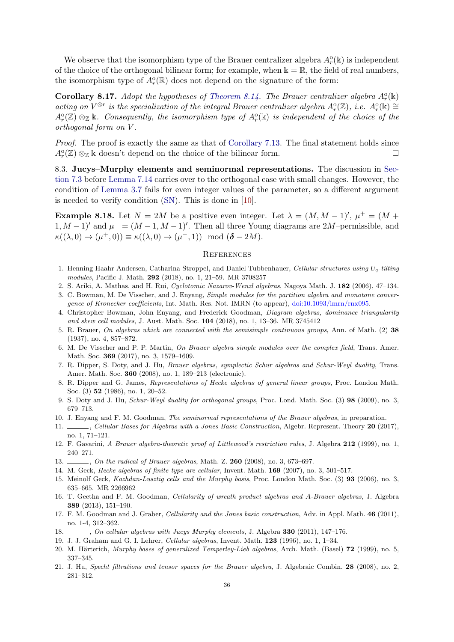<span id="page-36-8"></span><span id="page-36-2"></span>We observe that the isomorphism type of the Brauer centralizer algebra  $A_r^{\circ}(\mathbb{k})$  is independent of the choice of the orthogonal bilinear form; for example, when  $k = \mathbb{R}$ , the field of real numbers, the isomorphism type of  $A_r^{\circ}(\mathbb{R})$  does not depend on the signature of the form:

<span id="page-36-19"></span><span id="page-36-15"></span>**Corollary 8.17.** Adopt the hypotheses of [Theorem 8.14.](#page-34-2) The Brauer centralizer algebra  $A_r^{\circ}(\mathbb{k})$ acting on  $V^{\otimes r}$  is the specialization of the integral Brauer centralizer algebra  $A_r^{\circ}(\mathbb{Z})$ , i.e.  $A_r^{\circ}(\mathbb{k}) \cong$  $A_r^{\circ}(\mathbb{Z}) \otimes_{\mathbb{Z}} \mathbb{k}$ . Consequently, the isomorphism type of  $A_r^{\circ}(\mathbb{k})$  is independent of the choice of the orthogonal form on V .

<span id="page-36-14"></span><span id="page-36-12"></span><span id="page-36-0"></span>Proof. The proof is exactly the same as that of [Corollary 7.13.](#page-29-0) The final statement holds since  $A_r^{\circ}(\mathbb{Z}) \otimes_{\mathbb{Z}} \mathbb{k}$  doesn't depend on the choice of the bilinear form.

<span id="page-36-18"></span><span id="page-36-4"></span>8.3. Jucys–Murphy elements and seminormal representations. The discussion in [Sec](#page-30-0)[tion 7.3](#page-30-0) before [Lemma 7.14](#page-30-3) carries over to the orthogonal case with small changes. However, the condition of [Lemma 3.7](#page-18-2) fails for even integer values of the parameter, so a different argument is needed to verify condition [\(SN\)](#page-18-1). This is done in [\[10\]](#page-35-16).

<span id="page-36-16"></span><span id="page-36-10"></span><span id="page-36-9"></span>**Example 8.18.** Let  $N = 2M$  be a positive even integer. Let  $\lambda = (M, M - 1)'$ ,  $\mu^+ = (M +$  $1, M-1'$  and  $\mu^- = (M-1, M-1)'$ . Then all three Young diagrams are 2M-permissible, and  $\kappa((\lambda,0) \to (\mu^+,0)) \equiv \kappa((\lambda,0) \to (\mu^-,1)) \mod (\delta-2M).$ 

#### **REFERENCES**

- <span id="page-36-13"></span><span id="page-36-11"></span><span id="page-36-6"></span><span id="page-36-1"></span>1. Henning Haahr Andersen, Catharina Stroppel, and Daniel Tubbenhauer, Cellular structures using  $U_q$ -tilting modules, Pacific J. Math. 292 (2018), no. 1, 21–59. MR 3708257
- <span id="page-36-5"></span>2. S. Ariki, A. Mathas, and H. Rui, Cyclotomic Nazarov-Wenzl algebras, Nagoya Math. J. 182 (2006), 47–134.
- <span id="page-36-7"></span>3. C. Bowman, M. De Visscher, and J. Enyang, Simple modules for the partition algebra and monotone convergence of Kronecker coefficients, Int. Math. Res. Not. IMRN (to appear), [doi:10.1093/imrn/rnx095.](http://dx.doi.org/10.1093/imrn/rnx095)
- <span id="page-36-17"></span><span id="page-36-3"></span>4. Christopher Bowman, John Enyang, and Frederick Goodman, Diagram algebras, dominance triangularity and skew cell modules, J. Aust. Math. Soc. 104 (2018), no. 1, 13–36. MR 3745412
- 5. R. Brauer, On algebras which are connected with the semisimple continuous groups, Ann. of Math. (2) 38 (1937), no. 4, 857–872.
- 6. M. De Visscher and P. P. Martin, On Brauer algebra simple modules over the complex field, Trans. Amer. Math. Soc. 369 (2017), no. 3, 1579–1609.
- 7. R. Dipper, S. Doty, and J. Hu, Brauer algebras, symplectic Schur algebras and Schur-Weyl duality, Trans. Amer. Math. Soc. 360 (2008), no. 1, 189–213 (electronic).
- 8. R. Dipper and G. James, Representations of Hecke algebras of general linear groups, Proc. London Math. Soc. (3) 52 (1986), no. 1, 20–52.
- 9. S. Doty and J. Hu, Schur-Weyl duality for orthogonal groups, Proc. Lond. Math. Soc. (3) 98 (2009), no. 3, 679–713.
- 10. J. Enyang and F. M. Goodman, The seminormal representations of the Brauer algebras, in preparation.
- 11. , Cellular Bases for Algebras with a Jones Basic Construction, Algebr. Represent. Theory 20 (2017), no. 1, 71–121.
- 12. F. Gavarini, A Brauer algebra-theoretic proof of Littlewood's restriction rules, J. Algebra 212 (1999), no. 1, 240–271.
- 13. , On the radical of Brauer algebras, Math. Z. **260** (2008), no. 3, 673–697.
- 14. M. Geck, Hecke algebras of finite type are cellular, Invent. Math. 169 (2007), no. 3, 501–517.
- 15. Meinolf Geck, Kazhdan-Lusztig cells and the Murphy basis, Proc. London Math. Soc. (3) 93 (2006), no. 3, 635–665. MR 2266962
- 16. T. Geetha and F. M. Goodman, Cellularity of wreath product algebras and A-Brauer algebras, J. Algebra 389 (2013), 151–190.
- 17. F. M. Goodman and J. Graber, Cellularity and the Jones basic construction, Adv. in Appl. Math. 46 (2011), no. 1-4, 312–362.
- 18. , On cellular algebras with Jucys Murphy elements, J. Algebra 330 (2011), 147–176.
- 19. J. J. Graham and G. I. Lehrer, Cellular algebras, Invent. Math. 123 (1996), no. 1, 1–34.
- 20. M. Härterich, *Murphy bases of generalized Temperley-Lieb algebras*, Arch. Math. (Basel) **72** (1999), no. 5, 337–345.
- 21. J. Hu, Specht filtrations and tensor spaces for the Brauer algebra, J. Algebraic Combin. 28 (2008), no. 2, 281–312.